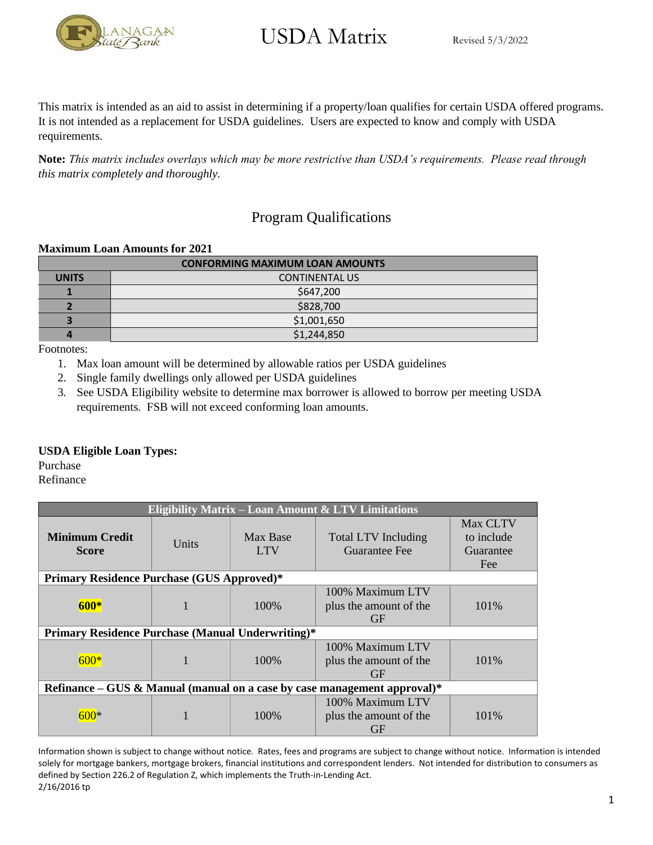

This matrix is intended as an aid to assist in determining if a property/loan qualifies for certain USDA offered programs. It is not intended as a replacement for USDA guidelines. Users are expected to know and comply with USDA requirements.

**Note:** *This matrix includes overlays which may be more restrictive than USDA's requirements. Please read through this matrix completely and thoroughly.* 

### Program Qualifications

#### **Maximum Loan Amounts for 2021**

| <b>CONFORMING MAXIMUM LOAN AMOUNTS</b> |                       |  |
|----------------------------------------|-----------------------|--|
| <b>UNITS</b>                           | <b>CONTINENTAL US</b> |  |
|                                        | \$647,200             |  |
|                                        | \$828,700             |  |
|                                        | \$1,001,650           |  |
|                                        | \$1,244,850           |  |

Footnotes:

- 1. Max loan amount will be determined by allowable ratios per USDA guidelines
- 2. Single family dwellings only allowed per USDA guidelines
- 3. See USDA Eligibility website to determine max borrower is allowed to borrow per meeting USDA requirements. FSB will not exceed conforming loan amounts.

#### **USDA Eligible Loan Types:**

Purchase

Refinance

| <b>Eligibility Matrix - Loan Amount &amp; LTV Limitations</b>            |                                                          |                        |                                                         |                                            |
|--------------------------------------------------------------------------|----------------------------------------------------------|------------------------|---------------------------------------------------------|--------------------------------------------|
| Minimum Credit<br><b>Score</b>                                           | Units                                                    | Max Base<br><b>LTV</b> | Total LTV Including<br>Guarantee Fee                    | Max CLTV<br>to include<br>Guarantee<br>Fee |
| <b>Primary Residence Purchase (GUS Approved)*</b>                        |                                                          |                        |                                                         |                                            |
| $600*$                                                                   |                                                          | 100\%                  | 100% Maximum LTV<br>plus the amount of the<br><b>GF</b> | 101%                                       |
|                                                                          | <b>Primary Residence Purchase (Manual Underwriting)*</b> |                        |                                                         |                                            |
| $600*$                                                                   |                                                          | 100\%                  | 100% Maximum LTV<br>plus the amount of the<br><b>GF</b> | 101\%                                      |
| Refinance – GUS & Manual (manual on a case by case management approval)* |                                                          |                        |                                                         |                                            |
|                                                                          |                                                          | 100\%                  | 100% Maximum LTV<br>plus the amount of the<br><b>GF</b> | 101\%                                      |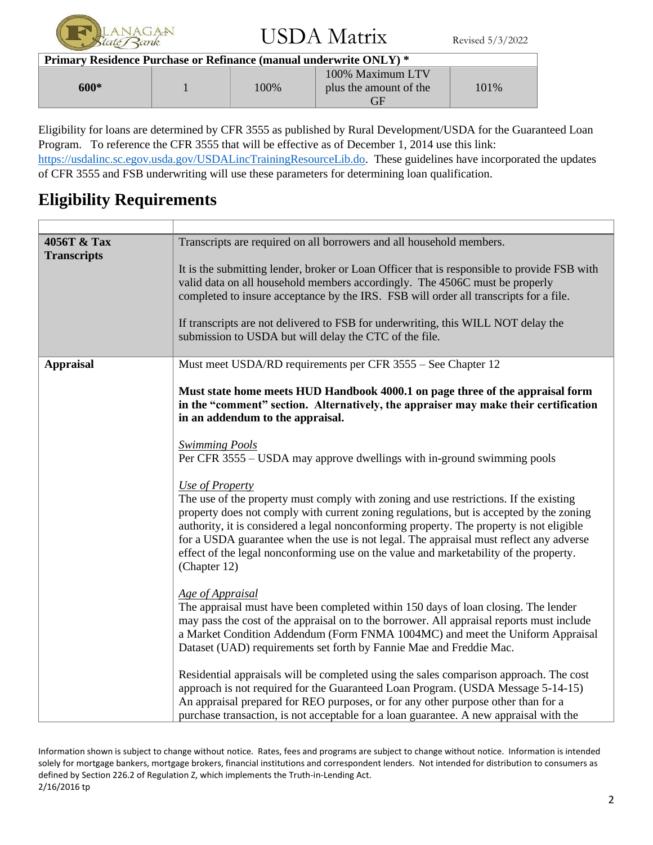

| Primary Residence Purchase or Refinance (manual underwrite ONLY) * |  |      |                                            |      |
|--------------------------------------------------------------------|--|------|--------------------------------------------|------|
| 600*                                                               |  | 100% | 100% Maximum LTV<br>plus the amount of the | 101% |

Eligibility for loans are determined by CFR 3555 as published by Rural Development/USDA for the Guaranteed Loan Program. To reference the CFR 3555 that will be effective as of December 1, 2014 use this link: [https://usdalinc.sc.egov.usda.gov/USDALincTrainingResourceLib.do.](https://usdalinc.sc.egov.usda.gov/USDALincTrainingResourceLib.do) These guidelines have incorporated the updates of CFR 3555 and FSB underwriting will use these parameters for determining loan qualification.

### **Eligibility Requirements**

 $\Gamma$ 

| 4056T & Tax<br><b>Transcripts</b> | Transcripts are required on all borrowers and all household members.                                                                                                                                                                                                                                                                                                                                                                                                                               |
|-----------------------------------|----------------------------------------------------------------------------------------------------------------------------------------------------------------------------------------------------------------------------------------------------------------------------------------------------------------------------------------------------------------------------------------------------------------------------------------------------------------------------------------------------|
|                                   | It is the submitting lender, broker or Loan Officer that is responsible to provide FSB with<br>valid data on all household members accordingly. The 4506C must be properly<br>completed to insure acceptance by the IRS. FSB will order all transcripts for a file.                                                                                                                                                                                                                                |
|                                   | If transcripts are not delivered to FSB for underwriting, this WILL NOT delay the<br>submission to USDA but will delay the CTC of the file.                                                                                                                                                                                                                                                                                                                                                        |
| <b>Appraisal</b>                  | Must meet USDA/RD requirements per CFR 3555 – See Chapter 12                                                                                                                                                                                                                                                                                                                                                                                                                                       |
|                                   | Must state home meets HUD Handbook 4000.1 on page three of the appraisal form<br>in the "comment" section. Alternatively, the appraiser may make their certification<br>in an addendum to the appraisal.                                                                                                                                                                                                                                                                                           |
|                                   | <b>Swimming Pools</b><br>Per CFR 3555 – USDA may approve dwellings with in-ground swimming pools                                                                                                                                                                                                                                                                                                                                                                                                   |
|                                   | Use of Property<br>The use of the property must comply with zoning and use restrictions. If the existing<br>property does not comply with current zoning regulations, but is accepted by the zoning<br>authority, it is considered a legal nonconforming property. The property is not eligible<br>for a USDA guarantee when the use is not legal. The appraisal must reflect any adverse<br>effect of the legal nonconforming use on the value and marketability of the property.<br>(Chapter 12) |
|                                   | Age of Appraisal<br>The appraisal must have been completed within 150 days of loan closing. The lender<br>may pass the cost of the appraisal on to the borrower. All appraisal reports must include<br>a Market Condition Addendum (Form FNMA 1004MC) and meet the Uniform Appraisal<br>Dataset (UAD) requirements set forth by Fannie Mae and Freddie Mac.                                                                                                                                        |
|                                   | Residential appraisals will be completed using the sales comparison approach. The cost<br>approach is not required for the Guaranteed Loan Program. (USDA Message 5-14-15)<br>An appraisal prepared for REO purposes, or for any other purpose other than for a<br>purchase transaction, is not acceptable for a loan guarantee. A new appraisal with the                                                                                                                                          |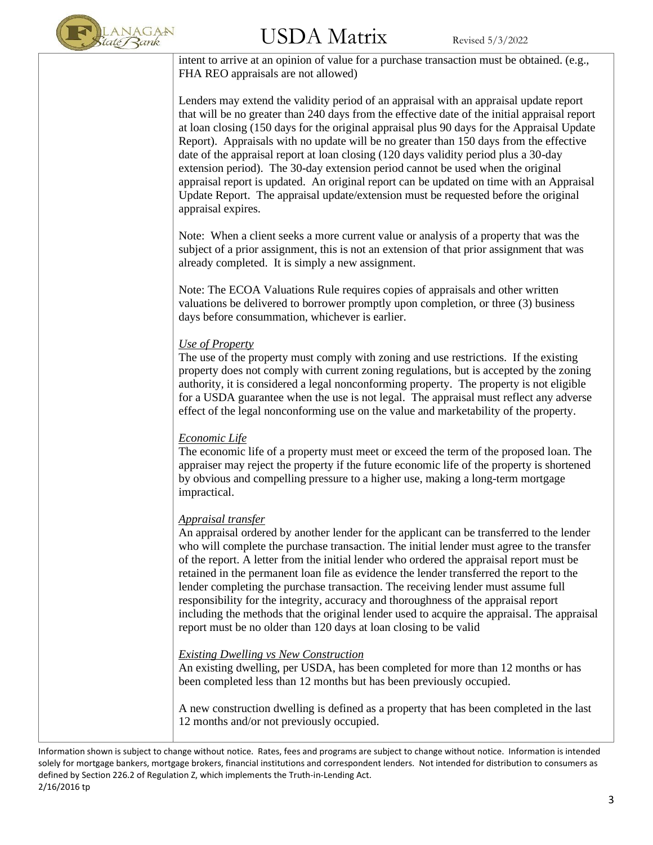

# $\rm{USDA~Matrix}$  Revised 5/3/2022

intent to arrive at an opinion of value for a purchase transaction must be obtained. (e.g., FHA REO appraisals are not allowed)

Lenders may extend the validity period of an appraisal with an appraisal update report that will be no greater than 240 days from the effective date of the initial appraisal report at loan closing (150 days for the original appraisal plus 90 days for the Appraisal Update Report). Appraisals with no update will be no greater than 150 days from the effective date of the appraisal report at loan closing (120 days validity period plus a 30-day extension period). The 30-day extension period cannot be used when the original appraisal report is updated. An original report can be updated on time with an Appraisal Update Report. The appraisal update/extension must be requested before the original appraisal expires.

Note: When a client seeks a more current value or analysis of a property that was the subject of a prior assignment, this is not an extension of that prior assignment that was already completed. It is simply a new assignment.

Note: The ECOA Valuations Rule requires copies of appraisals and other written valuations be delivered to borrower promptly upon completion, or three (3) business days before consummation, whichever is earlier.

#### *Use of Property*

The use of the property must comply with zoning and use restrictions. If the existing property does not comply with current zoning regulations, but is accepted by the zoning authority, it is considered a legal nonconforming property. The property is not eligible for a USDA guarantee when the use is not legal. The appraisal must reflect any adverse effect of the legal nonconforming use on the value and marketability of the property.

#### *Economic Life*

The economic life of a property must meet or exceed the term of the proposed loan. The appraiser may reject the property if the future economic life of the property is shortened by obvious and compelling pressure to a higher use, making a long-term mortgage impractical.

#### *Appraisal transfer*

An appraisal ordered by another lender for the applicant can be transferred to the lender who will complete the purchase transaction. The initial lender must agree to the transfer of the report. A letter from the initial lender who ordered the appraisal report must be retained in the permanent loan file as evidence the lender transferred the report to the lender completing the purchase transaction. The receiving lender must assume full responsibility for the integrity, accuracy and thoroughness of the appraisal report including the methods that the original lender used to acquire the appraisal. The appraisal report must be no older than 120 days at loan closing to be valid

#### *Existing Dwelling vs New Construction*

An existing dwelling, per USDA, has been completed for more than 12 months or has been completed less than 12 months but has been previously occupied.

A new construction dwelling is defined as a property that has been completed in the last 12 months and/or not previously occupied.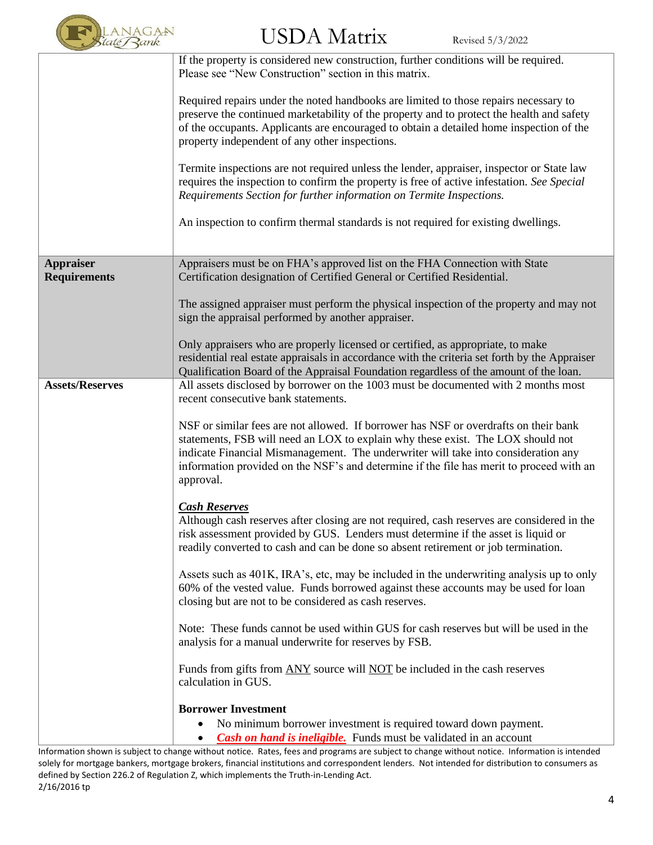

|                                         | If the property is considered new construction, further conditions will be required.<br>Please see "New Construction" section in this matrix.                                                                                                                                                                                                                          |
|-----------------------------------------|------------------------------------------------------------------------------------------------------------------------------------------------------------------------------------------------------------------------------------------------------------------------------------------------------------------------------------------------------------------------|
|                                         | Required repairs under the noted handbooks are limited to those repairs necessary to<br>preserve the continued marketability of the property and to protect the health and safety<br>of the occupants. Applicants are encouraged to obtain a detailed home inspection of the<br>property independent of any other inspections.                                         |
|                                         | Termite inspections are not required unless the lender, appraiser, inspector or State law<br>requires the inspection to confirm the property is free of active infestation. See Special<br>Requirements Section for further information on Termite Inspections.                                                                                                        |
|                                         | An inspection to confirm thermal standards is not required for existing dwellings.                                                                                                                                                                                                                                                                                     |
| <b>Appraiser</b><br><b>Requirements</b> | Appraisers must be on FHA's approved list on the FHA Connection with State<br>Certification designation of Certified General or Certified Residential.                                                                                                                                                                                                                 |
|                                         | The assigned appraiser must perform the physical inspection of the property and may not<br>sign the appraisal performed by another appraiser.                                                                                                                                                                                                                          |
|                                         | Only appraisers who are properly licensed or certified, as appropriate, to make<br>residential real estate appraisals in accordance with the criteria set forth by the Appraiser<br>Qualification Board of the Appraisal Foundation regardless of the amount of the loan.                                                                                              |
| <b>Assets/Reserves</b>                  | All assets disclosed by borrower on the 1003 must be documented with 2 months most<br>recent consecutive bank statements.                                                                                                                                                                                                                                              |
|                                         | NSF or similar fees are not allowed. If borrower has NSF or overdrafts on their bank<br>statements, FSB will need an LOX to explain why these exist. The LOX should not<br>indicate Financial Mismanagement. The underwriter will take into consideration any<br>information provided on the NSF's and determine if the file has merit to proceed with an<br>approval. |
|                                         | <b>Cash Reserves</b><br>Although cash reserves after closing are not required, cash reserves are considered in the<br>risk assessment provided by GUS. Lenders must determine if the asset is liquid or<br>readily converted to cash and can be done so absent retirement or job termination.                                                                          |
|                                         | Assets such as 401K, IRA's, etc, may be included in the underwriting analysis up to only<br>60% of the vested value. Funds borrowed against these accounts may be used for loan<br>closing but are not to be considered as cash reserves.                                                                                                                              |
|                                         | Note: These funds cannot be used within GUS for cash reserves but will be used in the<br>analysis for a manual underwrite for reserves by FSB.                                                                                                                                                                                                                         |
|                                         | Funds from gifts from ANY source will NOT be included in the cash reserves<br>calculation in GUS.                                                                                                                                                                                                                                                                      |
|                                         | <b>Borrower Investment</b><br>No minimum borrower investment is required toward down payment.<br>$\bullet$<br><b>Cash on hand is incligible.</b> Funds must be validated in an account<br>$\bullet$                                                                                                                                                                    |

Information shown is subject to change without notice. Rates, fees and programs are subject to change without notice. Information is intended solely for mortgage bankers, mortgage brokers, financial institutions and correspondent lenders. Not intended for distribution to consumers as defined by Section 226.2 of Regulation Z, which implements the Truth-in-Lending Act. 2/16/2016 tp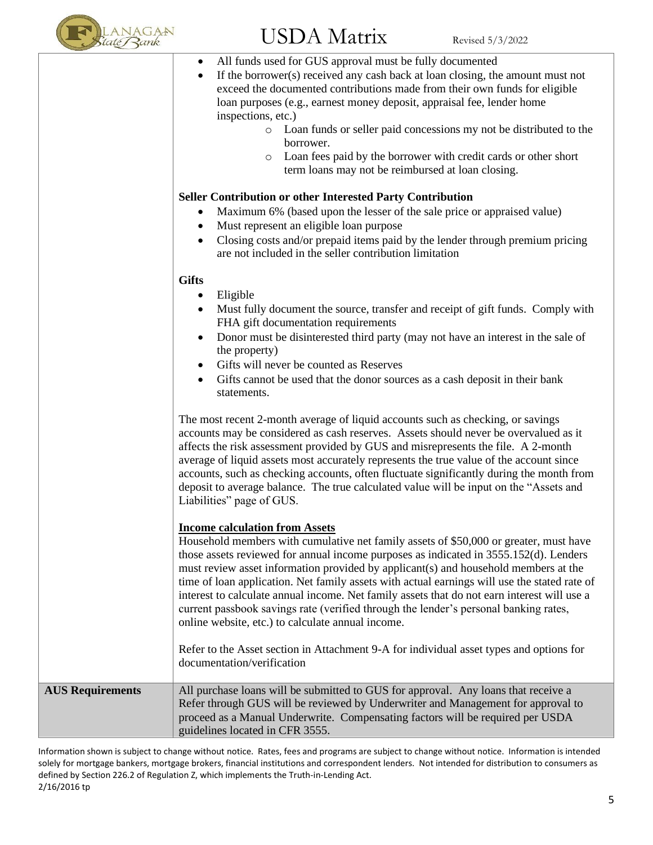

 $\text{USDA Matrix}$  Revised 5/3/2022 All funds used for GUS approval must be fully documented • If the borrower(s) received any cash back at loan closing, the amount must not exceed the documented contributions made from their own funds for eligible loan purposes (e.g., earnest money deposit, appraisal fee, lender home inspections, etc.) o Loan funds or seller paid concessions my not be distributed to the borrower. o Loan fees paid by the borrower with credit cards or other short term loans may not be reimbursed at loan closing. **Seller Contribution or other Interested Party Contribution** • Maximum 6% (based upon the lesser of the sale price or appraised value) • Must represent an eligible loan purpose • Closing costs and/or prepaid items paid by the lender through premium pricing are not included in the seller contribution limitation **Gifts** • Eligible • Must fully document the source, transfer and receipt of gift funds. Comply with FHA gift documentation requirements • Donor must be disinterested third party (may not have an interest in the sale of the property) • Gifts will never be counted as Reserves • Gifts cannot be used that the donor sources as a cash deposit in their bank statements. The most recent 2-month average of liquid accounts such as checking, or savings accounts may be considered as cash reserves. Assets should never be overvalued as it affects the risk assessment provided by GUS and misrepresents the file. A 2-month average of liquid assets most accurately represents the true value of the account since accounts, such as checking accounts, often fluctuate significantly during the month from deposit to average balance. The true calculated value will be input on the "Assets and Liabilities" page of GUS. **Income calculation from Assets** Household members with cumulative net family assets of \$50,000 or greater, must have

those assets reviewed for annual income purposes as indicated in 3555.152(d). Lenders must review asset information provided by applicant(s) and household members at the time of loan application. Net family assets with actual earnings will use the stated rate of interest to calculate annual income. Net family assets that do not earn interest will use a current passbook savings rate (verified through the lender's personal banking rates, online website, etc.) to calculate annual income. Refer to the Asset section in Attachment 9-A for individual asset types and options for documentation/verification **AUS Requirements** All purchase loans will be submitted to GUS for approval. Any loans that receive a

Refer through GUS will be reviewed by Underwriter and Management for approval to proceed as a Manual Underwrite. Compensating factors will be required per USDA guidelines located in CFR 3555.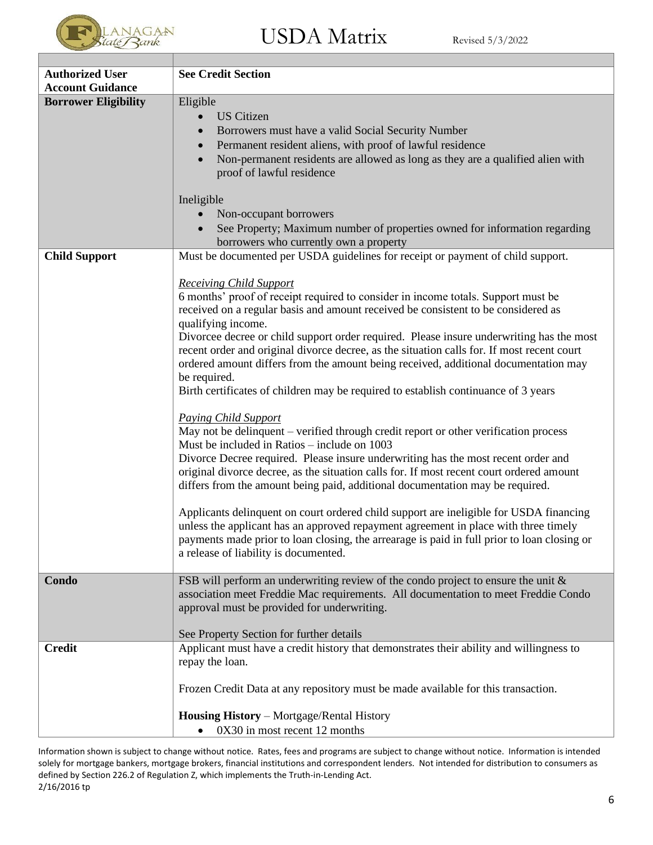

| <b>Authorized User</b>      | <b>See Credit Section</b>                                                                                                                                                     |
|-----------------------------|-------------------------------------------------------------------------------------------------------------------------------------------------------------------------------|
| <b>Account Guidance</b>     |                                                                                                                                                                               |
| <b>Borrower Eligibility</b> | Eligible                                                                                                                                                                      |
|                             | <b>US</b> Citizen                                                                                                                                                             |
|                             | Borrowers must have a valid Social Security Number                                                                                                                            |
|                             | Permanent resident aliens, with proof of lawful residence                                                                                                                     |
|                             | Non-permanent residents are allowed as long as they are a qualified alien with                                                                                                |
|                             | proof of lawful residence                                                                                                                                                     |
|                             | Ineligible                                                                                                                                                                    |
|                             | Non-occupant borrowers                                                                                                                                                        |
|                             | See Property; Maximum number of properties owned for information regarding                                                                                                    |
|                             | borrowers who currently own a property                                                                                                                                        |
| <b>Child Support</b>        | Must be documented per USDA guidelines for receipt or payment of child support.                                                                                               |
|                             |                                                                                                                                                                               |
|                             | <b>Receiving Child Support</b>                                                                                                                                                |
|                             | 6 months' proof of receipt required to consider in income totals. Support must be                                                                                             |
|                             | received on a regular basis and amount received be consistent to be considered as                                                                                             |
|                             | qualifying income.<br>Divorcee decree or child support order required. Please insure underwriting has the most                                                                |
|                             | recent order and original divorce decree, as the situation calls for. If most recent court                                                                                    |
|                             | ordered amount differs from the amount being received, additional documentation may                                                                                           |
|                             | be required.                                                                                                                                                                  |
|                             | Birth certificates of children may be required to establish continuance of 3 years                                                                                            |
|                             |                                                                                                                                                                               |
|                             | <b>Paying Child Support</b>                                                                                                                                                   |
|                             | May not be delinquent - verified through credit report or other verification process                                                                                          |
|                             | Must be included in Ratios – include on 1003                                                                                                                                  |
|                             | Divorce Decree required. Please insure underwriting has the most recent order and<br>original divorce decree, as the situation calls for. If most recent court ordered amount |
|                             | differs from the amount being paid, additional documentation may be required.                                                                                                 |
|                             |                                                                                                                                                                               |
|                             | Applicants delinquent on court ordered child support are ineligible for USDA financing                                                                                        |
|                             | unless the applicant has an approved repayment agreement in place with three timely                                                                                           |
|                             | payments made prior to loan closing, the arrearage is paid in full prior to loan closing or                                                                                   |
|                             | a release of liability is documented.                                                                                                                                         |
| Condo                       |                                                                                                                                                                               |
|                             | FSB will perform an underwriting review of the condo project to ensure the unit $\&$<br>association meet Freddie Mac requirements. All documentation to meet Freddie Condo    |
|                             | approval must be provided for underwriting.                                                                                                                                   |
|                             |                                                                                                                                                                               |
|                             | See Property Section for further details                                                                                                                                      |
| <b>Credit</b>               | Applicant must have a credit history that demonstrates their ability and willingness to                                                                                       |
|                             | repay the loan.                                                                                                                                                               |
|                             |                                                                                                                                                                               |
|                             | Frozen Credit Data at any repository must be made available for this transaction.                                                                                             |
|                             | Housing History - Mortgage/Rental History                                                                                                                                     |
|                             | 0X30 in most recent 12 months                                                                                                                                                 |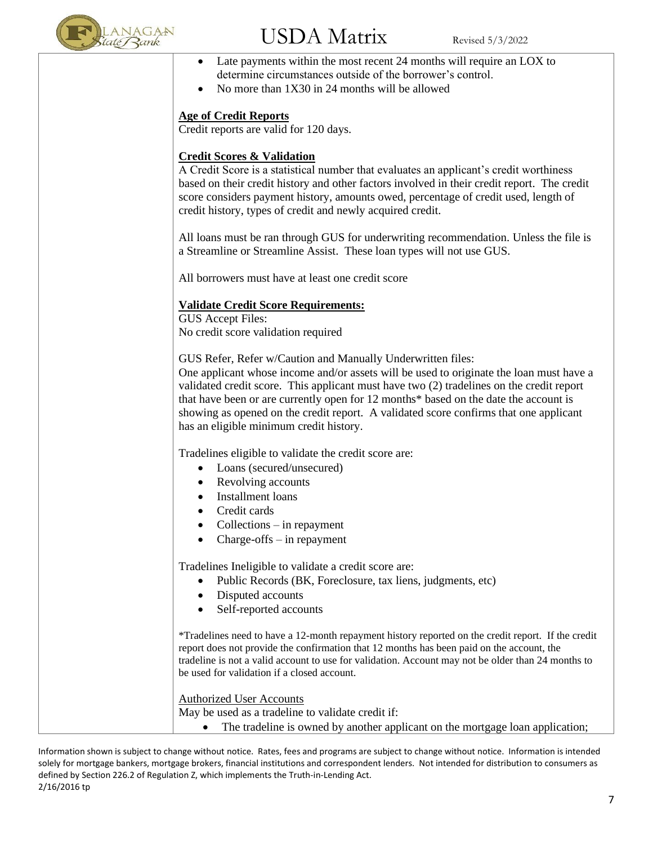

- Late payments within the most recent 24 months will require an LOX to determine circumstances outside of the borrower's control.
- No more than 1X30 in 24 months will be allowed

#### **Age of Credit Reports**

Credit reports are valid for 120 days.

#### **Credit Scores & Validation**

A Credit Score is a statistical number that evaluates an applicant's credit worthiness based on their credit history and other factors involved in their credit report. The credit score considers payment history, amounts owed, percentage of credit used, length of credit history, types of credit and newly acquired credit.

All loans must be ran through GUS for underwriting recommendation. Unless the file is a Streamline or Streamline Assist. These loan types will not use GUS.

All borrowers must have at least one credit score

#### **Validate Credit Score Requirements:**

GUS Accept Files: No credit score validation required

GUS Refer, Refer w/Caution and Manually Underwritten files:

One applicant whose income and/or assets will be used to originate the loan must have a validated credit score. This applicant must have two (2) tradelines on the credit report that have been or are currently open for 12 months\* based on the date the account is showing as opened on the credit report. A validated score confirms that one applicant has an eligible minimum credit history.

Tradelines eligible to validate the credit score are:

- Loans (secured/unsecured)
- Revolving accounts
- Installment loans
- Credit cards
- Collections in repayment
- Charge-offs  $-$  in repayment

Tradelines Ineligible to validate a credit score are:

- Public Records (BK, Foreclosure, tax liens, judgments, etc)
- Disputed accounts
- Self-reported accounts

\*Tradelines need to have a 12-month repayment history reported on the credit report. If the credit report does not provide the confirmation that 12 months has been paid on the account, the tradeline is not a valid account to use for validation. Account may not be older than 24 months to be used for validation if a closed account.

Authorized User Accounts

May be used as a tradeline to validate credit if:

• The tradeline is owned by another applicant on the mortgage loan application;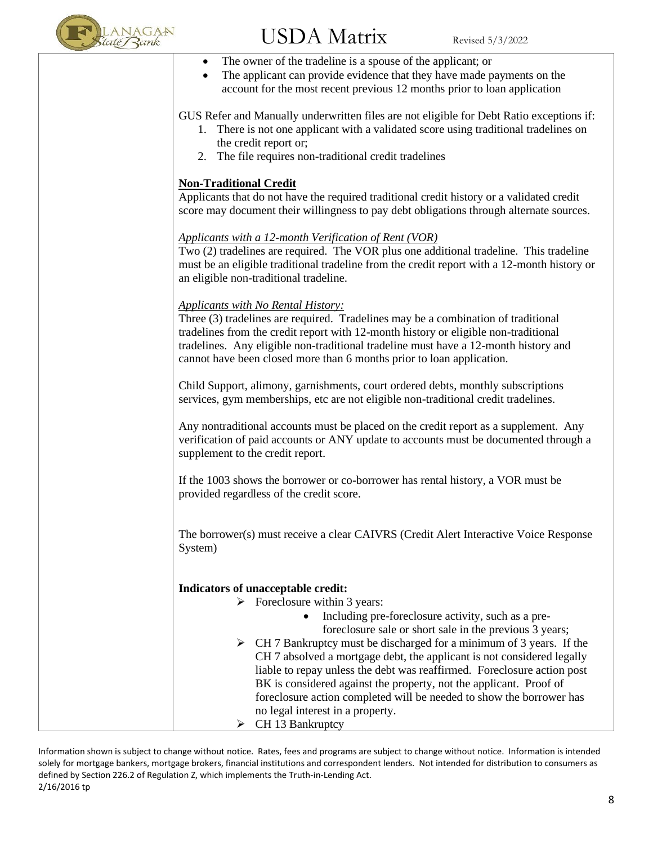

- $\rm JSDA~Matrix$  Revised 5/3/2022 The owner of the tradeline is a spouse of the applicant; or • The applicant can provide evidence that they have made payments on the account for the most recent previous 12 months prior to loan application GUS Refer and Manually underwritten files are not eligible for Debt Ratio exceptions if: 1. There is not one applicant with a validated score using traditional tradelines on the credit report or; 2. The file requires non-traditional credit tradelines **Non-Traditional Credit** Applicants that do not have the required traditional credit history or a validated credit score may document their willingness to pay debt obligations through alternate sources. *Applicants with a 12-month Verification of Rent (VOR)* Two (2) tradelines are required. The VOR plus one additional tradeline. This tradeline must be an eligible traditional tradeline from the credit report with a 12-month history or an eligible non-traditional tradeline. *Applicants with No Rental History:* Three (3) tradelines are required. Tradelines may be a combination of traditional tradelines from the credit report with 12-month history or eligible non-traditional tradelines. Any eligible non-traditional tradeline must have a 12-month history and cannot have been closed more than 6 months prior to loan application. Child Support, alimony, garnishments, court ordered debts, monthly subscriptions services, gym memberships, etc are not eligible non-traditional credit tradelines. Any nontraditional accounts must be placed on the credit report as a supplement. Any verification of paid accounts or ANY update to accounts must be documented through a supplement to the credit report. If the 1003 shows the borrower or co-borrower has rental history, a VOR must be provided regardless of the credit score. The borrower(s) must receive a clear CAIVRS (Credit Alert Interactive Voice Response System) **Indicators of unacceptable credit:**  $\triangleright$  Foreclosure within 3 years: • Including pre-foreclosure activity, such as a preforeclosure sale or short sale in the previous 3 years; ➢ CH 7 Bankruptcy must be discharged for a minimum of 3 years. If the
	- CH 7 absolved a mortgage debt, the applicant is not considered legally liable to repay unless the debt was reaffirmed. Foreclosure action post BK is considered against the property, not the applicant. Proof of foreclosure action completed will be needed to show the borrower has no legal interest in a property.  $\triangleright$  CH 13 Bankruptcy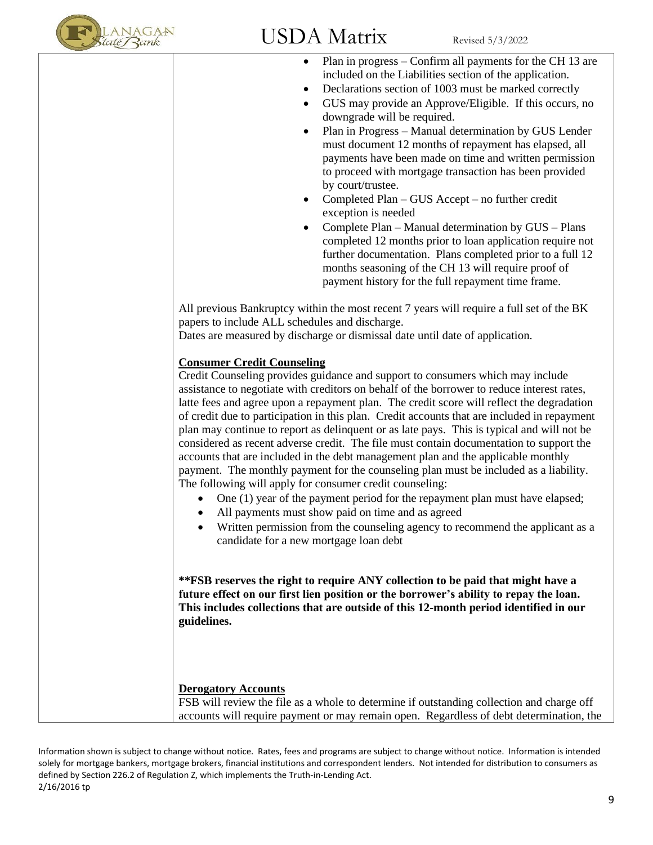

- Plan in progress Confirm all payments for the CH 13 are included on the Liabilities section of the application.
- Declarations section of 1003 must be marked correctly
- GUS may provide an Approve/Eligible. If this occurs, no downgrade will be required.
- Plan in Progress Manual determination by GUS Lender must document 12 months of repayment has elapsed, all payments have been made on time and written permission to proceed with mortgage transaction has been provided by court/trustee.
- Completed Plan GUS Accept no further credit exception is needed
- Complete Plan Manual determination by GUS Plans completed 12 months prior to loan application require not further documentation. Plans completed prior to a full 12 months seasoning of the CH 13 will require proof of payment history for the full repayment time frame.

All previous Bankruptcy within the most recent 7 years will require a full set of the BK papers to include ALL schedules and discharge.

Dates are measured by discharge or dismissal date until date of application.

#### **Consumer Credit Counseling**

Credit Counseling provides guidance and support to consumers which may include assistance to negotiate with creditors on behalf of the borrower to reduce interest rates, latte fees and agree upon a repayment plan. The credit score will reflect the degradation of credit due to participation in this plan. Credit accounts that are included in repayment plan may continue to report as delinquent or as late pays. This is typical and will not be considered as recent adverse credit. The file must contain documentation to support the accounts that are included in the debt management plan and the applicable monthly payment. The monthly payment for the counseling plan must be included as a liability. The following will apply for consumer credit counseling:

- One (1) year of the payment period for the repayment plan must have elapsed;
- All payments must show paid on time and as agreed
- Written permission from the counseling agency to recommend the applicant as a candidate for a new mortgage loan debt

**\*\*FSB reserves the right to require ANY collection to be paid that might have a future effect on our first lien position or the borrower's ability to repay the loan. This includes collections that are outside of this 12-month period identified in our guidelines.**

#### **Derogatory Accounts**

FSB will review the file as a whole to determine if outstanding collection and charge off accounts will require payment or may remain open. Regardless of debt determination, the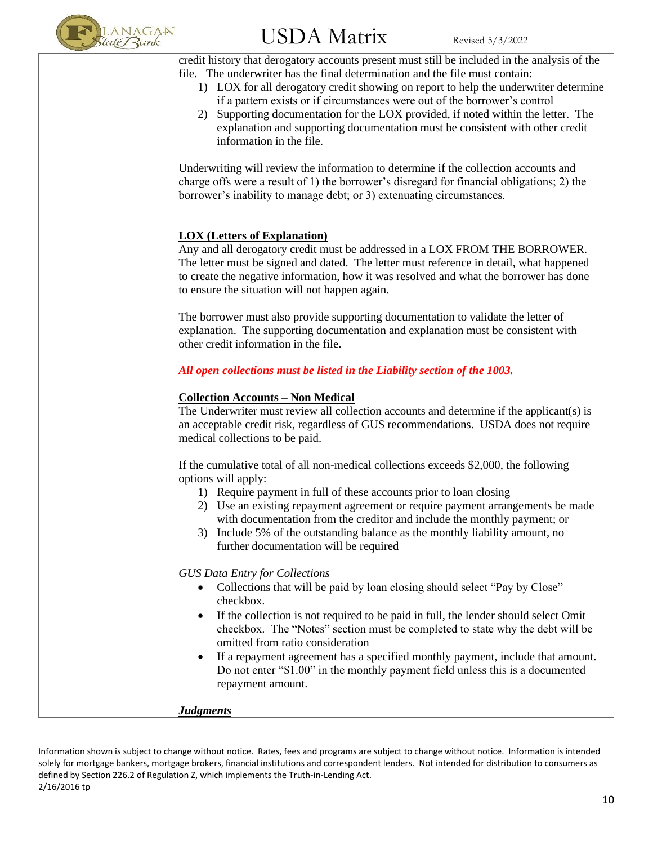

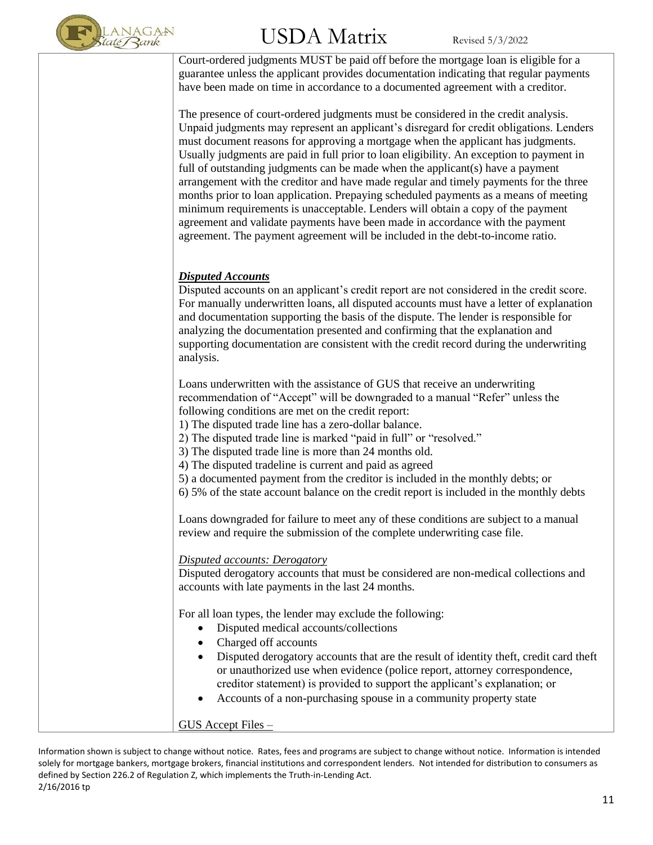

# $\mathrm{USDA\;Matrix}$  Revised 5/3/2022

Court-ordered judgments MUST be paid off before the mortgage loan is eligible for a guarantee unless the applicant provides documentation indicating that regular payments have been made on time in accordance to a documented agreement with a creditor.

The presence of court-ordered judgments must be considered in the credit analysis. Unpaid judgments may represent an applicant's disregard for credit obligations. Lenders must document reasons for approving a mortgage when the applicant has judgments. Usually judgments are paid in full prior to loan eligibility. An exception to payment in full of outstanding judgments can be made when the applicant(s) have a payment arrangement with the creditor and have made regular and timely payments for the three months prior to loan application. Prepaying scheduled payments as a means of meeting minimum requirements is unacceptable. Lenders will obtain a copy of the payment agreement and validate payments have been made in accordance with the payment agreement. The payment agreement will be included in the debt-to-income ratio.

#### *Disputed Accounts*

Disputed accounts on an applicant's credit report are not considered in the credit score. For manually underwritten loans, all disputed accounts must have a letter of explanation and documentation supporting the basis of the dispute. The lender is responsible for analyzing the documentation presented and confirming that the explanation and supporting documentation are consistent with the credit record during the underwriting analysis.

Loans underwritten with the assistance of GUS that receive an underwriting recommendation of "Accept" will be downgraded to a manual "Refer" unless the following conditions are met on the credit report:

1) The disputed trade line has a zero-dollar balance.

2) The disputed trade line is marked "paid in full" or "resolved."

3) The disputed trade line is more than 24 months old.

4) The disputed tradeline is current and paid as agreed

5) a documented payment from the creditor is included in the monthly debts; or

6) 5% of the state account balance on the credit report is included in the monthly debts

Loans downgraded for failure to meet any of these conditions are subject to a manual review and require the submission of the complete underwriting case file.

#### *Disputed accounts: Derogatory*

Disputed derogatory accounts that must be considered are non-medical collections and accounts with late payments in the last 24 months.

For all loan types, the lender may exclude the following:

- Disputed medical accounts/collections
- Charged off accounts
- Disputed derogatory accounts that are the result of identity theft, credit card theft or unauthorized use when evidence (police report, attorney correspondence, creditor statement) is provided to support the applicant's explanation; or
- Accounts of a non-purchasing spouse in a community property state

GUS Accept Files –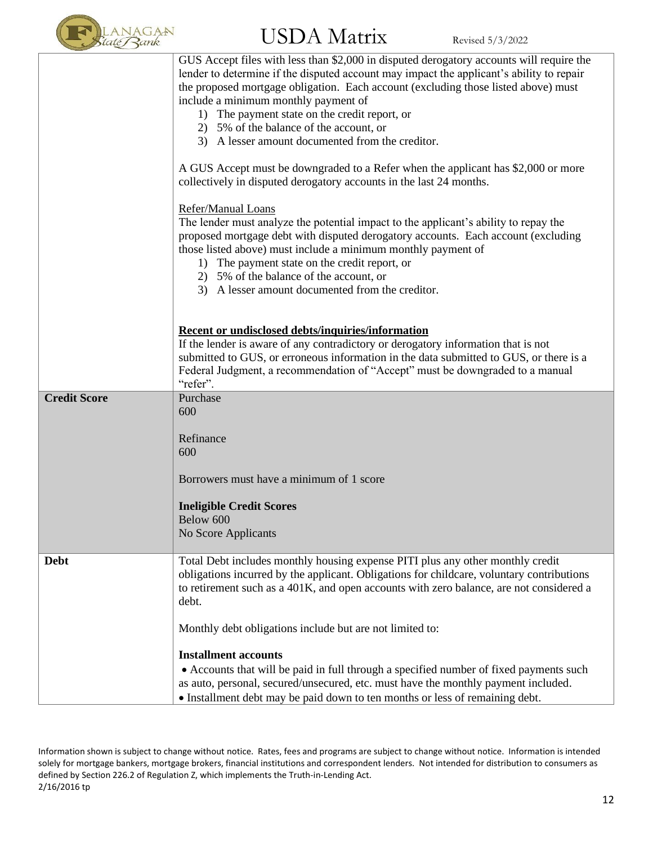

|                     | GUS Accept files with less than \$2,000 in disputed derogatory accounts will require the<br>lender to determine if the disputed account may impact the applicant's ability to repair<br>the proposed mortgage obligation. Each account (excluding those listed above) must<br>include a minimum monthly payment of<br>1) The payment state on the credit report, or<br>2) 5% of the balance of the account, or<br>3) A lesser amount documented from the creditor. |
|---------------------|--------------------------------------------------------------------------------------------------------------------------------------------------------------------------------------------------------------------------------------------------------------------------------------------------------------------------------------------------------------------------------------------------------------------------------------------------------------------|
|                     | A GUS Accept must be downgraded to a Refer when the applicant has \$2,000 or more<br>collectively in disputed derogatory accounts in the last 24 months.                                                                                                                                                                                                                                                                                                           |
|                     | Refer/Manual Loans<br>The lender must analyze the potential impact to the applicant's ability to repay the<br>proposed mortgage debt with disputed derogatory accounts. Each account (excluding<br>those listed above) must include a minimum monthly payment of<br>1) The payment state on the credit report, or<br>2) 5% of the balance of the account, or<br>3) A lesser amount documented from the creditor.                                                   |
|                     | Recent or undisclosed debts/inquiries/information<br>If the lender is aware of any contradictory or derogatory information that is not<br>submitted to GUS, or erroneous information in the data submitted to GUS, or there is a<br>Federal Judgment, a recommendation of "Accept" must be downgraded to a manual<br>"refer".                                                                                                                                      |
| <b>Credit Score</b> | Purchase<br>600<br>Refinance<br>600                                                                                                                                                                                                                                                                                                                                                                                                                                |
|                     | Borrowers must have a minimum of 1 score                                                                                                                                                                                                                                                                                                                                                                                                                           |
|                     | <b>Ineligible Credit Scores</b><br>Below 600<br>No Score Applicants                                                                                                                                                                                                                                                                                                                                                                                                |
| <b>Debt</b>         | Total Debt includes monthly housing expense PITI plus any other monthly credit<br>obligations incurred by the applicant. Obligations for childcare, voluntary contributions<br>to retirement such as a 401K, and open accounts with zero balance, are not considered a<br>debt.                                                                                                                                                                                    |
|                     | Monthly debt obligations include but are not limited to:                                                                                                                                                                                                                                                                                                                                                                                                           |
|                     | <b>Installment accounts</b><br>• Accounts that will be paid in full through a specified number of fixed payments such<br>as auto, personal, secured/unsecured, etc. must have the monthly payment included.<br>• Installment debt may be paid down to ten months or less of remaining debt.                                                                                                                                                                        |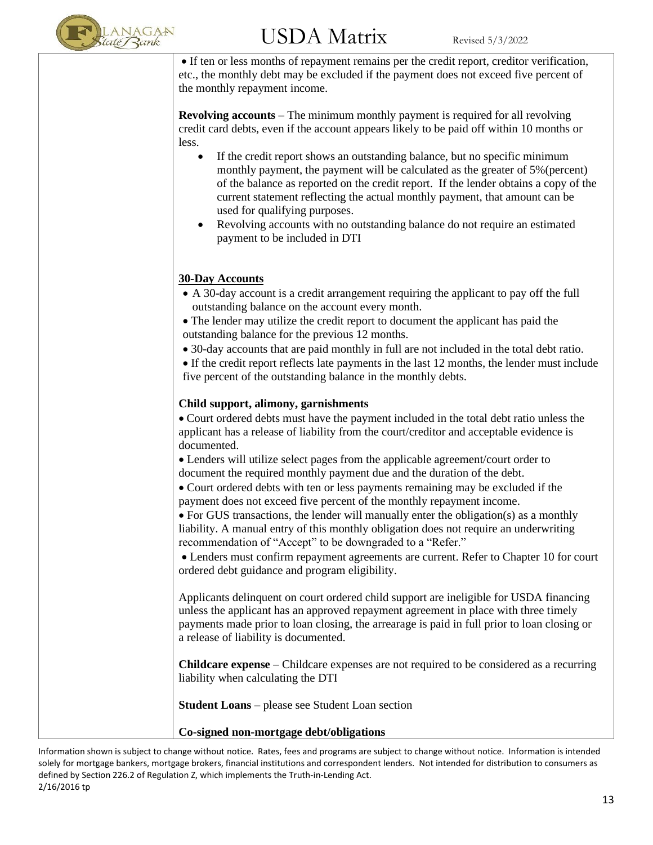

# $\mathrm{USDA\;Matrix}$  Revised 5/3/2022

• If ten or less months of repayment remains per the credit report, creditor verification, etc., the monthly debt may be excluded if the payment does not exceed five percent of the monthly repayment income.

**Revolving accounts** – The minimum monthly payment is required for all revolving credit card debts, even if the account appears likely to be paid off within 10 months or less.

- If the credit report shows an outstanding balance, but no specific minimum monthly payment, the payment will be calculated as the greater of 5%(percent) of the balance as reported on the credit report. If the lender obtains a copy of the current statement reflecting the actual monthly payment, that amount can be used for qualifying purposes.
- Revolving accounts with no outstanding balance do not require an estimated payment to be included in DTI

#### **30-Day Accounts**

- A 30-day account is a credit arrangement requiring the applicant to pay off the full outstanding balance on the account every month.
- The lender may utilize the credit report to document the applicant has paid the outstanding balance for the previous 12 months.
- 30-day accounts that are paid monthly in full are not included in the total debt ratio.
- If the credit report reflects late payments in the last 12 months, the lender must include five percent of the outstanding balance in the monthly debts.

#### **Child support, alimony, garnishments**

• Court ordered debts must have the payment included in the total debt ratio unless the applicant has a release of liability from the court/creditor and acceptable evidence is documented.

• Lenders will utilize select pages from the applicable agreement/court order to document the required monthly payment due and the duration of the debt.

• Court ordered debts with ten or less payments remaining may be excluded if the payment does not exceed five percent of the monthly repayment income.

• For GUS transactions, the lender will manually enter the obligation(s) as a monthly liability. A manual entry of this monthly obligation does not require an underwriting recommendation of "Accept" to be downgraded to a "Refer."

• Lenders must confirm repayment agreements are current. Refer to Chapter 10 for court ordered debt guidance and program eligibility.

Applicants delinquent on court ordered child support are ineligible for USDA financing unless the applicant has an approved repayment agreement in place with three timely payments made prior to loan closing, the arrearage is paid in full prior to loan closing or a release of liability is documented.

**Childcare expense** – Childcare expenses are not required to be considered as a recurring liability when calculating the DTI

**Student Loans** – please see Student Loan section

**Co-signed non-mortgage debt/obligations**

Information shown is subject to change without notice. Rates, fees and programs are subject to change without notice. Information is intended solely for mortgage bankers, mortgage brokers, financial institutions and correspondent lenders. Not intended for distribution to consumers as defined by Section 226.2 of Regulation Z, which implements the Truth-in-Lending Act. 2/16/2016 tp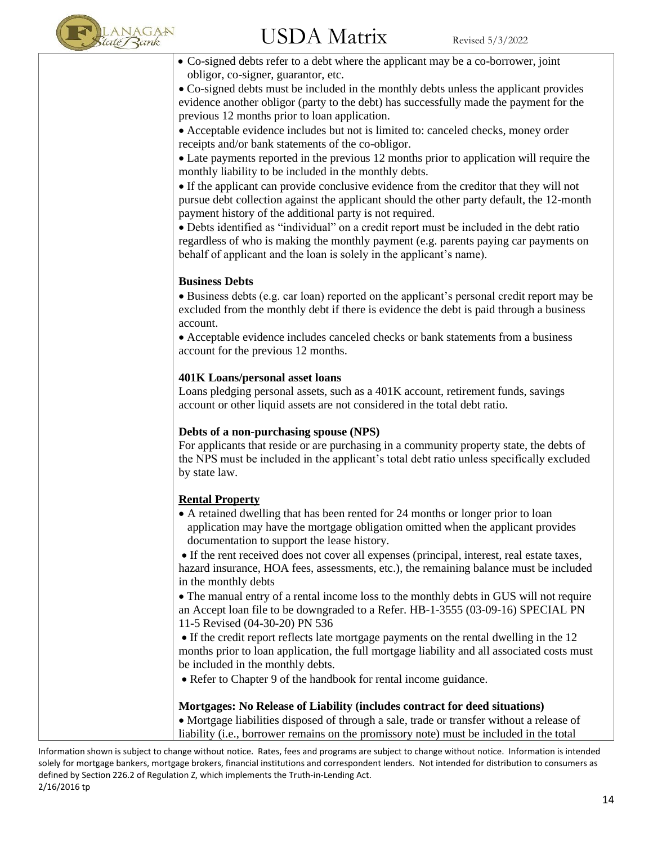

• Co-signed debts refer to a debt where the applicant may be a co-borrower, joint obligor, co-signer, guarantor, etc.

• Co-signed debts must be included in the monthly debts unless the applicant provides evidence another obligor (party to the debt) has successfully made the payment for the previous 12 months prior to loan application.

• Acceptable evidence includes but not is limited to: canceled checks, money order receipts and/or bank statements of the co-obligor.

• Late payments reported in the previous 12 months prior to application will require the monthly liability to be included in the monthly debts.

• If the applicant can provide conclusive evidence from the creditor that they will not pursue debt collection against the applicant should the other party default, the 12-month payment history of the additional party is not required.

• Debts identified as "individual" on a credit report must be included in the debt ratio regardless of who is making the monthly payment (e.g. parents paying car payments on behalf of applicant and the loan is solely in the applicant's name).

#### **Business Debts**

• Business debts (e.g. car loan) reported on the applicant's personal credit report may be excluded from the monthly debt if there is evidence the debt is paid through a business account.

• Acceptable evidence includes canceled checks or bank statements from a business account for the previous 12 months.

#### **401K Loans/personal asset loans**

Loans pledging personal assets, such as a 401K account, retirement funds, savings account or other liquid assets are not considered in the total debt ratio.

#### **Debts of a non-purchasing spouse (NPS)**

For applicants that reside or are purchasing in a community property state, the debts of the NPS must be included in the applicant's total debt ratio unless specifically excluded by state law.

#### **Rental Property**

• A retained dwelling that has been rented for 24 months or longer prior to loan application may have the mortgage obligation omitted when the applicant provides documentation to support the lease history.

• If the rent received does not cover all expenses (principal, interest, real estate taxes, hazard insurance, HOA fees, assessments, etc.), the remaining balance must be included in the monthly debts

• The manual entry of a rental income loss to the monthly debts in GUS will not require an Accept loan file to be downgraded to a Refer. HB-1-3555 (03-09-16) SPECIAL PN 11-5 Revised (04-30-20) PN 536

• If the credit report reflects late mortgage payments on the rental dwelling in the 12 months prior to loan application, the full mortgage liability and all associated costs must be included in the monthly debts.

• Refer to Chapter 9 of the handbook for rental income guidance.

#### **Mortgages: No Release of Liability (includes contract for deed situations)**

• Mortgage liabilities disposed of through a sale, trade or transfer without a release of liability (i.e., borrower remains on the promissory note) must be included in the total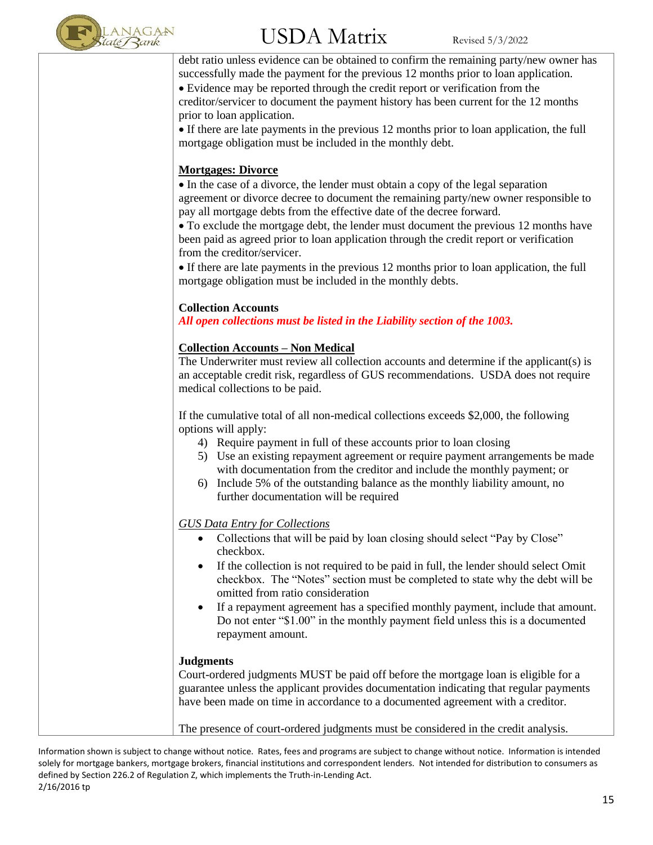

debt ratio unless evidence can be obtained to confirm the remaining party/new owner has successfully made the payment for the previous 12 months prior to loan application. • Evidence may be reported through the credit report or verification from the creditor/servicer to document the payment history has been current for the 12 months

prior to loan application. • If there are late payments in the previous 12 months prior to loan application, the full mortgage obligation must be included in the monthly debt.

#### **Mortgages: Divorce**

• In the case of a divorce, the lender must obtain a copy of the legal separation agreement or divorce decree to document the remaining party/new owner responsible to pay all mortgage debts from the effective date of the decree forward.

• To exclude the mortgage debt, the lender must document the previous 12 months have been paid as agreed prior to loan application through the credit report or verification from the creditor/servicer.

• If there are late payments in the previous 12 months prior to loan application, the full mortgage obligation must be included in the monthly debts.

#### **Collection Accounts**

*All open collections must be listed in the Liability section of the 1003.* 

#### **Collection Accounts – Non Medical**

The Underwriter must review all collection accounts and determine if the applicant(s) is an acceptable credit risk, regardless of GUS recommendations. USDA does not require medical collections to be paid.

If the cumulative total of all non-medical collections exceeds \$2,000, the following options will apply:

- 4) Require payment in full of these accounts prior to loan closing
- 5) Use an existing repayment agreement or require payment arrangements be made with documentation from the creditor and include the monthly payment; or
- 6) Include 5% of the outstanding balance as the monthly liability amount, no further documentation will be required

#### *GUS Data Entry for Collections*

- Collections that will be paid by loan closing should select "Pay by Close" checkbox.
- If the collection is not required to be paid in full, the lender should select Omit checkbox. The "Notes" section must be completed to state why the debt will be omitted from ratio consideration
- If a repayment agreement has a specified monthly payment, include that amount. Do not enter "\$1.00" in the monthly payment field unless this is a documented repayment amount.

#### **Judgments**

Court-ordered judgments MUST be paid off before the mortgage loan is eligible for a guarantee unless the applicant provides documentation indicating that regular payments have been made on time in accordance to a documented agreement with a creditor.

The presence of court-ordered judgments must be considered in the credit analysis.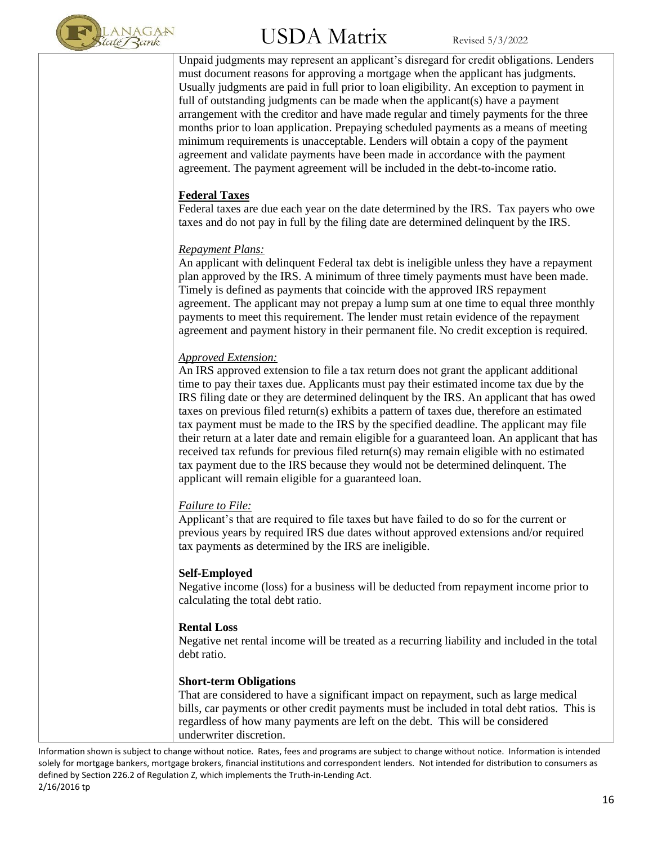

Unpaid judgments may represent an applicant's disregard for credit obligations. Lenders must document reasons for approving a mortgage when the applicant has judgments. Usually judgments are paid in full prior to loan eligibility. An exception to payment in full of outstanding judgments can be made when the applicant(s) have a payment arrangement with the creditor and have made regular and timely payments for the three months prior to loan application. Prepaying scheduled payments as a means of meeting minimum requirements is unacceptable. Lenders will obtain a copy of the payment agreement and validate payments have been made in accordance with the payment agreement. The payment agreement will be included in the debt-to-income ratio.

#### **Federal Taxes**

Federal taxes are due each year on the date determined by the IRS. Tax payers who owe taxes and do not pay in full by the filing date are determined delinquent by the IRS.

#### *Repayment Plans:*

An applicant with delinquent Federal tax debt is ineligible unless they have a repayment plan approved by the IRS. A minimum of three timely payments must have been made. Timely is defined as payments that coincide with the approved IRS repayment agreement. The applicant may not prepay a lump sum at one time to equal three monthly payments to meet this requirement. The lender must retain evidence of the repayment agreement and payment history in their permanent file. No credit exception is required.

#### *Approved Extension:*

An IRS approved extension to file a tax return does not grant the applicant additional time to pay their taxes due. Applicants must pay their estimated income tax due by the IRS filing date or they are determined delinquent by the IRS. An applicant that has owed taxes on previous filed return(s) exhibits a pattern of taxes due, therefore an estimated tax payment must be made to the IRS by the specified deadline. The applicant may file their return at a later date and remain eligible for a guaranteed loan. An applicant that has received tax refunds for previous filed return(s) may remain eligible with no estimated tax payment due to the IRS because they would not be determined delinquent. The applicant will remain eligible for a guaranteed loan.

#### *Failure to File:*

Applicant's that are required to file taxes but have failed to do so for the current or previous years by required IRS due dates without approved extensions and/or required tax payments as determined by the IRS are ineligible.

#### **Self-Employed**

Negative income (loss) for a business will be deducted from repayment income prior to calculating the total debt ratio.

#### **Rental Loss**

Negative net rental income will be treated as a recurring liability and included in the total debt ratio.

#### **Short-term Obligations**

That are considered to have a significant impact on repayment, such as large medical bills, car payments or other credit payments must be included in total debt ratios. This is regardless of how many payments are left on the debt. This will be considered underwriter discretion.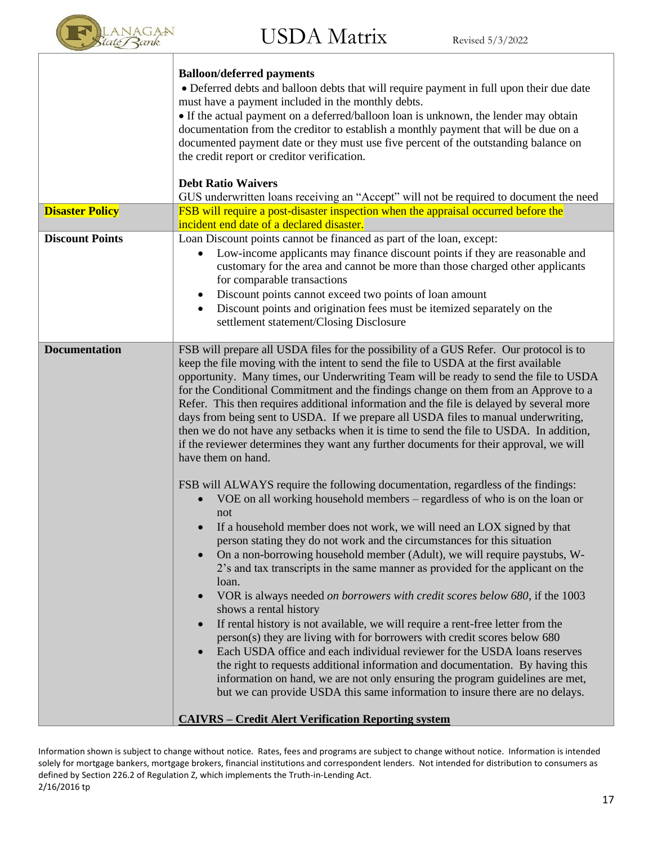

|                        | <b>Balloon/deferred payments</b>                                                                             |
|------------------------|--------------------------------------------------------------------------------------------------------------|
|                        | · Deferred debts and balloon debts that will require payment in full upon their due date                     |
|                        | must have a payment included in the monthly debts.                                                           |
|                        | • If the actual payment on a deferred/balloon loan is unknown, the lender may obtain                         |
|                        | documentation from the creditor to establish a monthly payment that will be due on a                         |
|                        | documented payment date or they must use five percent of the outstanding balance on                          |
|                        | the credit report or creditor verification.                                                                  |
|                        | <b>Debt Ratio Waivers</b>                                                                                    |
|                        | GUS underwritten loans receiving an "Accept" will not be required to document the need                       |
| <b>Disaster Policy</b> | FSB will require a post-disaster inspection when the appraisal occurred before the                           |
|                        | incident end date of a declared disaster.                                                                    |
| <b>Discount Points</b> | Loan Discount points cannot be financed as part of the loan, except:                                         |
|                        | Low-income applicants may finance discount points if they are reasonable and<br>$\bullet$                    |
|                        | customary for the area and cannot be more than those charged other applicants                                |
|                        | for comparable transactions                                                                                  |
|                        | Discount points cannot exceed two points of loan amount<br>$\bullet$                                         |
|                        | Discount points and origination fees must be itemized separately on the                                      |
|                        | settlement statement/Closing Disclosure                                                                      |
|                        |                                                                                                              |
| <b>Documentation</b>   | FSB will prepare all USDA files for the possibility of a GUS Refer. Our protocol is to                       |
|                        | keep the file moving with the intent to send the file to USDA at the first available                         |
|                        | opportunity. Many times, our Underwriting Team will be ready to send the file to USDA                        |
|                        | for the Conditional Commitment and the findings change on them from an Approve to a                          |
|                        | Refer. This then requires additional information and the file is delayed by several more                     |
|                        | days from being sent to USDA. If we prepare all USDA files to manual underwriting,                           |
|                        | then we do not have any setbacks when it is time to send the file to USDA. In addition,                      |
|                        | if the reviewer determines they want any further documents for their approval, we will<br>have them on hand. |
|                        |                                                                                                              |
|                        | FSB will ALWAYS require the following documentation, regardless of the findings:                             |
|                        | VOE on all working household members – regardless of who is on the loan or<br>$\bullet$                      |
|                        | not                                                                                                          |
|                        | If a household member does not work, we will need an LOX signed by that                                      |
|                        | person stating they do not work and the circumstances for this situation                                     |
|                        | On a non-borrowing household member (Adult), we will require paystubs, W-                                    |
|                        | 2's and tax transcripts in the same manner as provided for the applicant on the                              |
|                        | loan.                                                                                                        |
|                        | VOR is always needed on borrowers with credit scores below 680, if the 1003<br>$\bullet$                     |
|                        | shows a rental history                                                                                       |
|                        | If rental history is not available, we will require a rent-free letter from the                              |
|                        | person(s) they are living with for borrowers with credit scores below 680                                    |
|                        | Each USDA office and each individual reviewer for the USDA loans reserves<br>$\bullet$                       |
|                        | the right to requests additional information and documentation. By having this                               |
|                        | information on hand, we are not only ensuring the program guidelines are met,                                |
|                        | but we can provide USDA this same information to insure there are no delays.                                 |
|                        |                                                                                                              |
|                        | <b>CAIVRS - Credit Alert Verification Reporting system</b>                                                   |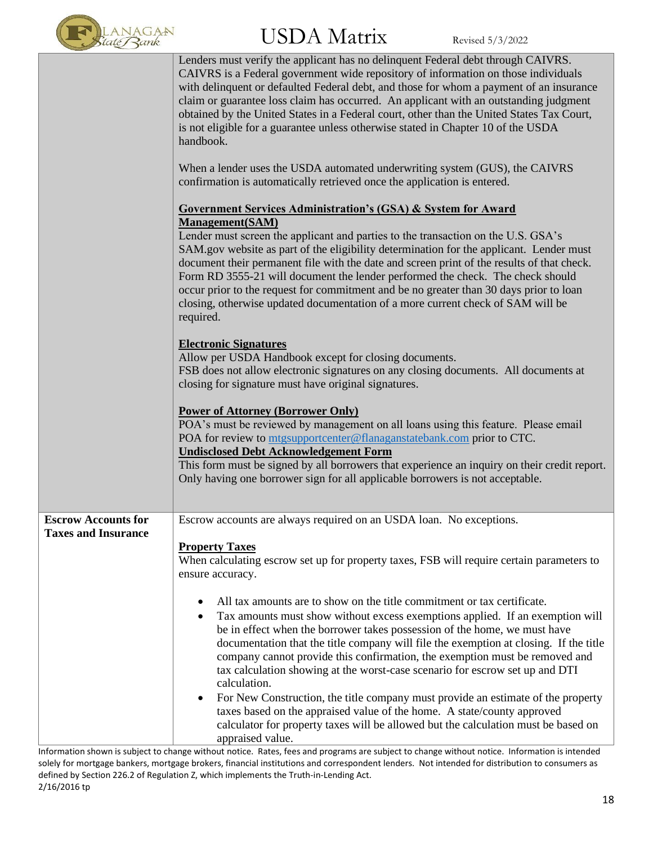

|                            | Lenders must verify the applicant has no delinquent Federal debt through CAIVRS.<br>CAIVRS is a Federal government wide repository of information on those individuals<br>with delinquent or defaulted Federal debt, and those for whom a payment of an insurance<br>claim or guarantee loss claim has occurred. An applicant with an outstanding judgment<br>obtained by the United States in a Federal court, other than the United States Tax Court,<br>is not eligible for a guarantee unless otherwise stated in Chapter 10 of the USDA<br>handbook.                                                                                                                                                                                                                                                     |
|----------------------------|---------------------------------------------------------------------------------------------------------------------------------------------------------------------------------------------------------------------------------------------------------------------------------------------------------------------------------------------------------------------------------------------------------------------------------------------------------------------------------------------------------------------------------------------------------------------------------------------------------------------------------------------------------------------------------------------------------------------------------------------------------------------------------------------------------------|
|                            | When a lender uses the USDA automated underwriting system (GUS), the CAIVRS<br>confirmation is automatically retrieved once the application is entered.                                                                                                                                                                                                                                                                                                                                                                                                                                                                                                                                                                                                                                                       |
|                            | <b>Government Services Administration's (GSA) &amp; System for Award</b><br><b>Management</b> (SAM)                                                                                                                                                                                                                                                                                                                                                                                                                                                                                                                                                                                                                                                                                                           |
|                            | Lender must screen the applicant and parties to the transaction on the U.S. GSA's<br>SAM.gov website as part of the eligibility determination for the applicant. Lender must<br>document their permanent file with the date and screen print of the results of that check.<br>Form RD 3555-21 will document the lender performed the check. The check should<br>occur prior to the request for commitment and be no greater than 30 days prior to loan<br>closing, otherwise updated documentation of a more current check of SAM will be<br>required.                                                                                                                                                                                                                                                        |
|                            | <b>Electronic Signatures</b><br>Allow per USDA Handbook except for closing documents.<br>FSB does not allow electronic signatures on any closing documents. All documents at<br>closing for signature must have original signatures.                                                                                                                                                                                                                                                                                                                                                                                                                                                                                                                                                                          |
|                            | <b>Power of Attorney (Borrower Only)</b><br>POA's must be reviewed by management on all loans using this feature. Please email<br>POA for review to mtgsupportcenter@flanaganstatebank.com prior to CTC.<br><b>Undisclosed Debt Acknowledgement Form</b><br>This form must be signed by all borrowers that experience an inquiry on their credit report.<br>Only having one borrower sign for all applicable borrowers is not acceptable.                                                                                                                                                                                                                                                                                                                                                                     |
| <b>Escrow Accounts for</b> | Escrow accounts are always required on an USDA loan. No exceptions.                                                                                                                                                                                                                                                                                                                                                                                                                                                                                                                                                                                                                                                                                                                                           |
| <b>Taxes and Insurance</b> | <b>Property Taxes</b><br>When calculating escrow set up for property taxes, FSB will require certain parameters to<br>ensure accuracy.                                                                                                                                                                                                                                                                                                                                                                                                                                                                                                                                                                                                                                                                        |
|                            | All tax amounts are to show on the title commitment or tax certificate.<br>٠<br>Tax amounts must show without excess exemptions applied. If an exemption will<br>$\bullet$<br>be in effect when the borrower takes possession of the home, we must have<br>documentation that the title company will file the exemption at closing. If the title<br>company cannot provide this confirmation, the exemption must be removed and<br>tax calculation showing at the worst-case scenario for escrow set up and DTI<br>calculation.<br>For New Construction, the title company must provide an estimate of the property<br>٠<br>taxes based on the appraised value of the home. A state/county approved<br>calculator for property taxes will be allowed but the calculation must be based on<br>appraised value. |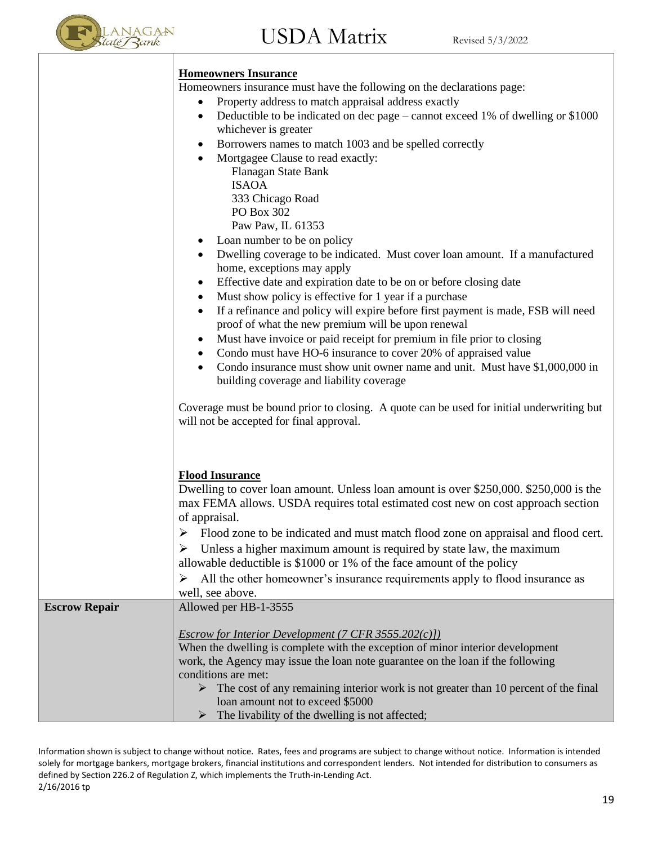

#### **Homeowners Insurance**

Homeowners insurance must have the following on the declarations page:

- Property address to match appraisal address exactly
- Deductible to be indicated on dec page cannot exceed 1% of dwelling or \$1000 whichever is greater
- Borrowers names to match 1003 and be spelled correctly
- Mortgagee Clause to read exactly: Flanagan State Bank ISAOA 333 Chicago Road PO Box 302 Paw Paw, IL 61353
	- Loan number to be on policy
- Dwelling coverage to be indicated. Must cover loan amount. If a manufactured home, exceptions may apply
- Effective date and expiration date to be on or before closing date
- Must show policy is effective for 1 year if a purchase
- If a refinance and policy will expire before first payment is made, FSB will need proof of what the new premium will be upon renewal
- Must have invoice or paid receipt for premium in file prior to closing
- Condo must have HO-6 insurance to cover 20% of appraised value
- Condo insurance must show unit owner name and unit. Must have \$1,000,000 in building coverage and liability coverage

Coverage must be bound prior to closing. A quote can be used for initial underwriting but will not be accepted for final approval.

#### **Flood Insurance**

Dwelling to cover loan amount. Unless loan amount is over \$250,000. \$250,000 is the max FEMA allows. USDA requires total estimated cost new on cost approach section of appraisal.

- ➢ Flood zone to be indicated and must match flood zone on appraisal and flood cert.
- $\triangleright$  Unless a higher maximum amount is required by state law, the maximum allowable deductible is \$1000 or 1% of the face amount of the policy

➢ All the other homeowner's insurance requirements apply to flood insurance as well, see above.

#### **Escrow Repair** Allowed per HB-1-3555 *Escrow for Interior Development (7 CFR 3555.202(c)])* When the dwelling is complete with the exception of minor interior development work, the Agency may issue the loan note guarantee on the loan if the following conditions are met:  $\triangleright$  The cost of any remaining interior work is not greater than 10 percent of the final loan amount not to exceed \$5000  $\triangleright$  The livability of the dwelling is not affected;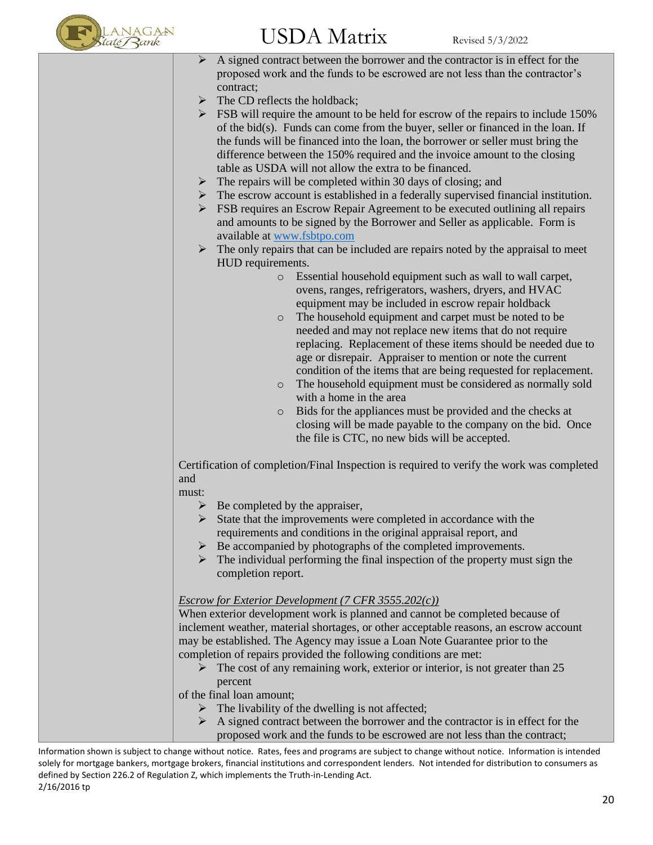

# $\mathrm{USDA\;Matrix}$  Revised 5/3/2022

- $\triangleright$  A signed contract between the borrower and the contractor is in effect for the proposed work and the funds to be escrowed are not less than the contractor's contract;
- The CD reflects the holdback;
- $\triangleright$  FSB will require the amount to be held for escrow of the repairs to include 150% of the bid(s). Funds can come from the buyer, seller or financed in the loan. If the funds will be financed into the loan, the borrower or seller must bring the difference between the 150% required and the invoice amount to the closing table as USDA will not allow the extra to be financed.
- $\triangleright$  The repairs will be completed within 30 days of closing; and
- $\triangleright$  The escrow account is established in a federally supervised financial institution.
- $\triangleright$  FSB requires an Escrow Repair Agreement to be executed outlining all repairs and amounts to be signed by the Borrower and Seller as applicable. Form is available at [www.fsbtpo.com](http://www.fsbtpo.com/)
- $\triangleright$  The only repairs that can be included are repairs noted by the appraisal to meet HUD requirements.
	- o Essential household equipment such as wall to wall carpet, ovens, ranges, refrigerators, washers, dryers, and HVAC equipment may be included in escrow repair holdback
	- o The household equipment and carpet must be noted to be needed and may not replace new items that do not require replacing. Replacement of these items should be needed due to age or disrepair. Appraiser to mention or note the current condition of the items that are being requested for replacement.
	- o The household equipment must be considered as normally sold with a home in the area
	- o Bids for the appliances must be provided and the checks at closing will be made payable to the company on the bid. Once the file is CTC, no new bids will be accepted.

Certification of completion/Final Inspection is required to verify the work was completed and

must:

- $\triangleright$  Be completed by the appraiser,
- $\triangleright$  State that the improvements were completed in accordance with the requirements and conditions in the original appraisal report, and
- ➢ Be accompanied by photographs of the completed improvements.
- $\triangleright$  The individual performing the final inspection of the property must sign the completion report.

#### *Escrow for Exterior Development (7 CFR 3555.202(c))*

When exterior development work is planned and cannot be completed because of inclement weather, material shortages, or other acceptable reasons, an escrow account may be established. The Agency may issue a Loan Note Guarantee prior to the completion of repairs provided the following conditions are met:

 $\triangleright$  The cost of any remaining work, exterior or interior, is not greater than 25 percent

of the final loan amount;

- $\triangleright$  The livability of the dwelling is not affected;
- $\triangleright$  A signed contract between the borrower and the contractor is in effect for the proposed work and the funds to be escrowed are not less than the contract;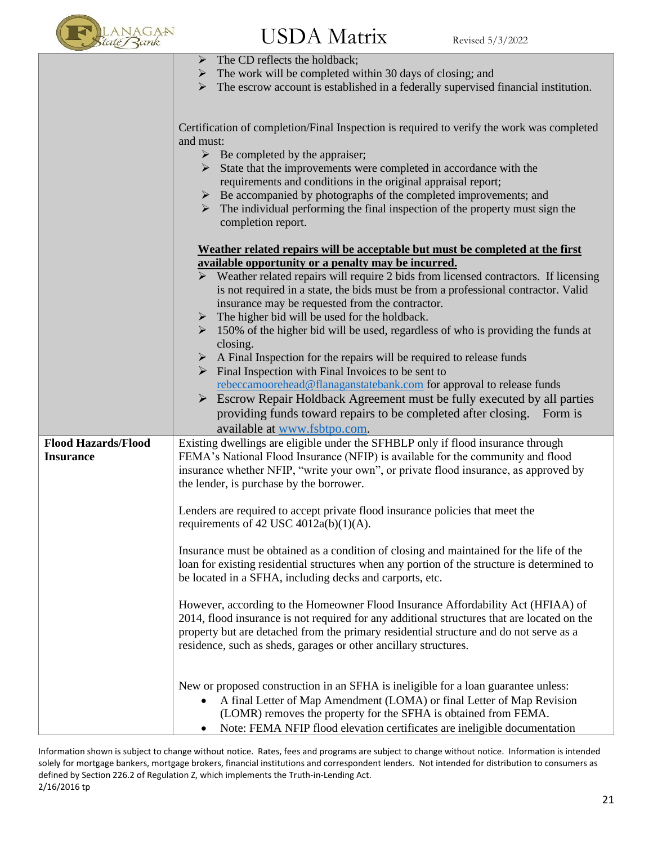

➢ The CD reflects the holdback;

|                            | THE CD TELLECTS THE HORDOCK,                                                                         |
|----------------------------|------------------------------------------------------------------------------------------------------|
|                            | $\triangleright$ The work will be completed within 30 days of closing; and                           |
|                            | $\triangleright$ The escrow account is established in a federally supervised financial institution.  |
|                            |                                                                                                      |
|                            |                                                                                                      |
|                            |                                                                                                      |
|                            | Certification of completion/Final Inspection is required to verify the work was completed            |
|                            | and must:                                                                                            |
|                            | $\triangleright$ Be completed by the appraiser;                                                      |
|                            | $\triangleright$ State that the improvements were completed in accordance with the                   |
|                            | requirements and conditions in the original appraisal report;                                        |
|                            | $\triangleright$ Be accompanied by photographs of the completed improvements; and                    |
|                            |                                                                                                      |
|                            | $\triangleright$ The individual performing the final inspection of the property must sign the        |
|                            | completion report.                                                                                   |
|                            |                                                                                                      |
|                            | Weather related repairs will be acceptable but must be completed at the first                        |
|                            | available opportunity or a penalty may be incurred.                                                  |
|                            | $\triangleright$ Weather related repairs will require 2 bids from licensed contractors. If licensing |
|                            | is not required in a state, the bids must be from a professional contractor. Valid                   |
|                            |                                                                                                      |
|                            | insurance may be requested from the contractor.                                                      |
|                            | $\triangleright$ The higher bid will be used for the holdback.                                       |
|                            | $\geq$ 150% of the higher bid will be used, regardless of who is providing the funds at              |
|                            | closing.                                                                                             |
|                            | $\triangleright$ A Final Inspection for the repairs will be required to release funds                |
|                            | $\triangleright$ Final Inspection with Final Invoices to be sent to                                  |
|                            |                                                                                                      |
|                            | rebeccamoorehead@flanaganstatebank.com for approval to release funds                                 |
|                            | $\triangleright$ Escrow Repair Holdback Agreement must be fully executed by all parties              |
|                            | providing funds toward repairs to be completed after closing. Form is                                |
|                            | available at www.fsbtpo.com.                                                                         |
|                            |                                                                                                      |
| <b>Flood Hazards/Flood</b> | Existing dwellings are eligible under the SFHBLP only if flood insurance through                     |
| <b>Insurance</b>           | FEMA's National Flood Insurance (NFIP) is available for the community and flood                      |
|                            | insurance whether NFIP, "write your own", or private flood insurance, as approved by                 |
|                            | the lender, is purchase by the borrower.                                                             |
|                            |                                                                                                      |
|                            | Lenders are required to accept private flood insurance policies that meet the                        |
|                            | requirements of 42 USC 4012a(b)(1)(A).                                                               |
|                            |                                                                                                      |
|                            |                                                                                                      |
|                            | Insurance must be obtained as a condition of closing and maintained for the life of the              |
|                            | loan for existing residential structures when any portion of the structure is determined to          |
|                            | be located in a SFHA, including decks and carports, etc.                                             |
|                            |                                                                                                      |
|                            | However, according to the Homeowner Flood Insurance Affordability Act (HFIAA) of                     |
|                            | 2014, flood insurance is not required for any additional structures that are located on the          |
|                            | property but are detached from the primary residential structure and do not serve as a               |
|                            |                                                                                                      |
|                            | residence, such as sheds, garages or other ancillary structures.                                     |
|                            |                                                                                                      |
|                            |                                                                                                      |
|                            | New or proposed construction in an SFHA is ineligible for a loan guarantee unless:                   |
|                            | A final Letter of Map Amendment (LOMA) or final Letter of Map Revision                               |
|                            |                                                                                                      |

- (LOMR) removes the property for the SFHA is obtained from FEMA.
- Note: FEMA NFIP flood elevation certificates are ineligible documentation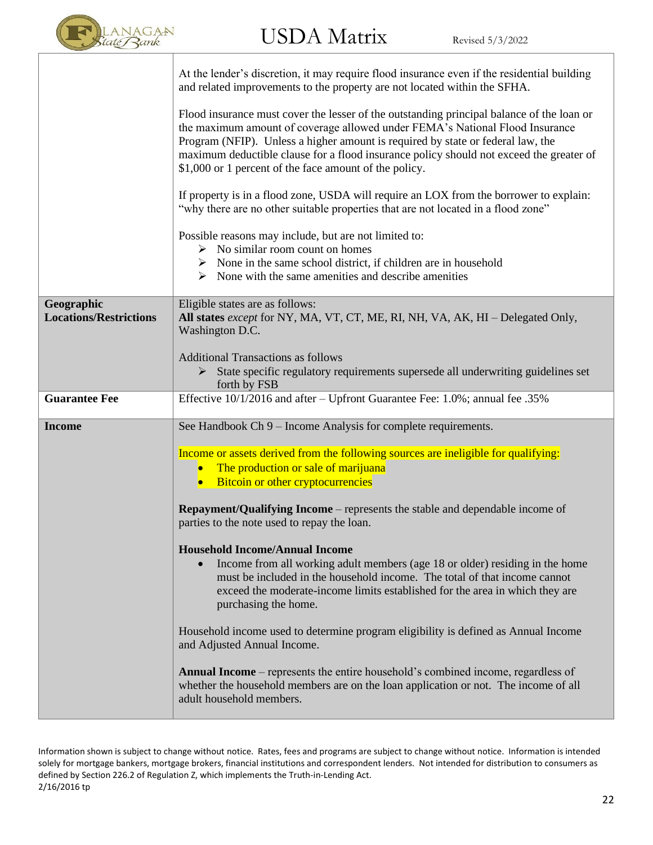

|                                             | At the lender's discretion, it may require flood insurance even if the residential building<br>and related improvements to the property are not located within the SFHA.                                                                                                                                                                                                                                          |
|---------------------------------------------|-------------------------------------------------------------------------------------------------------------------------------------------------------------------------------------------------------------------------------------------------------------------------------------------------------------------------------------------------------------------------------------------------------------------|
|                                             | Flood insurance must cover the lesser of the outstanding principal balance of the loan or<br>the maximum amount of coverage allowed under FEMA's National Flood Insurance<br>Program (NFIP). Unless a higher amount is required by state or federal law, the<br>maximum deductible clause for a flood insurance policy should not exceed the greater of<br>\$1,000 or 1 percent of the face amount of the policy. |
|                                             | If property is in a flood zone, USDA will require an LOX from the borrower to explain:<br>"why there are no other suitable properties that are not located in a flood zone"                                                                                                                                                                                                                                       |
|                                             | Possible reasons may include, but are not limited to:<br>$\triangleright$ No similar room count on homes<br>$\triangleright$ None in the same school district, if children are in household<br>$\triangleright$ None with the same amenities and describe amenities                                                                                                                                               |
| Geographic<br><b>Locations/Restrictions</b> | Eligible states are as follows:<br>All states except for NY, MA, VT, CT, ME, RI, NH, VA, AK, HI – Delegated Only,<br>Washington D.C.                                                                                                                                                                                                                                                                              |
|                                             | <b>Additional Transactions as follows</b><br>> State specific regulatory requirements supersede all underwriting guidelines set<br>forth by FSB                                                                                                                                                                                                                                                                   |
|                                             |                                                                                                                                                                                                                                                                                                                                                                                                                   |
| <b>Guarantee Fee</b>                        | Effective 10/1/2016 and after – Upfront Guarantee Fee: 1.0%; annual fee .35%                                                                                                                                                                                                                                                                                                                                      |
| <b>Income</b>                               | See Handbook Ch 9 – Income Analysis for complete requirements.                                                                                                                                                                                                                                                                                                                                                    |
|                                             | Income or assets derived from the following sources are ineligible for qualifying:<br>The production or sale of marijuana<br>$\bullet$<br>Bitcoin or other cryptocurrencies<br>$\bullet$                                                                                                                                                                                                                          |
|                                             | <b>Repayment/Qualifying Income</b> – represents the stable and dependable income of<br>parties to the note used to repay the loan.                                                                                                                                                                                                                                                                                |
|                                             | <b>Household Income/Annual Income</b><br>Income from all working adult members (age 18 or older) residing in the home<br>must be included in the household income. The total of that income cannot<br>exceed the moderate-income limits established for the area in which they are<br>purchasing the home.                                                                                                        |
|                                             | Household income used to determine program eligibility is defined as Annual Income<br>and Adjusted Annual Income.                                                                                                                                                                                                                                                                                                 |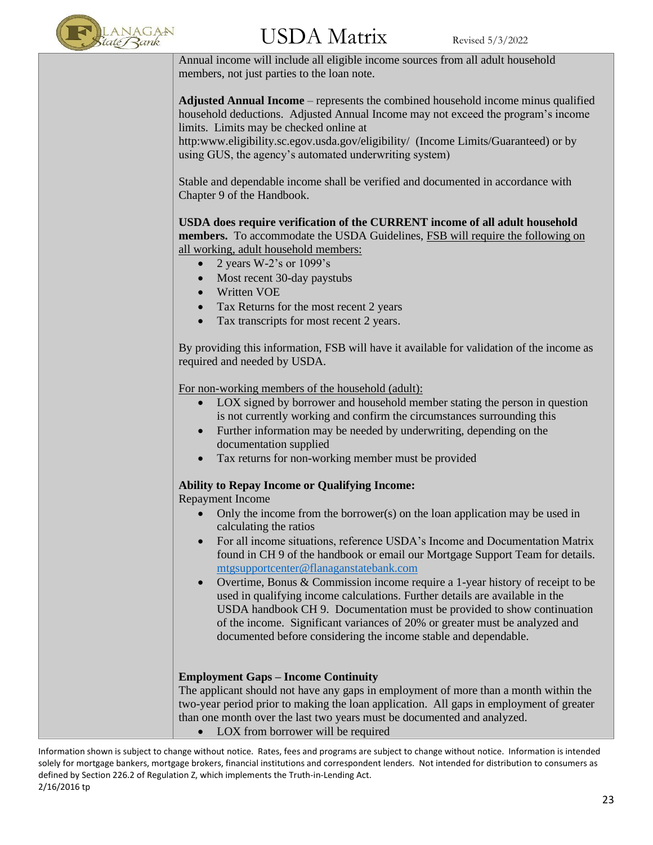

## $\mathrm{USDA\;Matrix}$  Revised 5/3/2022

Annual income will include all eligible income sources from all adult household members, not just parties to the loan note.

**Adjusted Annual Income** – represents the combined household income minus qualified household deductions. Adjusted Annual Income may not exceed the program's income limits. Limits may be checked online at

http:www.eligibility.sc.egov.usda.gov/eligibility/ (Income Limits/Guaranteed) or by using GUS, the agency's automated underwriting system)

Stable and dependable income shall be verified and documented in accordance with Chapter 9 of the Handbook.

**USDA does require verification of the CURRENT income of all adult household members.** To accommodate the USDA Guidelines, FSB will require the following on all working, adult household members:

- 2 years W-2's or 1099's
- Most recent 30-day paystubs
- Written VOE
- Tax Returns for the most recent 2 years
- Tax transcripts for most recent 2 years.

By providing this information, FSB will have it available for validation of the income as required and needed by USDA.

For non-working members of the household (adult):

- LOX signed by borrower and household member stating the person in question is not currently working and confirm the circumstances surrounding this
- Further information may be needed by underwriting, depending on the documentation supplied
- Tax returns for non-working member must be provided

#### **Ability to Repay Income or Qualifying Income:**

Repayment Income

- Only the income from the borrower(s) on the loan application may be used in calculating the ratios
- For all income situations, reference USDA's Income and Documentation Matrix found in CH 9 of the handbook or email our Mortgage Support Team for details. [mtgsupportcenter@flanaganstatebank.com](mailto:mtgsupportcenter@flanaganstatebank.com)
- Overtime, Bonus & Commission income require a 1-year history of receipt to be used in qualifying income calculations. Further details are available in the USDA handbook CH 9. Documentation must be provided to show continuation of the income. Significant variances of 20% or greater must be analyzed and documented before considering the income stable and dependable.

#### **Employment Gaps – Income Continuity**

The applicant should not have any gaps in employment of more than a month within the two-year period prior to making the loan application. All gaps in employment of greater than one month over the last two years must be documented and analyzed.

LOX from borrower will be required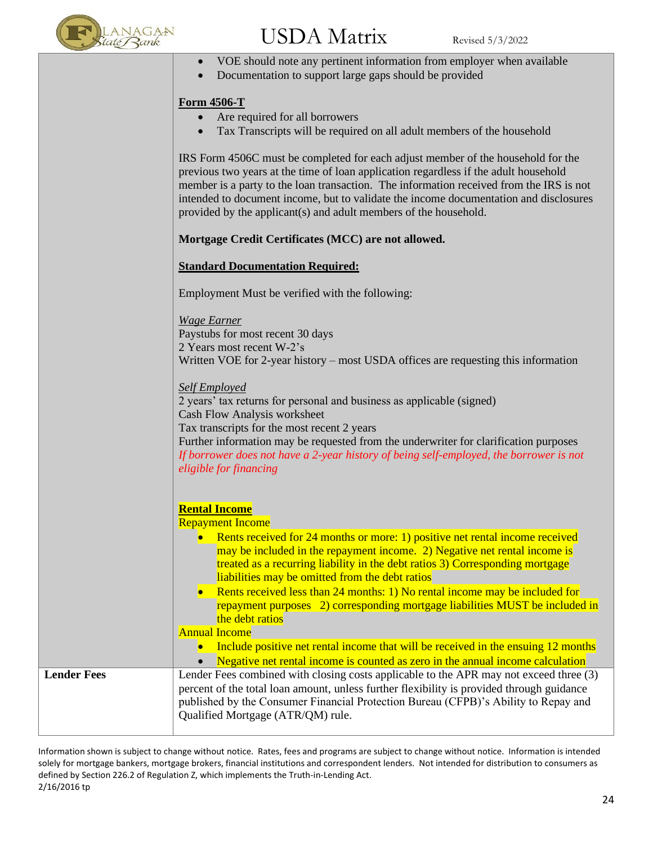

## $\mathrm{USDA\;Matrix}$  Revised 5/3/2022

- VOE should note any pertinent information from employer when available
- Documentation to support large gaps should be provided

#### **Form 4506-T**

- Are required for all borrowers
- Tax Transcripts will be required on all adult members of the household

IRS Form 4506C must be completed for each adjust member of the household for the previous two years at the time of loan application regardless if the adult household member is a party to the loan transaction. The information received from the IRS is not intended to document income, but to validate the income documentation and disclosures provided by the applicant(s) and adult members of the household.

#### **Mortgage Credit Certificates (MCC) are not allowed.**

#### **Standard Documentation Required:**

Employment Must be verified with the following:

*Wage Earner* Paystubs for most recent 30 days 2 Years most recent W-2's Written VOE for 2-year history – most USDA offices are requesting this information

*Self Employed*

2 years' tax returns for personal and business as applicable (signed) Cash Flow Analysis worksheet Tax transcripts for the most recent 2 years

Further information may be requested from the underwriter for clarification purposes *If borrower does not have a 2-year history of being self-employed, the borrower is not eligible for financing*

#### **Rental Income**

Repayment Income

- Rents received for 24 months or more: 1) positive net rental income received may be included in the repayment income. 2) Negative net rental income is treated as a recurring liability in the debt ratios 3) Corresponding mortgage liabilities may be omitted from the debt ratios
- Rents received less than 24 months: 1) No rental income may be included for repayment purposes 2) corresponding mortgage liabilities MUST be included in the debt ratios

#### Annual Income

• Include positive net rental income that will be received in the ensuing 12 months

• Negative net rental income is counted as zero in the annual income calculation

**Lender Fees** Lender Fees combined with closing costs applicable to the APR may not exceed three (3) percent of the total loan amount, unless further flexibility is provided through guidance published by the Consumer Financial Protection Bureau (CFPB)'s Ability to Repay and Qualified Mortgage (ATR/QM) rule.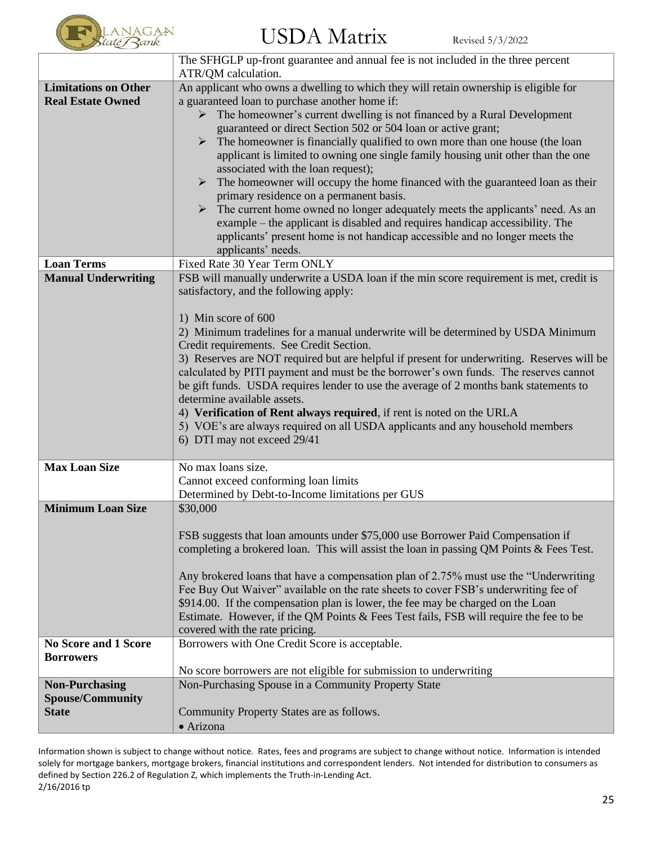

|                             | The SFHGLP up-front guarantee and annual fee is not included in the three percent                                                                         |
|-----------------------------|-----------------------------------------------------------------------------------------------------------------------------------------------------------|
|                             | ATR/QM calculation.                                                                                                                                       |
| <b>Limitations on Other</b> | An applicant who owns a dwelling to which they will retain ownership is eligible for                                                                      |
| <b>Real Estate Owned</b>    | a guaranteed loan to purchase another home if:                                                                                                            |
|                             | $\triangleright$ The homeowner's current dwelling is not financed by a Rural Development<br>guaranteed or direct Section 502 or 504 loan or active grant; |
|                             | The homeowner is financially qualified to own more than one house (the loan<br>➤                                                                          |
|                             | applicant is limited to owning one single family housing unit other than the one                                                                          |
|                             | associated with the loan request);                                                                                                                        |
|                             | $\triangleright$ The homeowner will occupy the home financed with the guaranteed loan as their                                                            |
|                             | primary residence on a permanent basis.                                                                                                                   |
|                             | > The current home owned no longer adequately meets the applicants' need. As an                                                                           |
|                             | example – the applicant is disabled and requires handicap accessibility. The                                                                              |
|                             | applicants' present home is not handicap accessible and no longer meets the                                                                               |
|                             | applicants' needs.                                                                                                                                        |
| <b>Loan Terms</b>           | Fixed Rate 30 Year Term ONLY                                                                                                                              |
| <b>Manual Underwriting</b>  | FSB will manually underwrite a USDA loan if the min score requirement is met, credit is                                                                   |
|                             | satisfactory, and the following apply:                                                                                                                    |
|                             | 1) Min score of 600                                                                                                                                       |
|                             | 2) Minimum tradelines for a manual underwrite will be determined by USDA Minimum                                                                          |
|                             | Credit requirements. See Credit Section.                                                                                                                  |
|                             | 3) Reserves are NOT required but are helpful if present for underwriting. Reserves will be                                                                |
|                             | calculated by PITI payment and must be the borrower's own funds. The reserves cannot                                                                      |
|                             | be gift funds. USDA requires lender to use the average of 2 months bank statements to                                                                     |
|                             | determine available assets.                                                                                                                               |
|                             | 4) Verification of Rent always required, if rent is noted on the URLA                                                                                     |
|                             | 5) VOE's are always required on all USDA applicants and any household members                                                                             |
|                             | 6) DTI may not exceed 29/41                                                                                                                               |
| <b>Max Loan Size</b>        | No max loans size.                                                                                                                                        |
|                             | Cannot exceed conforming loan limits                                                                                                                      |
|                             | Determined by Debt-to-Income limitations per GUS                                                                                                          |
| <b>Minimum Loan Size</b>    | \$30,000                                                                                                                                                  |
|                             |                                                                                                                                                           |
|                             | FSB suggests that loan amounts under \$75,000 use Borrower Paid Compensation if                                                                           |
|                             | completing a brokered loan. This will assist the loan in passing QM Points $\&$ Fees Test.                                                                |
|                             | Any brokered loans that have a compensation plan of 2.75% must use the "Underwriting                                                                      |
|                             | Fee Buy Out Waiver" available on the rate sheets to cover FSB's underwriting fee of                                                                       |
|                             | \$914.00. If the compensation plan is lower, the fee may be charged on the Loan                                                                           |
|                             | Estimate. However, if the QM Points & Fees Test fails, FSB will require the fee to be                                                                     |
|                             | covered with the rate pricing.                                                                                                                            |
| <b>No Score and 1 Score</b> | Borrowers with One Credit Score is acceptable.                                                                                                            |
| <b>Borrowers</b>            |                                                                                                                                                           |
|                             | No score borrowers are not eligible for submission to underwriting                                                                                        |
| <b>Non-Purchasing</b>       | Non-Purchasing Spouse in a Community Property State                                                                                                       |
| <b>Spouse/Community</b>     |                                                                                                                                                           |
| <b>State</b>                | Community Property States are as follows.                                                                                                                 |
|                             | · Arizona                                                                                                                                                 |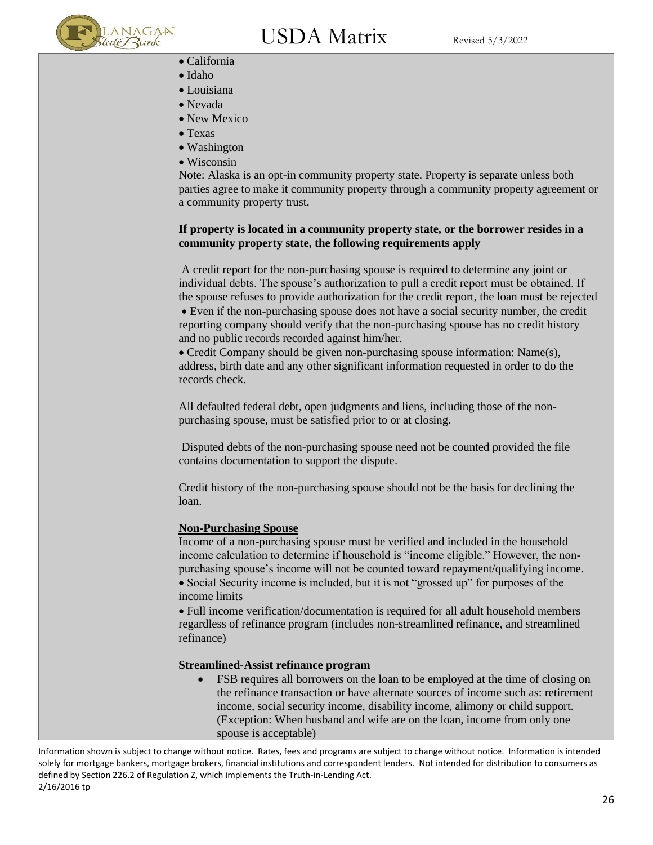

- California
- Idaho
- Louisiana
- Nevada
- New Mexico
- Texas
- Washington
- Wisconsin

Note: Alaska is an opt-in community property state. Property is separate unless both parties agree to make it community property through a community property agreement or a community property trust.

#### **If property is located in a community property state, or the borrower resides in a community property state, the following requirements apply**

A credit report for the non-purchasing spouse is required to determine any joint or individual debts. The spouse's authorization to pull a credit report must be obtained. If the spouse refuses to provide authorization for the credit report, the loan must be rejected • Even if the non-purchasing spouse does not have a social security number, the credit reporting company should verify that the non-purchasing spouse has no credit history and no public records recorded against him/her.

• Credit Company should be given non-purchasing spouse information: Name(s), address, birth date and any other significant information requested in order to do the records check.

All defaulted federal debt, open judgments and liens, including those of the nonpurchasing spouse, must be satisfied prior to or at closing.

Disputed debts of the non-purchasing spouse need not be counted provided the file contains documentation to support the dispute.

Credit history of the non-purchasing spouse should not be the basis for declining the loan.

#### **Non-Purchasing Spouse**

Income of a non-purchasing spouse must be verified and included in the household income calculation to determine if household is "income eligible." However, the nonpurchasing spouse's income will not be counted toward repayment/qualifying income. • Social Security income is included, but it is not "grossed up" for purposes of the income limits

• Full income verification/documentation is required for all adult household members regardless of refinance program (includes non-streamlined refinance, and streamlined refinance)

#### **Streamlined-Assist refinance program**

FSB requires all borrowers on the loan to be employed at the time of closing on the refinance transaction or have alternate sources of income such as: retirement income, social security income, disability income, alimony or child support. (Exception: When husband and wife are on the loan, income from only one spouse is acceptable)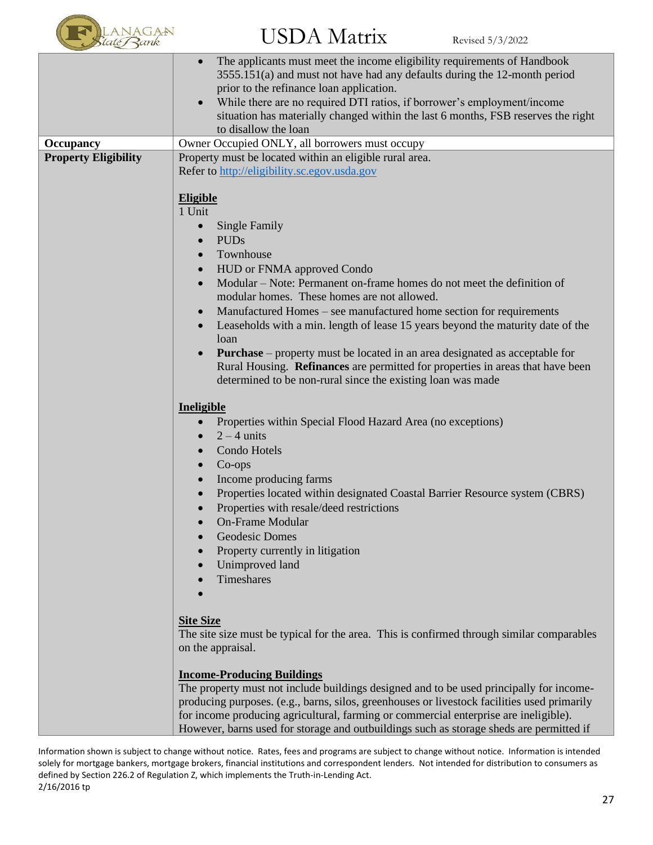

|                             | The applicants must meet the income eligibility requirements of Handbook<br>3555.151(a) and must not have had any defaults during the 12-month period<br>prior to the refinance loan application.                                                                                                                                                                                                                                                                                                                                                             |
|-----------------------------|---------------------------------------------------------------------------------------------------------------------------------------------------------------------------------------------------------------------------------------------------------------------------------------------------------------------------------------------------------------------------------------------------------------------------------------------------------------------------------------------------------------------------------------------------------------|
|                             | While there are no required DTI ratios, if borrower's employment/income<br>situation has materially changed within the last 6 months, FSB reserves the right                                                                                                                                                                                                                                                                                                                                                                                                  |
|                             | to disallow the loan                                                                                                                                                                                                                                                                                                                                                                                                                                                                                                                                          |
| <b>Occupancy</b>            | Owner Occupied ONLY, all borrowers must occupy                                                                                                                                                                                                                                                                                                                                                                                                                                                                                                                |
| <b>Property Eligibility</b> | Property must be located within an eligible rural area.<br>Refer to http://eligibility.sc.egov.usda.gov<br><b>Eligible</b><br>1 Unit<br>Single Family<br>$\bullet$<br><b>PUDs</b><br>$\bullet$<br>Townhouse<br>$\bullet$<br><b>HUD or FNMA approved Condo</b><br>$\bullet$<br>Modular – Note: Permanent on-frame homes do not meet the definition of<br>modular homes. These homes are not allowed.<br>Manufactured Homes – see manufactured home section for requirements<br>Leaseholds with a min. length of lease 15 years beyond the maturity date of the |
|                             | loan<br><b>Purchase</b> – property must be located in an area designated as acceptable for<br>Rural Housing. Refinances are permitted for properties in areas that have been<br>determined to be non-rural since the existing loan was made                                                                                                                                                                                                                                                                                                                   |
|                             | Ineligible<br>Properties within Special Flood Hazard Area (no exceptions)<br>$2 - 4$ units<br>Condo Hotels<br>Co-ops<br>Income producing farms<br>Properties located within designated Coastal Barrier Resource system (CBRS)<br>Properties with resale/deed restrictions<br><b>On-Frame Modular</b>                                                                                                                                                                                                                                                          |
|                             | <b>Geodesic Domes</b><br>Property currently in litigation<br>Unimproved land<br>Timeshares                                                                                                                                                                                                                                                                                                                                                                                                                                                                    |
|                             | <b>Site Size</b><br>The site size must be typical for the area. This is confirmed through similar comparables<br>on the appraisal.                                                                                                                                                                                                                                                                                                                                                                                                                            |
|                             | <b>Income-Producing Buildings</b><br>The property must not include buildings designed and to be used principally for income-<br>producing purposes. (e.g., barns, silos, greenhouses or livestock facilities used primarily<br>for income producing agricultural, farming or commercial enterprise are ineligible).<br>However, barns used for storage and outbuildings such as storage sheds are permitted if                                                                                                                                                |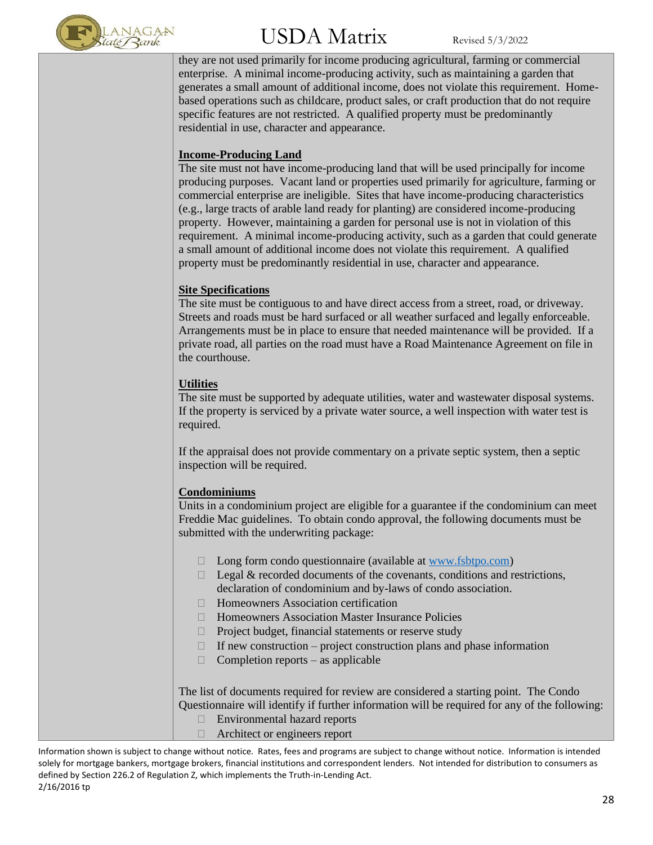

they are not used primarily for income producing agricultural, farming or commercial enterprise. A minimal income-producing activity, such as maintaining a garden that generates a small amount of additional income, does not violate this requirement. Homebased operations such as childcare, product sales, or craft production that do not require specific features are not restricted. A qualified property must be predominantly residential in use, character and appearance.

#### **Income-Producing Land**

The site must not have income-producing land that will be used principally for income producing purposes. Vacant land or properties used primarily for agriculture, farming or commercial enterprise are ineligible. Sites that have income-producing characteristics (e.g., large tracts of arable land ready for planting) are considered income-producing property. However, maintaining a garden for personal use is not in violation of this requirement. A minimal income-producing activity, such as a garden that could generate a small amount of additional income does not violate this requirement. A qualified property must be predominantly residential in use, character and appearance.

#### **Site Specifications**

The site must be contiguous to and have direct access from a street, road, or driveway. Streets and roads must be hard surfaced or all weather surfaced and legally enforceable. Arrangements must be in place to ensure that needed maintenance will be provided. If a private road, all parties on the road must have a Road Maintenance Agreement on file in the courthouse.

#### **Utilities**

The site must be supported by adequate utilities, water and wastewater disposal systems. If the property is serviced by a private water source, a well inspection with water test is required.

If the appraisal does not provide commentary on a private septic system, then a septic inspection will be required.

#### **Condominiums**

Units in a condominium project are eligible for a guarantee if the condominium can meet Freddie Mac guidelines. To obtain condo approval, the following documents must be submitted with the underwriting package:

- $\Box$  Long form condo questionnaire (available at [www.fsbtpo.com\)](http://www.fsbtpo.com/)
- $\Box$  Legal & recorded documents of the covenants, conditions and restrictions, declaration of condominium and by-laws of condo association.
- $\Box$  Homeowners Association certification
- $\Box$  Homeowners Association Master Insurance Policies
- $\Box$  Project budget, financial statements or reserve study
- $\Box$  If new construction project construction plans and phase information
- $\Box$  Completion reports as applicable

The list of documents required for review are considered a starting point. The Condo Questionnaire will identify if further information will be required for any of the following:

- □ Environmental hazard reports
- Architect or engineers report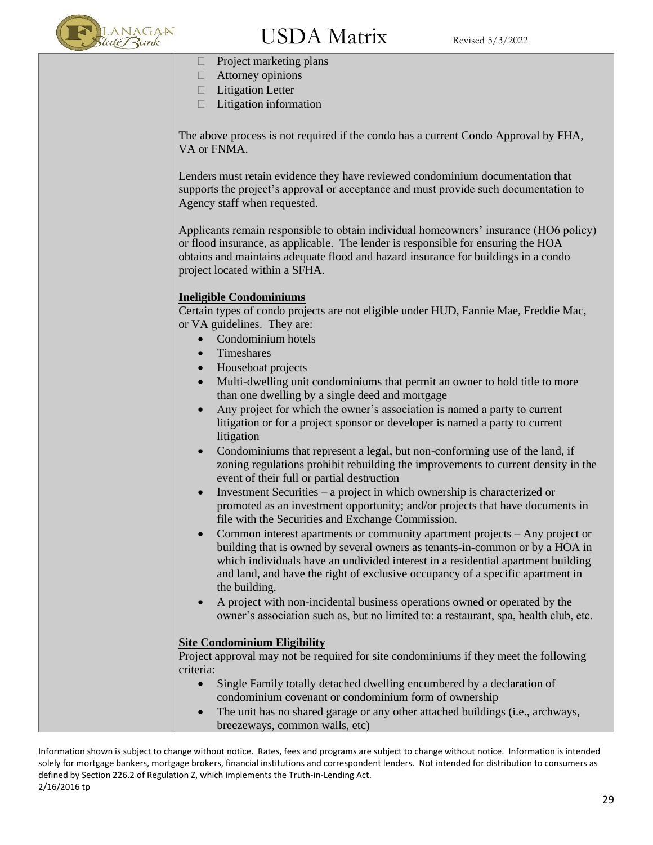

### $\mathrm{USDA\;Matrix}$  Revised 5/3/2022

- $\Box$  Project marketing plans
- □ Attorney opinions
- $\Box$  Litigation Letter
- $\Box$  Litigation information

The above process is not required if the condo has a current Condo Approval by FHA, VA or FNMA.

Lenders must retain evidence they have reviewed condominium documentation that supports the project's approval or acceptance and must provide such documentation to Agency staff when requested.

Applicants remain responsible to obtain individual homeowners' insurance (HO6 policy) or flood insurance, as applicable. The lender is responsible for ensuring the HOA obtains and maintains adequate flood and hazard insurance for buildings in a condo project located within a SFHA.

#### **Ineligible Condominiums**

Certain types of condo projects are not eligible under HUD, Fannie Mae, Freddie Mac, or VA guidelines. They are:

- Condominium hotels
- Timeshares
- Houseboat projects
- Multi-dwelling unit condominiums that permit an owner to hold title to more than one dwelling by a single deed and mortgage
- Any project for which the owner's association is named a party to current litigation or for a project sponsor or developer is named a party to current litigation
- Condominiums that represent a legal, but non-conforming use of the land, if zoning regulations prohibit rebuilding the improvements to current density in the event of their full or partial destruction
- Investment Securities a project in which ownership is characterized or promoted as an investment opportunity; and/or projects that have documents in file with the Securities and Exchange Commission.
- Common interest apartments or community apartment projects Any project or building that is owned by several owners as tenants-in-common or by a HOA in which individuals have an undivided interest in a residential apartment building and land, and have the right of exclusive occupancy of a specific apartment in the building.
- A project with non-incidental business operations owned or operated by the owner's association such as, but no limited to: a restaurant, spa, health club, etc.

#### **Site Condominium Eligibility**

Project approval may not be required for site condominiums if they meet the following criteria:

- Single Family totally detached dwelling encumbered by a declaration of condominium covenant or condominium form of ownership
- The unit has no shared garage or any other attached buildings (i.e., archways, breezeways, common walls, etc)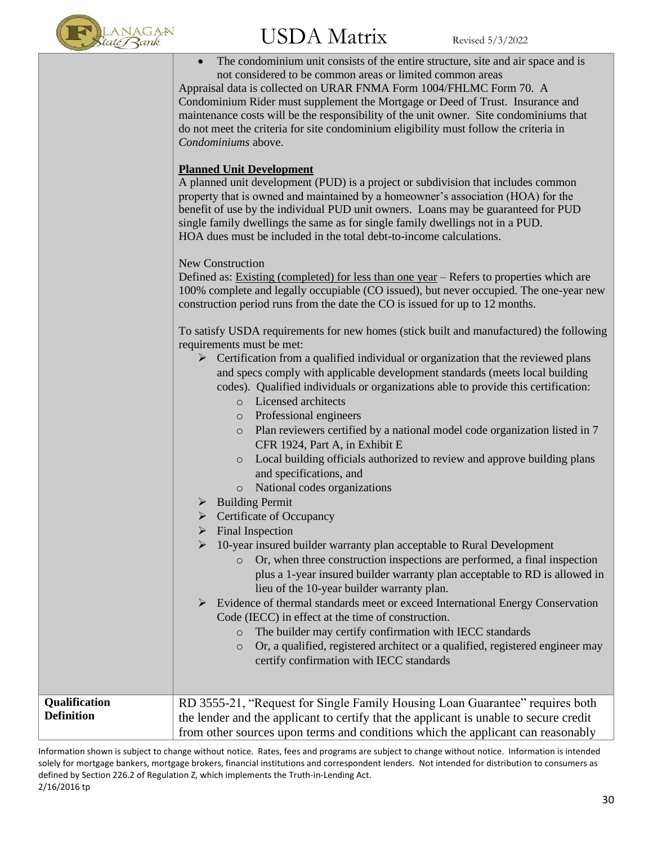

|                                    | The condominium unit consists of the entire structure, site and air space and is<br>$\bullet$<br>not considered to be common areas or limited common areas<br>Appraisal data is collected on URAR FNMA Form 1004/FHLMC Form 70. A<br>Condominium Rider must supplement the Mortgage or Deed of Trust. Insurance and<br>maintenance costs will be the responsibility of the unit owner. Site condominiums that<br>do not meet the criteria for site condominium eligibility must follow the criteria in<br>Condominiums above.<br><b>Planned Unit Development</b><br>A planned unit development (PUD) is a project or subdivision that includes common<br>property that is owned and maintained by a homeowner's association (HOA) for the<br>benefit of use by the individual PUD unit owners. Loans may be guaranteed for PUD<br>single family dwellings the same as for single family dwellings not in a PUD.<br>HOA dues must be included in the total debt-to-income calculations.<br>New Construction<br>Defined as: Existing (completed) for less than one year - Refers to properties which are<br>100% complete and legally occupiable (CO issued), but never occupied. The one-year new<br>construction period runs from the date the CO is issued for up to 12 months.<br>To satisfy USDA requirements for new homes (stick built and manufactured) the following<br>requirements must be met:<br>$\triangleright$ Certification from a qualified individual or organization that the reviewed plans<br>and specs comply with applicable development standards (meets local building<br>codes). Qualified individuals or organizations able to provide this certification:<br>o Licensed architects<br>Professional engineers<br>$\circ$<br>Plan reviewers certified by a national model code organization listed in 7<br>$\circ$<br>CFR 1924, Part A, in Exhibit E<br>Local building officials authorized to review and approve building plans<br>$\circ$ |
|------------------------------------|----------------------------------------------------------------------------------------------------------------------------------------------------------------------------------------------------------------------------------------------------------------------------------------------------------------------------------------------------------------------------------------------------------------------------------------------------------------------------------------------------------------------------------------------------------------------------------------------------------------------------------------------------------------------------------------------------------------------------------------------------------------------------------------------------------------------------------------------------------------------------------------------------------------------------------------------------------------------------------------------------------------------------------------------------------------------------------------------------------------------------------------------------------------------------------------------------------------------------------------------------------------------------------------------------------------------------------------------------------------------------------------------------------------------------------------------------------------------------------------------------------------------------------------------------------------------------------------------------------------------------------------------------------------------------------------------------------------------------------------------------------------------------------------------------------------------------------------------------------------------------------------------------------------------------------------------------------------------|
|                                    | and specifications, and                                                                                                                                                                                                                                                                                                                                                                                                                                                                                                                                                                                                                                                                                                                                                                                                                                                                                                                                                                                                                                                                                                                                                                                                                                                                                                                                                                                                                                                                                                                                                                                                                                                                                                                                                                                                                                                                                                                                              |
|                                    | National codes organizations<br>$\circ$                                                                                                                                                                                                                                                                                                                                                                                                                                                                                                                                                                                                                                                                                                                                                                                                                                                                                                                                                                                                                                                                                                                                                                                                                                                                                                                                                                                                                                                                                                                                                                                                                                                                                                                                                                                                                                                                                                                              |
|                                    | <b>Building Permit</b><br><b>Certificate of Occupancy</b>                                                                                                                                                                                                                                                                                                                                                                                                                                                                                                                                                                                                                                                                                                                                                                                                                                                                                                                                                                                                                                                                                                                                                                                                                                                                                                                                                                                                                                                                                                                                                                                                                                                                                                                                                                                                                                                                                                            |
|                                    | Final Inspection                                                                                                                                                                                                                                                                                                                                                                                                                                                                                                                                                                                                                                                                                                                                                                                                                                                                                                                                                                                                                                                                                                                                                                                                                                                                                                                                                                                                                                                                                                                                                                                                                                                                                                                                                                                                                                                                                                                                                     |
|                                    | 10-year insured builder warranty plan acceptable to Rural Development<br>➤                                                                                                                                                                                                                                                                                                                                                                                                                                                                                                                                                                                                                                                                                                                                                                                                                                                                                                                                                                                                                                                                                                                                                                                                                                                                                                                                                                                                                                                                                                                                                                                                                                                                                                                                                                                                                                                                                           |
|                                    | Or, when three construction inspections are performed, a final inspection<br>$\circ$<br>plus a 1-year insured builder warranty plan acceptable to RD is allowed in<br>lieu of the 10-year builder warranty plan.                                                                                                                                                                                                                                                                                                                                                                                                                                                                                                                                                                                                                                                                                                                                                                                                                                                                                                                                                                                                                                                                                                                                                                                                                                                                                                                                                                                                                                                                                                                                                                                                                                                                                                                                                     |
|                                    | Evidence of thermal standards meet or exceed International Energy Conservation<br>$\blacktriangleright$                                                                                                                                                                                                                                                                                                                                                                                                                                                                                                                                                                                                                                                                                                                                                                                                                                                                                                                                                                                                                                                                                                                                                                                                                                                                                                                                                                                                                                                                                                                                                                                                                                                                                                                                                                                                                                                              |
|                                    | Code (IECC) in effect at the time of construction.                                                                                                                                                                                                                                                                                                                                                                                                                                                                                                                                                                                                                                                                                                                                                                                                                                                                                                                                                                                                                                                                                                                                                                                                                                                                                                                                                                                                                                                                                                                                                                                                                                                                                                                                                                                                                                                                                                                   |
|                                    | The builder may certify confirmation with IECC standards<br>$\circ$<br>Or, a qualified, registered architect or a qualified, registered engineer may<br>$\circ$                                                                                                                                                                                                                                                                                                                                                                                                                                                                                                                                                                                                                                                                                                                                                                                                                                                                                                                                                                                                                                                                                                                                                                                                                                                                                                                                                                                                                                                                                                                                                                                                                                                                                                                                                                                                      |
|                                    | certify confirmation with IECC standards                                                                                                                                                                                                                                                                                                                                                                                                                                                                                                                                                                                                                                                                                                                                                                                                                                                                                                                                                                                                                                                                                                                                                                                                                                                                                                                                                                                                                                                                                                                                                                                                                                                                                                                                                                                                                                                                                                                             |
|                                    |                                                                                                                                                                                                                                                                                                                                                                                                                                                                                                                                                                                                                                                                                                                                                                                                                                                                                                                                                                                                                                                                                                                                                                                                                                                                                                                                                                                                                                                                                                                                                                                                                                                                                                                                                                                                                                                                                                                                                                      |
| Qualification<br><b>Definition</b> | RD 3555-21, "Request for Single Family Housing Loan Guarantee" requires both<br>the lender and the applicant to certify that the applicant is unable to secure credit<br>from other sources upon terms and conditions which the applicant can reasonably                                                                                                                                                                                                                                                                                                                                                                                                                                                                                                                                                                                                                                                                                                                                                                                                                                                                                                                                                                                                                                                                                                                                                                                                                                                                                                                                                                                                                                                                                                                                                                                                                                                                                                             |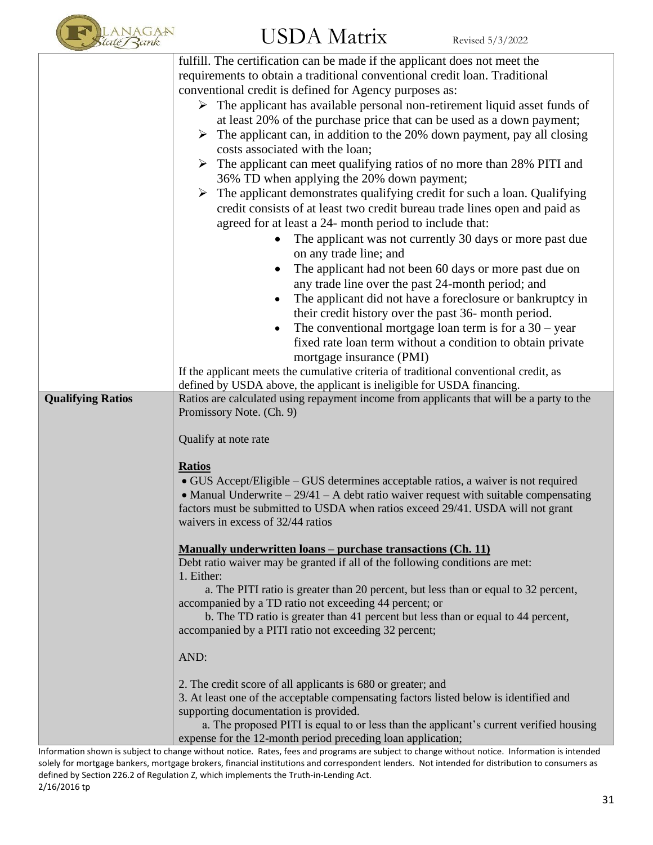

|                          | fulfill. The certification can be made if the applicant does not meet the                                                                     |
|--------------------------|-----------------------------------------------------------------------------------------------------------------------------------------------|
|                          | requirements to obtain a traditional conventional credit loan. Traditional                                                                    |
|                          | conventional credit is defined for Agency purposes as:                                                                                        |
|                          | $\triangleright$ The applicant has available personal non-retirement liquid asset funds of                                                    |
|                          | at least 20% of the purchase price that can be used as a down payment;                                                                        |
|                          | $\triangleright$ The applicant can, in addition to the 20% down payment, pay all closing                                                      |
|                          | costs associated with the loan;                                                                                                               |
|                          | $\triangleright$ The applicant can meet qualifying ratios of no more than 28% PITI and                                                        |
|                          | 36% TD when applying the 20% down payment;                                                                                                    |
|                          | $\triangleright$ The applicant demonstrates qualifying credit for such a loan. Qualifying                                                     |
|                          | credit consists of at least two credit bureau trade lines open and paid as                                                                    |
|                          | agreed for at least a 24- month period to include that:                                                                                       |
|                          | The applicant was not currently 30 days or more past due<br>$\bullet$                                                                         |
|                          | on any trade line; and                                                                                                                        |
|                          | $\bullet$                                                                                                                                     |
|                          | The applicant had not been 60 days or more past due on                                                                                        |
|                          | any trade line over the past 24-month period; and                                                                                             |
|                          | The applicant did not have a foreclosure or bankruptcy in<br>٠                                                                                |
|                          | their credit history over the past 36- month period.                                                                                          |
|                          | The conventional mortgage loan term is for a $30 - year$<br>$\bullet$                                                                         |
|                          | fixed rate loan term without a condition to obtain private                                                                                    |
|                          | mortgage insurance (PMI)                                                                                                                      |
|                          | If the applicant meets the cumulative criteria of traditional conventional credit, as                                                         |
|                          | defined by USDA above, the applicant is ineligible for USDA financing.                                                                        |
| <b>Qualifying Ratios</b> | Ratios are calculated using repayment income from applicants that will be a party to the<br>Promissory Note. (Ch. 9)                          |
|                          |                                                                                                                                               |
|                          | Qualify at note rate                                                                                                                          |
|                          |                                                                                                                                               |
|                          | <b>Ratios</b>                                                                                                                                 |
|                          | • GUS Accept/Eligible – GUS determines acceptable ratios, a waiver is not required                                                            |
|                          | • Manual Underwrite $-29/41 - A$ debt ratio waiver request with suitable compensating                                                         |
|                          | factors must be submitted to USDA when ratios exceed 29/41. USDA will not grant                                                               |
|                          | waivers in excess of 32/44 ratios                                                                                                             |
|                          |                                                                                                                                               |
|                          | <u>Manually underwritten loans – purchase transactions (Ch. 11)</u>                                                                           |
|                          | Debt ratio waiver may be granted if all of the following conditions are met:                                                                  |
|                          | 1. Either:                                                                                                                                    |
|                          | a. The PITI ratio is greater than 20 percent, but less than or equal to 32 percent,<br>accompanied by a TD ratio not exceeding 44 percent; or |
|                          | b. The TD ratio is greater than 41 percent but less than or equal to 44 percent,                                                              |
|                          | accompanied by a PITI ratio not exceeding 32 percent;                                                                                         |
|                          |                                                                                                                                               |
|                          | AND:                                                                                                                                          |
|                          |                                                                                                                                               |
|                          | 2. The credit score of all applicants is 680 or greater; and                                                                                  |
|                          | 3. At least one of the acceptable compensating factors listed below is identified and                                                         |
|                          | supporting documentation is provided.                                                                                                         |
|                          | a. The proposed PITI is equal to or less than the applicant's current verified housing                                                        |
|                          | expense for the 12-month period preceding loan application;                                                                                   |

Information shown is subject to change without notice. Rates, fees and programs are subject to change without notice. Information is intended solely for mortgage bankers, mortgage brokers, financial institutions and correspondent lenders. Not intended for distribution to consumers as defined by Section 226.2 of Regulation Z, which implements the Truth-in-Lending Act. 2/16/2016 tp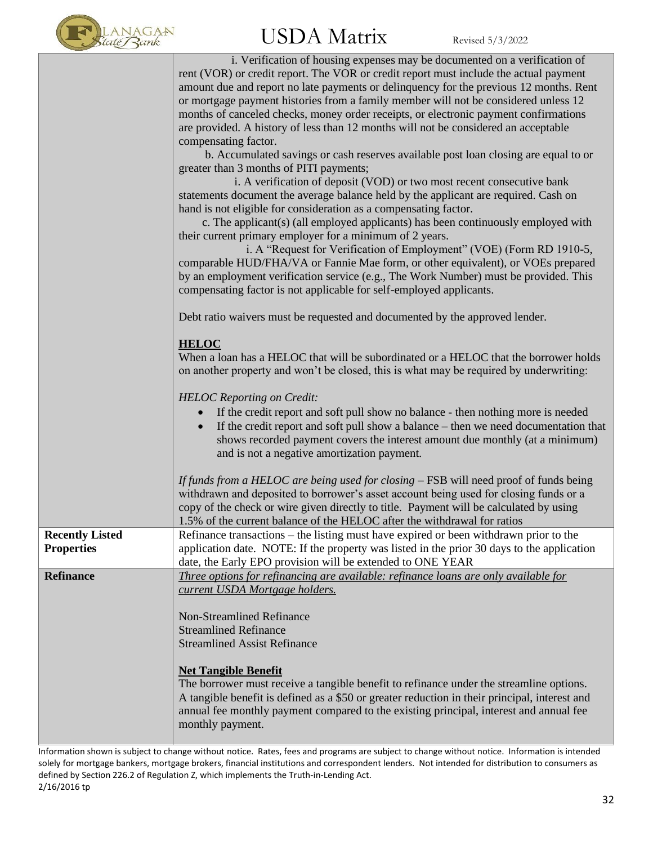

|                        | i. Verification of housing expenses may be documented on a verification of<br>rent (VOR) or credit report. The VOR or credit report must include the actual payment<br>amount due and report no late payments or delinquency for the previous 12 months. Rent<br>or mortgage payment histories from a family member will not be considered unless 12<br>months of canceled checks, money order receipts, or electronic payment confirmations<br>are provided. A history of less than 12 months will not be considered an acceptable<br>compensating factor.<br>b. Accumulated savings or cash reserves available post loan closing are equal to or<br>greater than 3 months of PITI payments;<br>i. A verification of deposit (VOD) or two most recent consecutive bank<br>statements document the average balance held by the applicant are required. Cash on<br>hand is not eligible for consideration as a compensating factor.<br>c. The applicant(s) (all employed applicants) has been continuously employed with<br>their current primary employer for a minimum of 2 years.<br>i. A "Request for Verification of Employment" (VOE) (Form RD 1910-5,<br>comparable HUD/FHA/VA or Fannie Mae form, or other equivalent), or VOEs prepared<br>by an employment verification service (e.g., The Work Number) must be provided. This<br>compensating factor is not applicable for self-employed applicants.<br>Debt ratio waivers must be requested and documented by the approved lender.<br><b>HELOC</b><br>When a loan has a HELOC that will be subordinated or a HELOC that the borrower holds<br>on another property and won't be closed, this is what may be required by underwriting:<br><b>HELOC</b> Reporting on Credit:<br>If the credit report and soft pull show no balance - then nothing more is needed<br>$\bullet$ |
|------------------------|---------------------------------------------------------------------------------------------------------------------------------------------------------------------------------------------------------------------------------------------------------------------------------------------------------------------------------------------------------------------------------------------------------------------------------------------------------------------------------------------------------------------------------------------------------------------------------------------------------------------------------------------------------------------------------------------------------------------------------------------------------------------------------------------------------------------------------------------------------------------------------------------------------------------------------------------------------------------------------------------------------------------------------------------------------------------------------------------------------------------------------------------------------------------------------------------------------------------------------------------------------------------------------------------------------------------------------------------------------------------------------------------------------------------------------------------------------------------------------------------------------------------------------------------------------------------------------------------------------------------------------------------------------------------------------------------------------------------------------------------------------------------------------------------------------------------------------------|
|                        | If the credit report and soft pull show a balance – then we need documentation that<br>shows recorded payment covers the interest amount due monthly (at a minimum)<br>and is not a negative amortization payment.<br>If funds from a HELOC are being used for closing - FSB will need proof of funds being<br>withdrawn and deposited to borrower's asset account being used for closing funds or a<br>copy of the check or wire given directly to title. Payment will be calculated by using                                                                                                                                                                                                                                                                                                                                                                                                                                                                                                                                                                                                                                                                                                                                                                                                                                                                                                                                                                                                                                                                                                                                                                                                                                                                                                                                        |
| <b>Recently Listed</b> | 1.5% of the current balance of the HELOC after the withdrawal for ratios<br>Refinance transactions – the listing must have expired or been withdrawn prior to the                                                                                                                                                                                                                                                                                                                                                                                                                                                                                                                                                                                                                                                                                                                                                                                                                                                                                                                                                                                                                                                                                                                                                                                                                                                                                                                                                                                                                                                                                                                                                                                                                                                                     |
| <b>Properties</b>      | application date. NOTE: If the property was listed in the prior 30 days to the application<br>date, the Early EPO provision will be extended to ONE YEAR                                                                                                                                                                                                                                                                                                                                                                                                                                                                                                                                                                                                                                                                                                                                                                                                                                                                                                                                                                                                                                                                                                                                                                                                                                                                                                                                                                                                                                                                                                                                                                                                                                                                              |
| <b>Refinance</b>       | Three options for refinancing are available: refinance loans are only available for<br>current USDA Mortgage holders.<br><b>Non-Streamlined Refinance</b><br><b>Streamlined Refinance</b><br><b>Streamlined Assist Refinance</b><br><b>Net Tangible Benefit</b><br>The borrower must receive a tangible benefit to refinance under the streamline options.<br>A tangible benefit is defined as a \$50 or greater reduction in their principal, interest and<br>annual fee monthly payment compared to the existing principal, interest and annual fee<br>monthly payment.                                                                                                                                                                                                                                                                                                                                                                                                                                                                                                                                                                                                                                                                                                                                                                                                                                                                                                                                                                                                                                                                                                                                                                                                                                                             |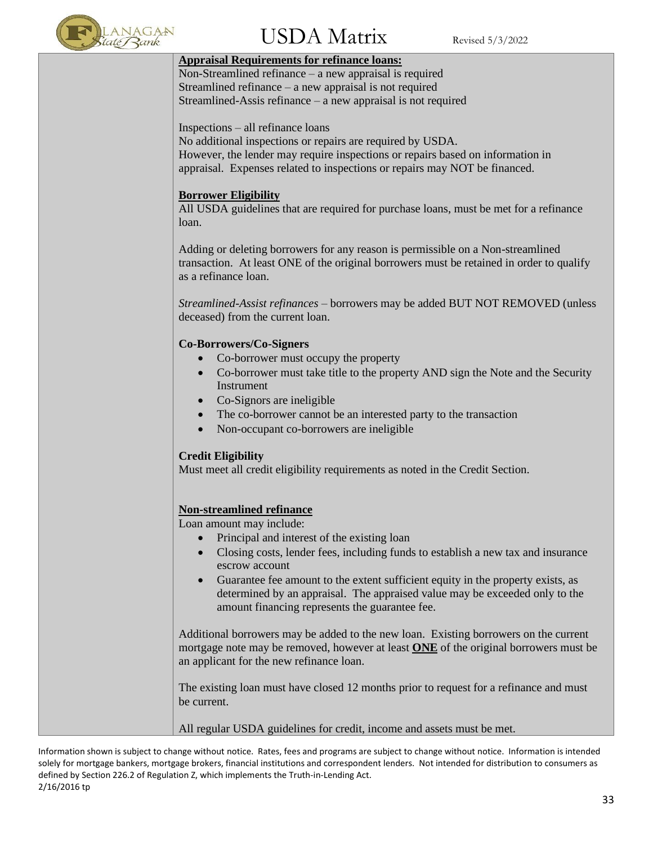

### $\rm{USDA~Matrix}$  Revised 5/3/2022

#### **Appraisal Requirements for refinance loans:**

Non-Streamlined refinance – a new appraisal is required Streamlined refinance – a new appraisal is not required Streamlined-Assis refinance – a new appraisal is not required

Inspections – all refinance loans

No additional inspections or repairs are required by USDA. However, the lender may require inspections or repairs based on information in appraisal. Expenses related to inspections or repairs may NOT be financed.

#### **Borrower Eligibility**

All USDA guidelines that are required for purchase loans, must be met for a refinance loan.

Adding or deleting borrowers for any reason is permissible on a Non-streamlined transaction. At least ONE of the original borrowers must be retained in order to qualify as a refinance loan.

*Streamlined-Assist refinances* – borrowers may be added BUT NOT REMOVED (unless deceased) from the current loan.

#### **Co-Borrowers/Co-Signers**

- Co-borrower must occupy the property
- Co-borrower must take title to the property AND sign the Note and the Security Instrument
- Co-Signors are ineligible
- The co-borrower cannot be an interested party to the transaction
- Non-occupant co-borrowers are ineligible

#### **Credit Eligibility**

Must meet all credit eligibility requirements as noted in the Credit Section.

#### **Non-streamlined refinance**

Loan amount may include:

- Principal and interest of the existing loan
- Closing costs, lender fees, including funds to establish a new tax and insurance escrow account
- Guarantee fee amount to the extent sufficient equity in the property exists, as determined by an appraisal. The appraised value may be exceeded only to the amount financing represents the guarantee fee.

Additional borrowers may be added to the new loan. Existing borrowers on the current mortgage note may be removed, however at least **ONE** of the original borrowers must be an applicant for the new refinance loan.

The existing loan must have closed 12 months prior to request for a refinance and must be current.

All regular USDA guidelines for credit, income and assets must be met.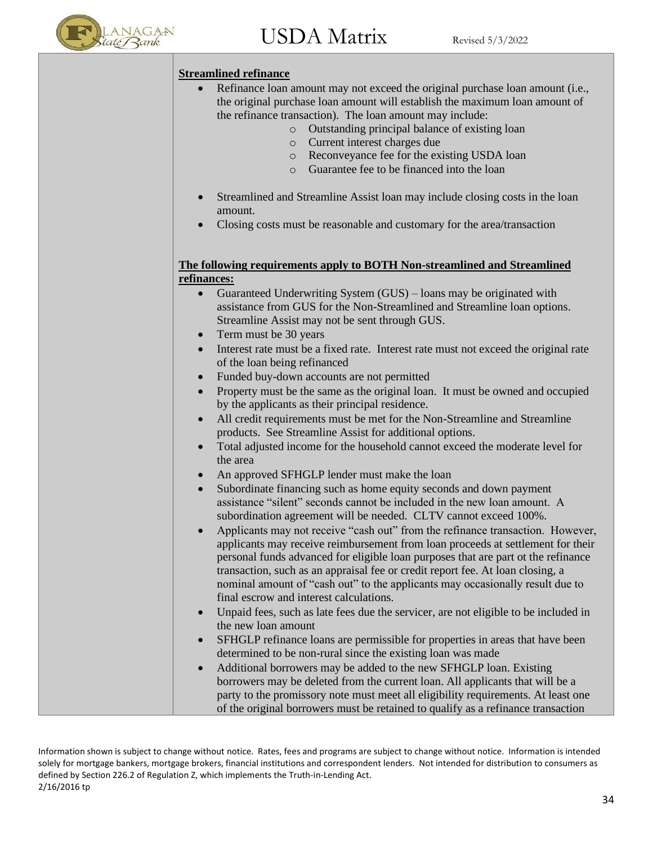

#### **Streamlined refinance**

- Refinance loan amount may not exceed the original purchase loan amount (i.e., the original purchase loan amount will establish the maximum loan amount of the refinance transaction). The loan amount may include:
	- o Outstanding principal balance of existing loan
	- o Current interest charges due
	- o Reconveyance fee for the existing USDA loan
	- o Guarantee fee to be financed into the loan
- Streamlined and Streamline Assist loan may include closing costs in the loan amount.
- Closing costs must be reasonable and customary for the area/transaction

#### **The following requirements apply to BOTH Non-streamlined and Streamlined refinances:**

- Guaranteed Underwriting System (GUS) loans may be originated with assistance from GUS for the Non-Streamlined and Streamline loan options. Streamline Assist may not be sent through GUS.
- Term must be 30 years
- Interest rate must be a fixed rate. Interest rate must not exceed the original rate of the loan being refinanced
- Funded buy-down accounts are not permitted
- Property must be the same as the original loan. It must be owned and occupied by the applicants as their principal residence.
- All credit requirements must be met for the Non-Streamline and Streamline products. See Streamline Assist for additional options.
- Total adjusted income for the household cannot exceed the moderate level for the area
- An approved SFHGLP lender must make the loan
- Subordinate financing such as home equity seconds and down payment assistance "silent" seconds cannot be included in the new loan amount. A subordination agreement will be needed. CLTV cannot exceed 100%.
- Applicants may not receive "cash out" from the refinance transaction. However, applicants may receive reimbursement from loan proceeds at settlement for their personal funds advanced for eligible loan purposes that are part ot the refinance transaction, such as an appraisal fee or credit report fee. At loan closing, a nominal amount of "cash out" to the applicants may occasionally result due to final escrow and interest calculations.
- Unpaid fees, such as late fees due the servicer, are not eligible to be included in the new loan amount
- SFHGLP refinance loans are permissible for properties in areas that have been determined to be non-rural since the existing loan was made
- Additional borrowers may be added to the new SFHGLP loan. Existing borrowers may be deleted from the current loan. All applicants that will be a party to the promissory note must meet all eligibility requirements. At least one of the original borrowers must be retained to qualify as a refinance transaction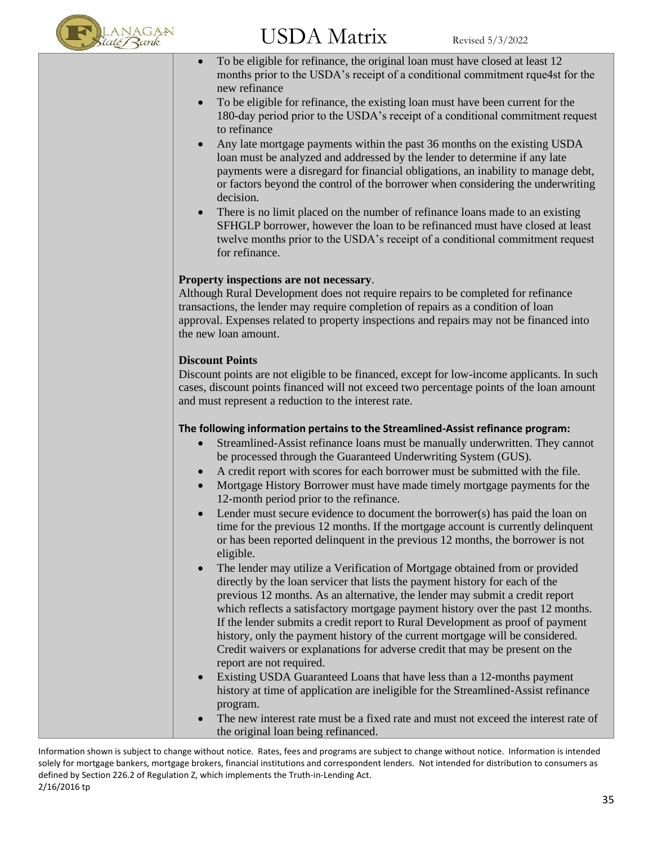

- To be eligible for refinance, the original loan must have closed at least 12 months prior to the USDA's receipt of a conditional commitment rque4st for the new refinance
- To be eligible for refinance, the existing loan must have been current for the 180-day period prior to the USDA's receipt of a conditional commitment request to refinance
- Any late mortgage payments within the past 36 months on the existing USDA loan must be analyzed and addressed by the lender to determine if any late payments were a disregard for financial obligations, an inability to manage debt, or factors beyond the control of the borrower when considering the underwriting decision.
- There is no limit placed on the number of refinance loans made to an existing SFHGLP borrower, however the loan to be refinanced must have closed at least twelve months prior to the USDA's receipt of a conditional commitment request for refinance.

#### **Property inspections are not necessary**.

Although Rural Development does not require repairs to be completed for refinance transactions, the lender may require completion of repairs as a condition of loan approval. Expenses related to property inspections and repairs may not be financed into the new loan amount.

#### **Discount Points**

Discount points are not eligible to be financed, except for low-income applicants. In such cases, discount points financed will not exceed two percentage points of the loan amount and must represent a reduction to the interest rate.

#### **The following information pertains to the Streamlined-Assist refinance program:**

- Streamlined-Assist refinance loans must be manually underwritten. They cannot be processed through the Guaranteed Underwriting System (GUS).
- A credit report with scores for each borrower must be submitted with the file.
- Mortgage History Borrower must have made timely mortgage payments for the 12-month period prior to the refinance.
- Lender must secure evidence to document the borrower(s) has paid the loan on time for the previous 12 months. If the mortgage account is currently delinquent or has been reported delinquent in the previous 12 months, the borrower is not eligible.
- The lender may utilize a Verification of Mortgage obtained from or provided directly by the loan servicer that lists the payment history for each of the previous 12 months. As an alternative, the lender may submit a credit report which reflects a satisfactory mortgage payment history over the past 12 months. If the lender submits a credit report to Rural Development as proof of payment history, only the payment history of the current mortgage will be considered. Credit waivers or explanations for adverse credit that may be present on the report are not required.
- Existing USDA Guaranteed Loans that have less than a 12-months payment history at time of application are ineligible for the Streamlined-Assist refinance program.
- The new interest rate must be a fixed rate and must not exceed the interest rate of the original loan being refinanced.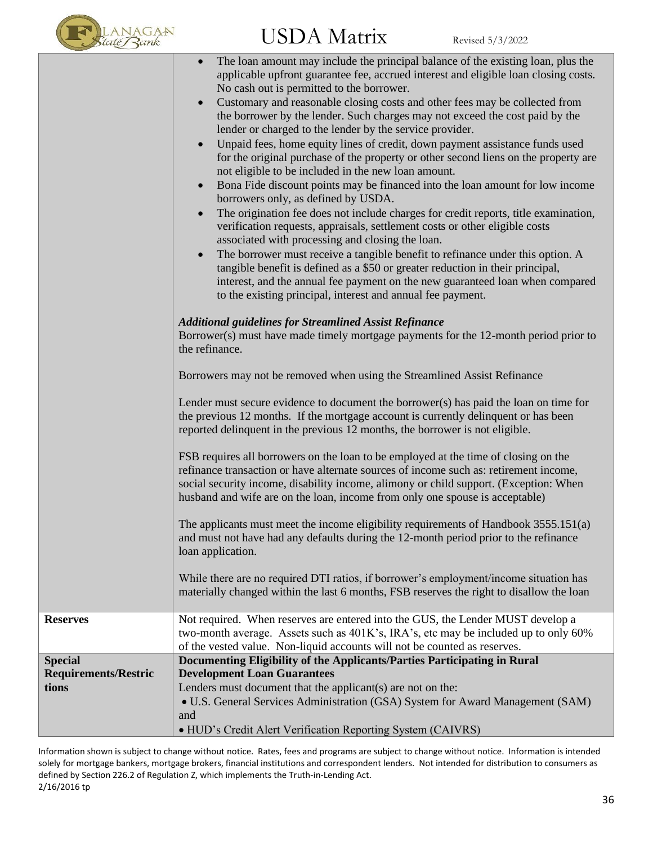

|                             | The loan amount may include the principal balance of the existing loan, plus the<br>applicable upfront guarantee fee, accrued interest and eligible loan closing costs.<br>No cash out is permitted to the borrower.<br>Customary and reasonable closing costs and other fees may be collected from<br>$\bullet$<br>the borrower by the lender. Such charges may not exceed the cost paid by the<br>lender or charged to the lender by the service provider.<br>Unpaid fees, home equity lines of credit, down payment assistance funds used<br>for the original purchase of the property or other second liens on the property are<br>not eligible to be included in the new loan amount.<br>Bona Fide discount points may be financed into the loan amount for low income<br>$\bullet$<br>borrowers only, as defined by USDA.<br>The origination fee does not include charges for credit reports, title examination,<br>verification requests, appraisals, settlement costs or other eligible costs<br>associated with processing and closing the loan.<br>The borrower must receive a tangible benefit to refinance under this option. A<br>tangible benefit is defined as a \$50 or greater reduction in their principal,<br>interest, and the annual fee payment on the new guaranteed loan when compared<br>to the existing principal, interest and annual fee payment.<br><b>Additional guidelines for Streamlined Assist Refinance</b><br>Borrower(s) must have made timely mortgage payments for the 12-month period prior to<br>the refinance.<br>Borrowers may not be removed when using the Streamlined Assist Refinance<br>Lender must secure evidence to document the borrower(s) has paid the loan on time for<br>the previous 12 months. If the mortgage account is currently delinquent or has been<br>reported delinquent in the previous 12 months, the borrower is not eligible.<br>FSB requires all borrowers on the loan to be employed at the time of closing on the<br>refinance transaction or have alternate sources of income such as: retirement income,<br>social security income, disability income, alimony or child support. (Exception: When<br>husband and wife are on the loan, income from only one spouse is acceptable)<br>The applicants must meet the income eligibility requirements of Handbook 3555.151(a)<br>and must not have had any defaults during the 12-month period prior to the refinance<br>loan application.<br>While there are no required DTI ratios, if borrower's employment/income situation has<br>materially changed within the last 6 months, FSB reserves the right to disallow the loan |
|-----------------------------|---------------------------------------------------------------------------------------------------------------------------------------------------------------------------------------------------------------------------------------------------------------------------------------------------------------------------------------------------------------------------------------------------------------------------------------------------------------------------------------------------------------------------------------------------------------------------------------------------------------------------------------------------------------------------------------------------------------------------------------------------------------------------------------------------------------------------------------------------------------------------------------------------------------------------------------------------------------------------------------------------------------------------------------------------------------------------------------------------------------------------------------------------------------------------------------------------------------------------------------------------------------------------------------------------------------------------------------------------------------------------------------------------------------------------------------------------------------------------------------------------------------------------------------------------------------------------------------------------------------------------------------------------------------------------------------------------------------------------------------------------------------------------------------------------------------------------------------------------------------------------------------------------------------------------------------------------------------------------------------------------------------------------------------------------------------------------------------------------------------------------------------------------------------------------------------------------------------------------------------------------------------------------------------------------------------------------------------------------------------------------------------------------------------------------------------------------------------------------------------------------------------------------------------------------------------------------------------------------------------------------------------------------------|
| <b>Reserves</b>             | Not required. When reserves are entered into the GUS, the Lender MUST develop a                                                                                                                                                                                                                                                                                                                                                                                                                                                                                                                                                                                                                                                                                                                                                                                                                                                                                                                                                                                                                                                                                                                                                                                                                                                                                                                                                                                                                                                                                                                                                                                                                                                                                                                                                                                                                                                                                                                                                                                                                                                                                                                                                                                                                                                                                                                                                                                                                                                                                                                                                                         |
|                             | two-month average. Assets such as 401K's, IRA's, etc may be included up to only 60%<br>of the vested value. Non-liquid accounts will not be counted as reserves.                                                                                                                                                                                                                                                                                                                                                                                                                                                                                                                                                                                                                                                                                                                                                                                                                                                                                                                                                                                                                                                                                                                                                                                                                                                                                                                                                                                                                                                                                                                                                                                                                                                                                                                                                                                                                                                                                                                                                                                                                                                                                                                                                                                                                                                                                                                                                                                                                                                                                        |
| <b>Special</b>              | Documenting Eligibility of the Applicants/Parties Participating in Rural                                                                                                                                                                                                                                                                                                                                                                                                                                                                                                                                                                                                                                                                                                                                                                                                                                                                                                                                                                                                                                                                                                                                                                                                                                                                                                                                                                                                                                                                                                                                                                                                                                                                                                                                                                                                                                                                                                                                                                                                                                                                                                                                                                                                                                                                                                                                                                                                                                                                                                                                                                                |
| <b>Requirements/Restric</b> | <b>Development Loan Guarantees</b>                                                                                                                                                                                                                                                                                                                                                                                                                                                                                                                                                                                                                                                                                                                                                                                                                                                                                                                                                                                                                                                                                                                                                                                                                                                                                                                                                                                                                                                                                                                                                                                                                                                                                                                                                                                                                                                                                                                                                                                                                                                                                                                                                                                                                                                                                                                                                                                                                                                                                                                                                                                                                      |
| tions                       | Lenders must document that the applicant(s) are not on the:                                                                                                                                                                                                                                                                                                                                                                                                                                                                                                                                                                                                                                                                                                                                                                                                                                                                                                                                                                                                                                                                                                                                                                                                                                                                                                                                                                                                                                                                                                                                                                                                                                                                                                                                                                                                                                                                                                                                                                                                                                                                                                                                                                                                                                                                                                                                                                                                                                                                                                                                                                                             |
|                             | • U.S. General Services Administration (GSA) System for Award Management (SAM)                                                                                                                                                                                                                                                                                                                                                                                                                                                                                                                                                                                                                                                                                                                                                                                                                                                                                                                                                                                                                                                                                                                                                                                                                                                                                                                                                                                                                                                                                                                                                                                                                                                                                                                                                                                                                                                                                                                                                                                                                                                                                                                                                                                                                                                                                                                                                                                                                                                                                                                                                                          |
|                             | and                                                                                                                                                                                                                                                                                                                                                                                                                                                                                                                                                                                                                                                                                                                                                                                                                                                                                                                                                                                                                                                                                                                                                                                                                                                                                                                                                                                                                                                                                                                                                                                                                                                                                                                                                                                                                                                                                                                                                                                                                                                                                                                                                                                                                                                                                                                                                                                                                                                                                                                                                                                                                                                     |
|                             | · HUD's Credit Alert Verification Reporting System (CAIVRS)                                                                                                                                                                                                                                                                                                                                                                                                                                                                                                                                                                                                                                                                                                                                                                                                                                                                                                                                                                                                                                                                                                                                                                                                                                                                                                                                                                                                                                                                                                                                                                                                                                                                                                                                                                                                                                                                                                                                                                                                                                                                                                                                                                                                                                                                                                                                                                                                                                                                                                                                                                                             |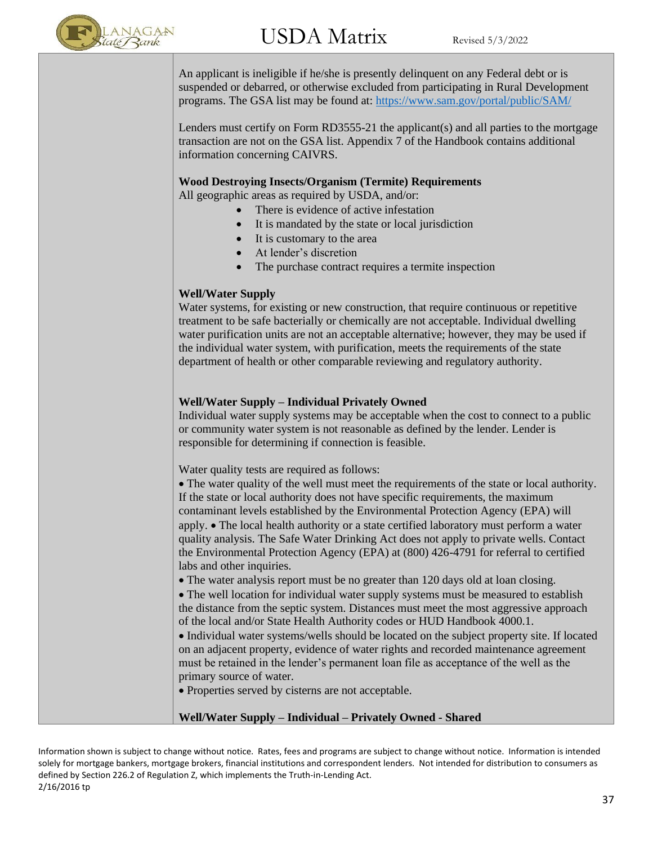

An applicant is ineligible if he/she is presently delinquent on any Federal debt or is suspended or debarred, or otherwise excluded from participating in Rural Development programs. The GSA list may be found at:<https://www.sam.gov/portal/public/SAM/>

Lenders must certify on Form RD3555-21 the applicant(s) and all parties to the mortgage transaction are not on the GSA list. Appendix 7 of the Handbook contains additional information concerning CAIVRS.

#### **Wood Destroying Insects/Organism (Termite) Requirements**

All geographic areas as required by USDA, and/or:

- There is evidence of active infestation
- It is mandated by the state or local jurisdiction
- It is customary to the area
- At lender's discretion
- The purchase contract requires a termite inspection

#### **Well/Water Supply**

Water systems, for existing or new construction, that require continuous or repetitive treatment to be safe bacterially or chemically are not acceptable. Individual dwelling water purification units are not an acceptable alternative; however, they may be used if the individual water system, with purification, meets the requirements of the state department of health or other comparable reviewing and regulatory authority.

#### **Well/Water Supply – Individual Privately Owned**

Individual water supply systems may be acceptable when the cost to connect to a public or community water system is not reasonable as defined by the lender. Lender is responsible for determining if connection is feasible.

Water quality tests are required as follows:

• The water quality of the well must meet the requirements of the state or local authority. If the state or local authority does not have specific requirements, the maximum contaminant levels established by the Environmental Protection Agency (EPA) will apply. • The local health authority or a state certified laboratory must perform a water quality analysis. The Safe Water Drinking Act does not apply to private wells. Contact the Environmental Protection Agency (EPA) at (800) 426-4791 for referral to certified labs and other inquiries.

• The water analysis report must be no greater than 120 days old at loan closing.

• The well location for individual water supply systems must be measured to establish the distance from the septic system. Distances must meet the most aggressive approach of the local and/or State Health Authority codes or HUD Handbook 4000.1.

• Individual water systems/wells should be located on the subject property site. If located on an adjacent property, evidence of water rights and recorded maintenance agreement must be retained in the lender's permanent loan file as acceptance of the well as the primary source of water.

• Properties served by cisterns are not acceptable.

#### **Well/Water Supply – Individual – Privately Owned - Shared**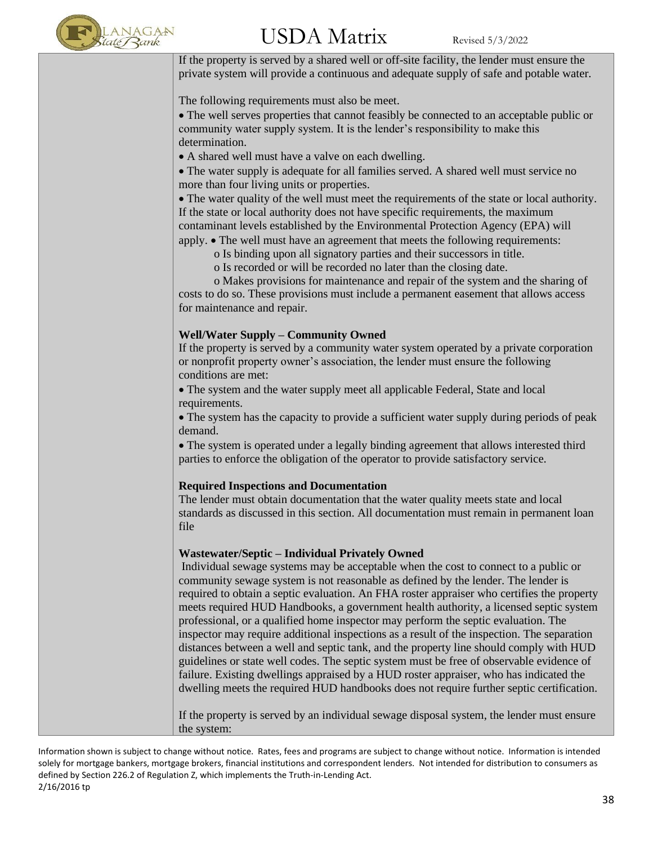

If the property is served by a shared well or off-site facility, the lender must ensure the private system will provide a continuous and adequate supply of safe and potable water.

The following requirements must also be meet.

• The well serves properties that cannot feasibly be connected to an acceptable public or community water supply system. It is the lender's responsibility to make this determination.

• A shared well must have a valve on each dwelling.

• The water supply is adequate for all families served. A shared well must service no more than four living units or properties.

• The water quality of the well must meet the requirements of the state or local authority. If the state or local authority does not have specific requirements, the maximum contaminant levels established by the Environmental Protection Agency (EPA) will apply. • The well must have an agreement that meets the following requirements:

- o Is binding upon all signatory parties and their successors in title.
- o Is recorded or will be recorded no later than the closing date.

 o Makes provisions for maintenance and repair of the system and the sharing of costs to do so. These provisions must include a permanent easement that allows access for maintenance and repair.

#### **Well/Water Supply – Community Owned**

If the property is served by a community water system operated by a private corporation or nonprofit property owner's association, the lender must ensure the following conditions are met:

• The system and the water supply meet all applicable Federal, State and local requirements.

• The system has the capacity to provide a sufficient water supply during periods of peak demand.

• The system is operated under a legally binding agreement that allows interested third parties to enforce the obligation of the operator to provide satisfactory service.

#### **Required Inspections and Documentation**

The lender must obtain documentation that the water quality meets state and local standards as discussed in this section. All documentation must remain in permanent loan file

#### **Wastewater/Septic – Individual Privately Owned**

Individual sewage systems may be acceptable when the cost to connect to a public or community sewage system is not reasonable as defined by the lender. The lender is required to obtain a septic evaluation. An FHA roster appraiser who certifies the property meets required HUD Handbooks, a government health authority, a licensed septic system professional, or a qualified home inspector may perform the septic evaluation. The inspector may require additional inspections as a result of the inspection. The separation distances between a well and septic tank, and the property line should comply with HUD guidelines or state well codes. The septic system must be free of observable evidence of failure. Existing dwellings appraised by a HUD roster appraiser, who has indicated the dwelling meets the required HUD handbooks does not require further septic certification.

If the property is served by an individual sewage disposal system, the lender must ensure the system: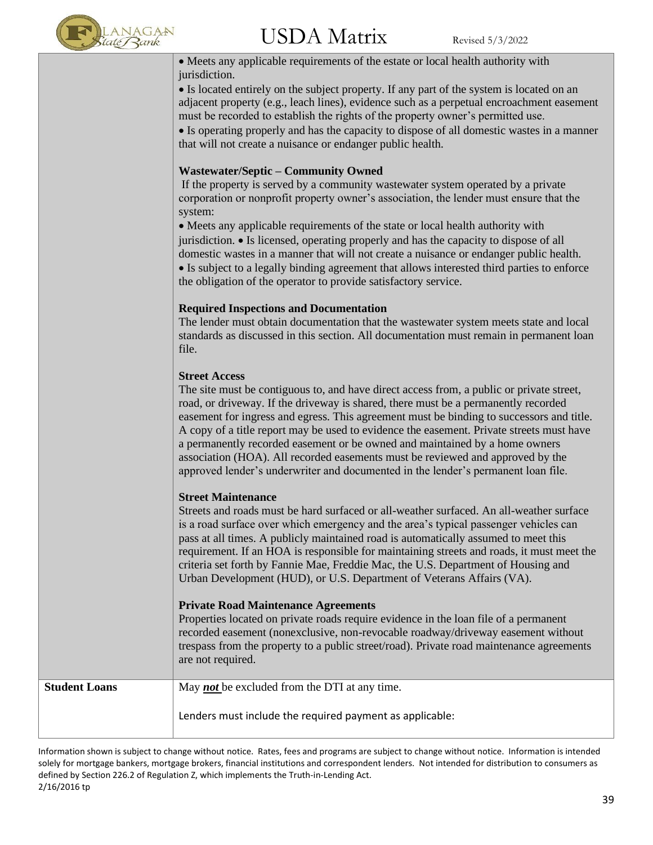

| • Meets any applicable requirements of the estate or local health authority with<br>jurisdiction.                                                                                                                                                                                                                                                                                                                                                                                                                                                                                                                                                    |
|------------------------------------------------------------------------------------------------------------------------------------------------------------------------------------------------------------------------------------------------------------------------------------------------------------------------------------------------------------------------------------------------------------------------------------------------------------------------------------------------------------------------------------------------------------------------------------------------------------------------------------------------------|
| • Is located entirely on the subject property. If any part of the system is located on an<br>adjacent property (e.g., leach lines), evidence such as a perpetual encroachment easement<br>must be recorded to establish the rights of the property owner's permitted use.                                                                                                                                                                                                                                                                                                                                                                            |
| • Is operating properly and has the capacity to dispose of all domestic wastes in a manner<br>that will not create a nuisance or endanger public health.                                                                                                                                                                                                                                                                                                                                                                                                                                                                                             |
| <b>Wastewater/Septic - Community Owned</b><br>If the property is served by a community wastewater system operated by a private<br>corporation or nonprofit property owner's association, the lender must ensure that the<br>system:                                                                                                                                                                                                                                                                                                                                                                                                                  |
| • Meets any applicable requirements of the state or local health authority with<br>jurisdiction. • Is licensed, operating properly and has the capacity to dispose of all<br>domestic wastes in a manner that will not create a nuisance or endanger public health.<br>• Is subject to a legally binding agreement that allows interested third parties to enforce<br>the obligation of the operator to provide satisfactory service.                                                                                                                                                                                                                |
| <b>Required Inspections and Documentation</b><br>The lender must obtain documentation that the wastewater system meets state and local<br>standards as discussed in this section. All documentation must remain in permanent loan<br>file.                                                                                                                                                                                                                                                                                                                                                                                                           |
| <b>Street Access</b><br>The site must be contiguous to, and have direct access from, a public or private street,<br>road, or driveway. If the driveway is shared, there must be a permanently recorded<br>easement for ingress and egress. This agreement must be binding to successors and title.<br>A copy of a title report may be used to evidence the easement. Private streets must have<br>a permanently recorded easement or be owned and maintained by a home owners<br>association (HOA). All recorded easements must be reviewed and approved by the<br>approved lender's underwriter and documented in the lender's permanent loan file. |
| <b>Street Maintenance</b><br>Streets and roads must be hard surfaced or all-weather surfaced. An all-weather surface<br>is a road surface over which emergency and the area's typical passenger vehicles can<br>pass at all times. A publicly maintained road is automatically assumed to meet this<br>requirement. If an HOA is responsible for maintaining streets and roads, it must meet the<br>criteria set forth by Fannie Mae, Freddie Mac, the U.S. Department of Housing and<br>Urban Development (HUD), or U.S. Department of Veterans Affairs (VA).                                                                                       |
| <b>Private Road Maintenance Agreements</b><br>Properties located on private roads require evidence in the loan file of a permanent<br>recorded easement (nonexclusive, non-revocable roadway/driveway easement without<br>trespass from the property to a public street/road). Private road maintenance agreements<br>are not required.                                                                                                                                                                                                                                                                                                              |

| <b>Student Loans</b> | May <i>not</i> be excluded from the DTI at any time.     |
|----------------------|----------------------------------------------------------|
|                      | Lenders must include the required payment as applicable: |
|                      |                                                          |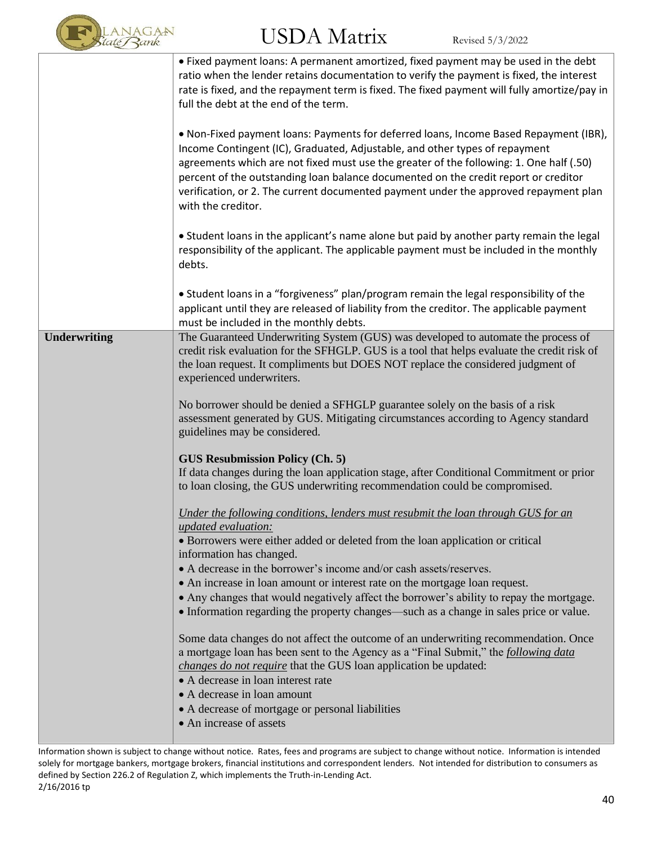

|                     | • Fixed payment loans: A permanent amortized, fixed payment may be used in the debt<br>ratio when the lender retains documentation to verify the payment is fixed, the interest<br>rate is fixed, and the repayment term is fixed. The fixed payment will fully amortize/pay in<br>full the debt at the end of the term.<br>. Non-Fixed payment loans: Payments for deferred loans, Income Based Repayment (IBR),<br>Income Contingent (IC), Graduated, Adjustable, and other types of repayment<br>agreements which are not fixed must use the greater of the following: 1. One half (.50)<br>percent of the outstanding loan balance documented on the credit report or creditor<br>verification, or 2. The current documented payment under the approved repayment plan<br>with the creditor.                                                                                                                                                                                                                                                                                                                                                                                                                                                                                                                                                                                                                                                                                                                                                                                           |
|---------------------|--------------------------------------------------------------------------------------------------------------------------------------------------------------------------------------------------------------------------------------------------------------------------------------------------------------------------------------------------------------------------------------------------------------------------------------------------------------------------------------------------------------------------------------------------------------------------------------------------------------------------------------------------------------------------------------------------------------------------------------------------------------------------------------------------------------------------------------------------------------------------------------------------------------------------------------------------------------------------------------------------------------------------------------------------------------------------------------------------------------------------------------------------------------------------------------------------------------------------------------------------------------------------------------------------------------------------------------------------------------------------------------------------------------------------------------------------------------------------------------------------------------------------------------------------------------------------------------------|
|                     | • Student loans in the applicant's name alone but paid by another party remain the legal<br>responsibility of the applicant. The applicable payment must be included in the monthly<br>debts.                                                                                                                                                                                                                                                                                                                                                                                                                                                                                                                                                                                                                                                                                                                                                                                                                                                                                                                                                                                                                                                                                                                                                                                                                                                                                                                                                                                              |
|                     | . Student loans in a "forgiveness" plan/program remain the legal responsibility of the<br>applicant until they are released of liability from the creditor. The applicable payment<br>must be included in the monthly debts.                                                                                                                                                                                                                                                                                                                                                                                                                                                                                                                                                                                                                                                                                                                                                                                                                                                                                                                                                                                                                                                                                                                                                                                                                                                                                                                                                               |
| <b>Underwriting</b> | The Guaranteed Underwriting System (GUS) was developed to automate the process of<br>credit risk evaluation for the SFHGLP. GUS is a tool that helps evaluate the credit risk of<br>the loan request. It compliments but DOES NOT replace the considered judgment of<br>experienced underwriters.<br>No borrower should be denied a SFHGLP guarantee solely on the basis of a risk<br>assessment generated by GUS. Mitigating circumstances according to Agency standard<br>guidelines may be considered.<br><b>GUS Resubmission Policy (Ch. 5)</b><br>If data changes during the loan application stage, after Conditional Commitment or prior<br>to loan closing, the GUS underwriting recommendation could be compromised.<br>Under the following conditions, lenders must resubmit the loan through GUS for an<br>updated evaluation:<br>• Borrowers were either added or deleted from the loan application or critical<br>information has changed.<br>• A decrease in the borrower's income and/or cash assets/reserves.<br>• An increase in loan amount or interest rate on the mortgage loan request.<br>• Any changes that would negatively affect the borrower's ability to repay the mortgage.<br>• Information regarding the property changes—such as a change in sales price or value.<br>Some data changes do not affect the outcome of an underwriting recommendation. Once<br>a mortgage loan has been sent to the Agency as a "Final Submit," the following data<br>changes do not require that the GUS loan application be updated:<br>• A decrease in loan interest rate |
|                     | • A decrease in loan amount<br>• A decrease of mortgage or personal liabilities<br>• An increase of assets                                                                                                                                                                                                                                                                                                                                                                                                                                                                                                                                                                                                                                                                                                                                                                                                                                                                                                                                                                                                                                                                                                                                                                                                                                                                                                                                                                                                                                                                                 |

Information shown is subject to change without notice. Rates, fees and programs are subject to change without notice. Information is intended solely for mortgage bankers, mortgage brokers, financial institutions and correspondent lenders. Not intended for distribution to consumers as defined by Section 226.2 of Regulation Z, which implements the Truth-in-Lending Act. 2/16/2016 tp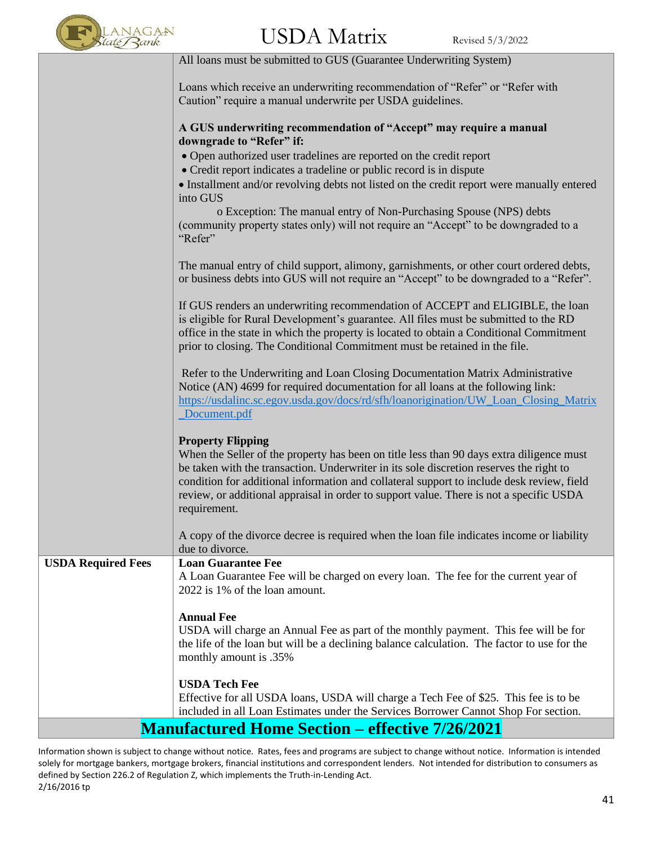

|                           | All loans must be submitted to GUS (Guarantee Underwriting System)                                                                                                                                                                                                                                                                                                                                                      |
|---------------------------|-------------------------------------------------------------------------------------------------------------------------------------------------------------------------------------------------------------------------------------------------------------------------------------------------------------------------------------------------------------------------------------------------------------------------|
|                           | Loans which receive an underwriting recommendation of "Refer" or "Refer with<br>Caution" require a manual underwrite per USDA guidelines.                                                                                                                                                                                                                                                                               |
|                           | A GUS underwriting recommendation of "Accept" may require a manual<br>downgrade to "Refer" if:                                                                                                                                                                                                                                                                                                                          |
|                           | • Open authorized user tradelines are reported on the credit report                                                                                                                                                                                                                                                                                                                                                     |
|                           | • Credit report indicates a tradeline or public record is in dispute                                                                                                                                                                                                                                                                                                                                                    |
|                           | • Installment and/or revolving debts not listed on the credit report were manually entered<br>into GUS                                                                                                                                                                                                                                                                                                                  |
|                           | o Exception: The manual entry of Non-Purchasing Spouse (NPS) debts<br>(community property states only) will not require an "Accept" to be downgraded to a<br>"Refer"                                                                                                                                                                                                                                                    |
|                           | The manual entry of child support, alimony, garnishments, or other court ordered debts,<br>or business debts into GUS will not require an "Accept" to be downgraded to a "Refer".                                                                                                                                                                                                                                       |
|                           | If GUS renders an underwriting recommendation of ACCEPT and ELIGIBLE, the loan<br>is eligible for Rural Development's guarantee. All files must be submitted to the RD<br>office in the state in which the property is located to obtain a Conditional Commitment<br>prior to closing. The Conditional Commitment must be retained in the file.                                                                         |
|                           | Refer to the Underwriting and Loan Closing Documentation Matrix Administrative<br>Notice (AN) 4699 for required documentation for all loans at the following link:<br>https://usdalinc.sc.egov.usda.gov/docs/rd/sfh/loanorigination/UW_Loan_Closing_Matrix<br>Document.pdf                                                                                                                                              |
|                           | <b>Property Flipping</b><br>When the Seller of the property has been on title less than 90 days extra diligence must<br>be taken with the transaction. Underwriter in its sole discretion reserves the right to<br>condition for additional information and collateral support to include desk review, field<br>review, or additional appraisal in order to support value. There is not a specific USDA<br>requirement. |
|                           | A copy of the divorce decree is required when the loan file indicates income or liability<br>due to divorce.                                                                                                                                                                                                                                                                                                            |
| <b>USDA Required Fees</b> | <b>Loan Guarantee Fee</b>                                                                                                                                                                                                                                                                                                                                                                                               |
|                           | A Loan Guarantee Fee will be charged on every loan. The fee for the current year of<br>2022 is 1% of the loan amount.                                                                                                                                                                                                                                                                                                   |
|                           | <b>Annual Fee</b>                                                                                                                                                                                                                                                                                                                                                                                                       |
|                           | USDA will charge an Annual Fee as part of the monthly payment. This fee will be for<br>the life of the loan but will be a declining balance calculation. The factor to use for the<br>monthly amount is .35%                                                                                                                                                                                                            |
|                           |                                                                                                                                                                                                                                                                                                                                                                                                                         |
|                           | <b>USDA Tech Fee</b><br>Effective for all USDA loans, USDA will charge a Tech Fee of \$25. This fee is to be                                                                                                                                                                                                                                                                                                            |
|                           | included in all Loan Estimates under the Services Borrower Cannot Shop For section.                                                                                                                                                                                                                                                                                                                                     |
|                           | <b>Manufactured Home Section – effective 7/26/2021</b>                                                                                                                                                                                                                                                                                                                                                                  |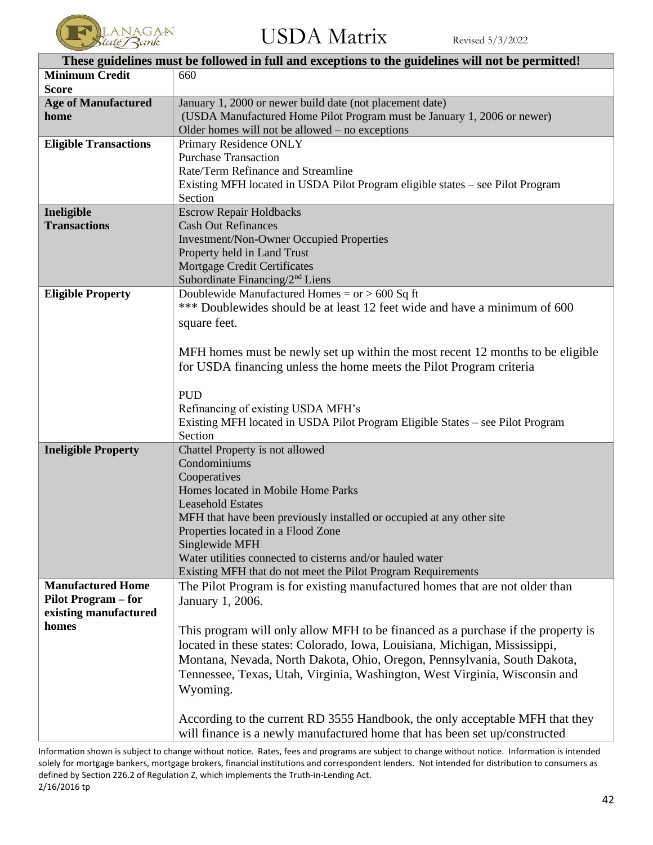

| These guidelines must be followed in full and exceptions to the guidelines will not be permitted! |                                                                                  |  |
|---------------------------------------------------------------------------------------------------|----------------------------------------------------------------------------------|--|
| <b>Minimum Credit</b>                                                                             | 660                                                                              |  |
| <b>Score</b>                                                                                      |                                                                                  |  |
| <b>Age of Manufactured</b>                                                                        | January 1, 2000 or newer build date (not placement date)                         |  |
| home                                                                                              | (USDA Manufactured Home Pilot Program must be January 1, 2006 or newer)          |  |
|                                                                                                   | Older homes will not be allowed $-$ no exceptions                                |  |
| <b>Eligible Transactions</b>                                                                      | Primary Residence ONLY                                                           |  |
|                                                                                                   | <b>Purchase Transaction</b>                                                      |  |
|                                                                                                   | Rate/Term Refinance and Streamline                                               |  |
|                                                                                                   | Existing MFH located in USDA Pilot Program eligible states - see Pilot Program   |  |
|                                                                                                   | Section                                                                          |  |
| Ineligible                                                                                        | <b>Escrow Repair Holdbacks</b>                                                   |  |
| <b>Transactions</b>                                                                               | <b>Cash Out Refinances</b>                                                       |  |
|                                                                                                   | <b>Investment/Non-Owner Occupied Properties</b>                                  |  |
|                                                                                                   | Property held in Land Trust                                                      |  |
|                                                                                                   | <b>Mortgage Credit Certificates</b>                                              |  |
|                                                                                                   | Subordinate Financing/2 <sup>nd</sup> Liens                                      |  |
| <b>Eligible Property</b>                                                                          | Doublewide Manufactured Homes = $or$ > 600 Sq ft                                 |  |
|                                                                                                   | *** Doublewides should be at least 12 feet wide and have a minimum of 600        |  |
|                                                                                                   | square feet.                                                                     |  |
|                                                                                                   |                                                                                  |  |
|                                                                                                   | MFH homes must be newly set up within the most recent 12 months to be eligible   |  |
|                                                                                                   | for USDA financing unless the home meets the Pilot Program criteria              |  |
|                                                                                                   |                                                                                  |  |
|                                                                                                   | <b>PUD</b>                                                                       |  |
|                                                                                                   | Refinancing of existing USDA MFH's                                               |  |
|                                                                                                   | Existing MFH located in USDA Pilot Program Eligible States - see Pilot Program   |  |
|                                                                                                   | Section                                                                          |  |
| <b>Ineligible Property</b>                                                                        | Chattel Property is not allowed                                                  |  |
|                                                                                                   | Condominiums                                                                     |  |
|                                                                                                   | Cooperatives                                                                     |  |
|                                                                                                   | Homes located in Mobile Home Parks                                               |  |
|                                                                                                   | <b>Leasehold Estates</b>                                                         |  |
|                                                                                                   | MFH that have been previously installed or occupied at any other site            |  |
|                                                                                                   | Properties located in a Flood Zone                                               |  |
|                                                                                                   | Singlewide MFH                                                                   |  |
|                                                                                                   | Water utilities connected to cisterns and/or hauled water                        |  |
|                                                                                                   | Existing MFH that do not meet the Pilot Program Requirements                     |  |
| <b>Manufactured Home</b>                                                                          | The Pilot Program is for existing manufactured homes that are not older than     |  |
| <b>Pilot Program – for</b>                                                                        | January 1, 2006.                                                                 |  |
| existing manufactured                                                                             |                                                                                  |  |
| homes                                                                                             | This program will only allow MFH to be financed as a purchase if the property is |  |
|                                                                                                   | located in these states: Colorado, Iowa, Louisiana, Michigan, Mississippi,       |  |
|                                                                                                   | Montana, Nevada, North Dakota, Ohio, Oregon, Pennsylvania, South Dakota,         |  |
|                                                                                                   | Tennessee, Texas, Utah, Virginia, Washington, West Virginia, Wisconsin and       |  |
|                                                                                                   | Wyoming.                                                                         |  |
|                                                                                                   |                                                                                  |  |
|                                                                                                   | According to the current RD 3555 Handbook, the only acceptable MFH that they     |  |
|                                                                                                   | will finance is a newly manufactured home that has been set up/constructed       |  |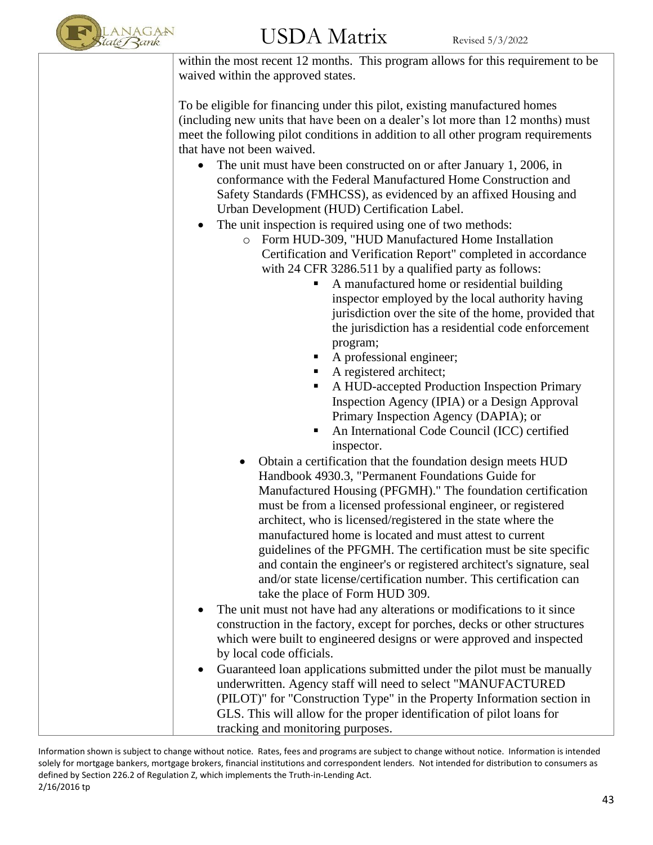

within the most recent 12 months. This program allows for this requirement to be waived within the approved states.

To be eligible for financing under this pilot, existing manufactured homes (including new units that have been on a dealer's lot more than 12 months) must meet the following pilot conditions in addition to all other program requirements that have not been waived.

- The unit must have been constructed on or after January 1, 2006, in conformance with the Federal Manufactured Home Construction and Safety Standards (FMHCSS), as evidenced by an affixed Housing and Urban Development (HUD) Certification Label.
- The unit inspection is required using one of two methods:
	- o Form HUD-309, "HUD Manufactured Home Installation Certification and Verification Report" completed in accordance with 24 CFR 3286.511 by a qualified party as follows:
		- A manufactured home or residential building inspector employed by the local authority having jurisdiction over the site of the home, provided that the jurisdiction has a residential code enforcement program;
		- A professional engineer;
		- A registered architect;
		- A HUD-accepted Production Inspection Primary Inspection Agency (IPIA) or a Design Approval Primary Inspection Agency (DAPIA); or
		- An International Code Council (ICC) certified inspector.
	- Obtain a certification that the foundation design meets HUD Handbook 4930.3, "Permanent Foundations Guide for Manufactured Housing (PFGMH)." The foundation certification must be from a licensed professional engineer, or registered architect, who is licensed/registered in the state where the manufactured home is located and must attest to current guidelines of the PFGMH. The certification must be site specific and contain the engineer's or registered architect's signature, seal and/or state license/certification number. This certification can take the place of Form HUD 309.
- The unit must not have had any alterations or modifications to it since construction in the factory, except for porches, decks or other structures which were built to engineered designs or were approved and inspected by local code officials.
- Guaranteed loan applications submitted under the pilot must be manually underwritten. Agency staff will need to select "MANUFACTURED (PILOT)" for "Construction Type" in the Property Information section in GLS. This will allow for the proper identification of pilot loans for tracking and monitoring purposes.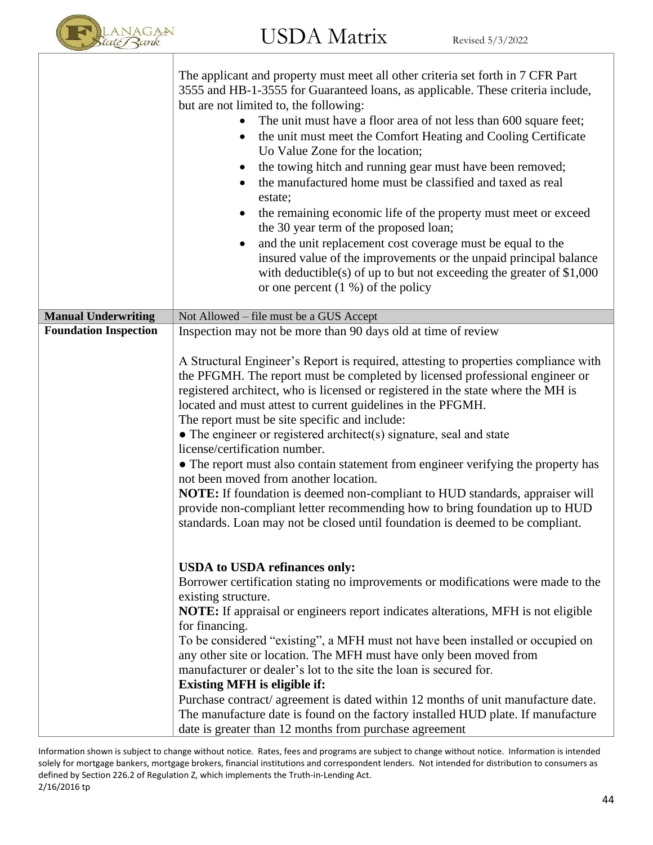

|                              | The applicant and property must meet all other criteria set forth in 7 CFR Part<br>3555 and HB-1-3555 for Guaranteed loans, as applicable. These criteria include,<br>but are not limited to, the following:<br>The unit must have a floor area of not less than 600 square feet;<br>$\bullet$<br>the unit must meet the Comfort Heating and Cooling Certificate<br>$\bullet$<br>Uo Value Zone for the location;<br>the towing hitch and running gear must have been removed;<br>$\bullet$<br>the manufactured home must be classified and taxed as real<br>$\bullet$<br>estate;<br>the remaining economic life of the property must meet or exceed<br>$\bullet$<br>the 30 year term of the proposed loan;<br>and the unit replacement cost coverage must be equal to the<br>$\bullet$<br>insured value of the improvements or the unpaid principal balance<br>with deductible(s) of up to but not exceeding the greater of $$1,000$<br>or one percent $(1, % )$ of the policy |
|------------------------------|--------------------------------------------------------------------------------------------------------------------------------------------------------------------------------------------------------------------------------------------------------------------------------------------------------------------------------------------------------------------------------------------------------------------------------------------------------------------------------------------------------------------------------------------------------------------------------------------------------------------------------------------------------------------------------------------------------------------------------------------------------------------------------------------------------------------------------------------------------------------------------------------------------------------------------------------------------------------------------|
| <b>Manual Underwriting</b>   | Not Allowed – file must be a GUS Accept                                                                                                                                                                                                                                                                                                                                                                                                                                                                                                                                                                                                                                                                                                                                                                                                                                                                                                                                        |
| <b>Foundation Inspection</b> | Inspection may not be more than 90 days old at time of review<br>A Structural Engineer's Report is required, attesting to properties compliance with<br>the PFGMH. The report must be completed by licensed professional engineer or<br>registered architect, who is licensed or registered in the state where the MH is<br>located and must attest to current guidelines in the PFGMH.<br>The report must be site specific and include:<br>$\bullet$ The engineer or registered architect(s) signature, seal and state<br>license/certification number.<br>• The report must also contain statement from engineer verifying the property has<br>not been moved from another location.<br>NOTE: If foundation is deemed non-compliant to HUD standards, appraiser will<br>provide non-compliant letter recommending how to bring foundation up to HUD<br>standards. Loan may not be closed until foundation is deemed to be compliant.                                         |
|                              | <b>USDA</b> to USDA refinances only:<br>Borrower certification stating no improvements or modifications were made to the<br>existing structure.<br>NOTE: If appraisal or engineers report indicates alterations, MFH is not eligible<br>for financing.<br>To be considered "existing", a MFH must not have been installed or occupied on<br>any other site or location. The MFH must have only been moved from<br>manufacturer or dealer's lot to the site the loan is secured for.<br><b>Existing MFH</b> is eligible if:<br>Purchase contract/ agreement is dated within 12 months of unit manufacture date.<br>The manufacture date is found on the factory installed HUD plate. If manufacture<br>date is greater than 12 months from purchase agreement                                                                                                                                                                                                                   |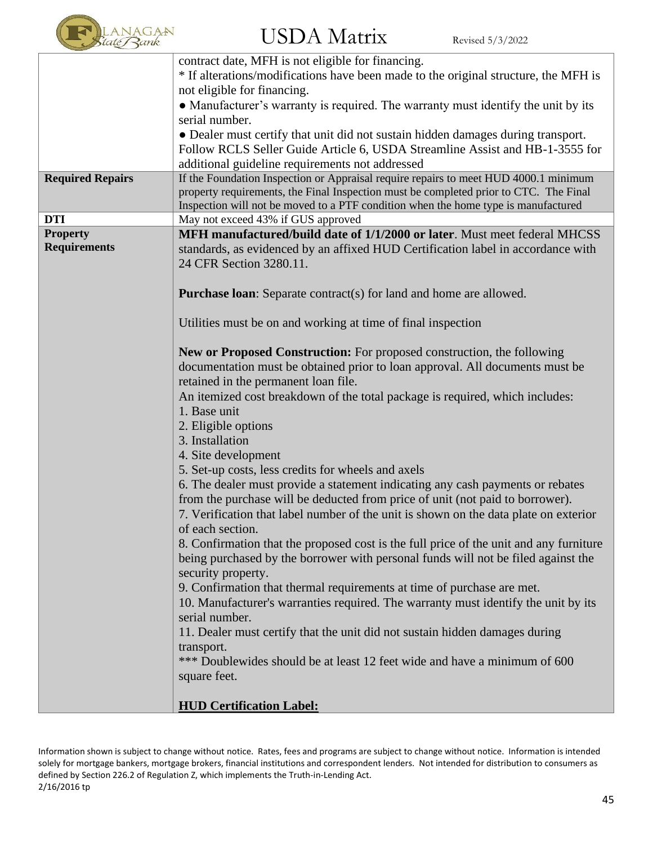

|                         | contract date, MFH is not eligible for financing.                                      |
|-------------------------|----------------------------------------------------------------------------------------|
|                         | * If alterations/modifications have been made to the original structure, the MFH is    |
|                         | not eligible for financing.                                                            |
|                         | • Manufacturer's warranty is required. The warranty must identify the unit by its      |
|                         | serial number.                                                                         |
|                         | • Dealer must certify that unit did not sustain hidden damages during transport.       |
|                         | Follow RCLS Seller Guide Article 6, USDA Streamline Assist and HB-1-3555 for           |
|                         | additional guideline requirements not addressed                                        |
| <b>Required Repairs</b> | If the Foundation Inspection or Appraisal require repairs to meet HUD 4000.1 minimum   |
|                         | property requirements, the Final Inspection must be completed prior to CTC. The Final  |
|                         | Inspection will not be moved to a PTF condition when the home type is manufactured     |
| <b>DTI</b>              | May not exceed 43% if GUS approved                                                     |
| <b>Property</b>         | MFH manufactured/build date of 1/1/2000 or later. Must meet federal MHCSS              |
| <b>Requirements</b>     | standards, as evidenced by an affixed HUD Certification label in accordance with       |
|                         | 24 CFR Section 3280.11.                                                                |
|                         |                                                                                        |
|                         | <b>Purchase loan:</b> Separate contract(s) for land and home are allowed.              |
|                         |                                                                                        |
|                         | Utilities must be on and working at time of final inspection                           |
|                         |                                                                                        |
|                         | New or Proposed Construction: For proposed construction, the following                 |
|                         | documentation must be obtained prior to loan approval. All documents must be           |
|                         | retained in the permanent loan file.                                                   |
|                         | An itemized cost breakdown of the total package is required, which includes:           |
|                         | 1. Base unit                                                                           |
|                         | 2. Eligible options                                                                    |
|                         | 3. Installation                                                                        |
|                         | 4. Site development                                                                    |
|                         |                                                                                        |
|                         | 5. Set-up costs, less credits for wheels and axels                                     |
|                         | 6. The dealer must provide a statement indicating any cash payments or rebates         |
|                         | from the purchase will be deducted from price of unit (not paid to borrower).          |
|                         | 7. Verification that label number of the unit is shown on the data plate on exterior   |
|                         | of each section                                                                        |
|                         | 8. Confirmation that the proposed cost is the full price of the unit and any furniture |
|                         | being purchased by the borrower with personal funds will not be filed against the      |
|                         | security property.                                                                     |
|                         | 9. Confirmation that thermal requirements at time of purchase are met.                 |
|                         | 10. Manufacturer's warranties required. The warranty must identify the unit by its     |
|                         | serial number.                                                                         |
|                         | 11. Dealer must certify that the unit did not sustain hidden damages during            |
|                         | transport.                                                                             |
|                         | *** Doublewides should be at least 12 feet wide and have a minimum of 600              |
|                         | square feet.                                                                           |
|                         |                                                                                        |
|                         | <b>HUD Certification Label:</b>                                                        |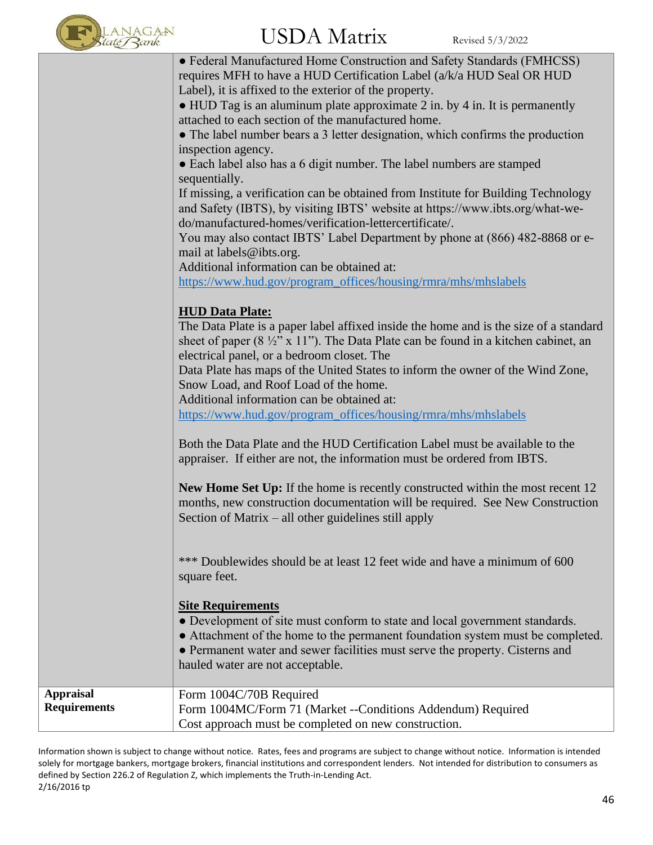

|                     | • Federal Manufactured Home Construction and Safety Standards (FMHCSS)<br>requires MFH to have a HUD Certification Label (a/k/a HUD Seal OR HUD<br>Label), it is affixed to the exterior of the property.<br>$\bullet$ HUD Tag is an aluminum plate approximate 2 in. by 4 in. It is permanently<br>attached to each section of the manufactured home.<br>• The label number bears a 3 letter designation, which confirms the production<br>inspection agency.<br>• Each label also has a 6 digit number. The label numbers are stamped<br>sequentially.<br>If missing, a verification can be obtained from Institute for Building Technology<br>and Safety (IBTS), by visiting IBTS' website at https://www.ibts.org/what-we-<br>do/manufactured-homes/verification-lettercertificate/.<br>You may also contact IBTS' Label Department by phone at (866) 482-8868 or e-<br>mail at labels@ibts.org.<br>Additional information can be obtained at:<br>https://www.hud.gov/program_offices/housing/rmra/mhs/mhslabels<br><b>HUD Data Plate:</b><br>The Data Plate is a paper label affixed inside the home and is the size of a standard<br>sheet of paper ( $8\frac{1}{2}$ " x 11"). The Data Plate can be found in a kitchen cabinet, an<br>electrical panel, or a bedroom closet. The<br>Data Plate has maps of the United States to inform the owner of the Wind Zone,<br>Snow Load, and Roof Load of the home.<br>Additional information can be obtained at:<br>https://www.hud.gov/program_offices/housing/rmra/mhs/mhslabels<br>Both the Data Plate and the HUD Certification Label must be available to the<br>appraiser. If either are not, the information must be ordered from IBTS. |
|---------------------|------------------------------------------------------------------------------------------------------------------------------------------------------------------------------------------------------------------------------------------------------------------------------------------------------------------------------------------------------------------------------------------------------------------------------------------------------------------------------------------------------------------------------------------------------------------------------------------------------------------------------------------------------------------------------------------------------------------------------------------------------------------------------------------------------------------------------------------------------------------------------------------------------------------------------------------------------------------------------------------------------------------------------------------------------------------------------------------------------------------------------------------------------------------------------------------------------------------------------------------------------------------------------------------------------------------------------------------------------------------------------------------------------------------------------------------------------------------------------------------------------------------------------------------------------------------------------------------------------------------------------------------------------------------------------------------------|
|                     |                                                                                                                                                                                                                                                                                                                                                                                                                                                                                                                                                                                                                                                                                                                                                                                                                                                                                                                                                                                                                                                                                                                                                                                                                                                                                                                                                                                                                                                                                                                                                                                                                                                                                                |
|                     |                                                                                                                                                                                                                                                                                                                                                                                                                                                                                                                                                                                                                                                                                                                                                                                                                                                                                                                                                                                                                                                                                                                                                                                                                                                                                                                                                                                                                                                                                                                                                                                                                                                                                                |
|                     |                                                                                                                                                                                                                                                                                                                                                                                                                                                                                                                                                                                                                                                                                                                                                                                                                                                                                                                                                                                                                                                                                                                                                                                                                                                                                                                                                                                                                                                                                                                                                                                                                                                                                                |
|                     |                                                                                                                                                                                                                                                                                                                                                                                                                                                                                                                                                                                                                                                                                                                                                                                                                                                                                                                                                                                                                                                                                                                                                                                                                                                                                                                                                                                                                                                                                                                                                                                                                                                                                                |
|                     |                                                                                                                                                                                                                                                                                                                                                                                                                                                                                                                                                                                                                                                                                                                                                                                                                                                                                                                                                                                                                                                                                                                                                                                                                                                                                                                                                                                                                                                                                                                                                                                                                                                                                                |
|                     |                                                                                                                                                                                                                                                                                                                                                                                                                                                                                                                                                                                                                                                                                                                                                                                                                                                                                                                                                                                                                                                                                                                                                                                                                                                                                                                                                                                                                                                                                                                                                                                                                                                                                                |
|                     |                                                                                                                                                                                                                                                                                                                                                                                                                                                                                                                                                                                                                                                                                                                                                                                                                                                                                                                                                                                                                                                                                                                                                                                                                                                                                                                                                                                                                                                                                                                                                                                                                                                                                                |
|                     |                                                                                                                                                                                                                                                                                                                                                                                                                                                                                                                                                                                                                                                                                                                                                                                                                                                                                                                                                                                                                                                                                                                                                                                                                                                                                                                                                                                                                                                                                                                                                                                                                                                                                                |
|                     |                                                                                                                                                                                                                                                                                                                                                                                                                                                                                                                                                                                                                                                                                                                                                                                                                                                                                                                                                                                                                                                                                                                                                                                                                                                                                                                                                                                                                                                                                                                                                                                                                                                                                                |
|                     |                                                                                                                                                                                                                                                                                                                                                                                                                                                                                                                                                                                                                                                                                                                                                                                                                                                                                                                                                                                                                                                                                                                                                                                                                                                                                                                                                                                                                                                                                                                                                                                                                                                                                                |
|                     |                                                                                                                                                                                                                                                                                                                                                                                                                                                                                                                                                                                                                                                                                                                                                                                                                                                                                                                                                                                                                                                                                                                                                                                                                                                                                                                                                                                                                                                                                                                                                                                                                                                                                                |
|                     |                                                                                                                                                                                                                                                                                                                                                                                                                                                                                                                                                                                                                                                                                                                                                                                                                                                                                                                                                                                                                                                                                                                                                                                                                                                                                                                                                                                                                                                                                                                                                                                                                                                                                                |
|                     | <b>New Home Set Up:</b> If the home is recently constructed within the most recent 12<br>months, new construction documentation will be required. See New Construction<br>Section of Matrix – all other guidelines still apply                                                                                                                                                                                                                                                                                                                                                                                                                                                                                                                                                                                                                                                                                                                                                                                                                                                                                                                                                                                                                                                                                                                                                                                                                                                                                                                                                                                                                                                                 |
|                     | *** Doublewides should be at least 12 feet wide and have a minimum of 600<br>square feet.                                                                                                                                                                                                                                                                                                                                                                                                                                                                                                                                                                                                                                                                                                                                                                                                                                                                                                                                                                                                                                                                                                                                                                                                                                                                                                                                                                                                                                                                                                                                                                                                      |
|                     | <b>Site Requirements</b><br>• Development of site must conform to state and local government standards.<br>• Attachment of the home to the permanent foundation system must be completed.<br>• Permanent water and sewer facilities must serve the property. Cisterns and<br>hauled water are not acceptable.                                                                                                                                                                                                                                                                                                                                                                                                                                                                                                                                                                                                                                                                                                                                                                                                                                                                                                                                                                                                                                                                                                                                                                                                                                                                                                                                                                                  |
| <b>Appraisal</b>    | Form 1004C/70B Required                                                                                                                                                                                                                                                                                                                                                                                                                                                                                                                                                                                                                                                                                                                                                                                                                                                                                                                                                                                                                                                                                                                                                                                                                                                                                                                                                                                                                                                                                                                                                                                                                                                                        |
| <b>Requirements</b> | Form 1004MC/Form 71 (Market --Conditions Addendum) Required                                                                                                                                                                                                                                                                                                                                                                                                                                                                                                                                                                                                                                                                                                                                                                                                                                                                                                                                                                                                                                                                                                                                                                                                                                                                                                                                                                                                                                                                                                                                                                                                                                    |
|                     | Cost approach must be completed on new construction.                                                                                                                                                                                                                                                                                                                                                                                                                                                                                                                                                                                                                                                                                                                                                                                                                                                                                                                                                                                                                                                                                                                                                                                                                                                                                                                                                                                                                                                                                                                                                                                                                                           |

Information shown is subject to change without notice. Rates, fees and programs are subject to change without notice. Information is intended solely for mortgage bankers, mortgage brokers, financial institutions and correspondent lenders. Not intended for distribution to consumers as defined by Section 226.2 of Regulation Z, which implements the Truth-in-Lending Act. 2/16/2016 tp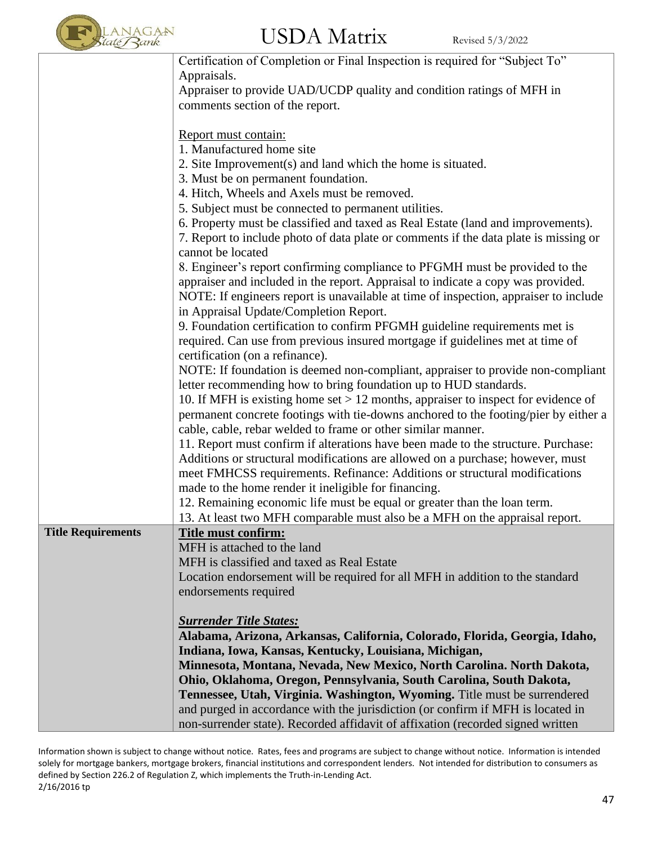

|                           | Certification of Completion or Final Inspection is required for "Subject To"                                                   |
|---------------------------|--------------------------------------------------------------------------------------------------------------------------------|
|                           | Appraisals.                                                                                                                    |
|                           | Appraiser to provide UAD/UCDP quality and condition ratings of MFH in<br>comments section of the report.                       |
|                           |                                                                                                                                |
|                           | Report must contain:                                                                                                           |
|                           | 1. Manufactured home site                                                                                                      |
|                           | 2. Site Improvement(s) and land which the home is situated.                                                                    |
|                           | 3. Must be on permanent foundation.                                                                                            |
|                           | 4. Hitch, Wheels and Axels must be removed.                                                                                    |
|                           | 5. Subject must be connected to permanent utilities.                                                                           |
|                           | 6. Property must be classified and taxed as Real Estate (land and improvements).                                               |
|                           | 7. Report to include photo of data plate or comments if the data plate is missing or<br>cannot be located                      |
|                           | 8. Engineer's report confirming compliance to PFGMH must be provided to the                                                    |
|                           | appraiser and included in the report. Appraisal to indicate a copy was provided.                                               |
|                           | NOTE: If engineers report is unavailable at time of inspection, appraiser to include<br>in Appraisal Update/Completion Report. |
|                           | 9. Foundation certification to confirm PFGMH guideline requirements met is                                                     |
|                           | required. Can use from previous insured mortgage if guidelines met at time of                                                  |
|                           | certification (on a refinance).                                                                                                |
|                           | NOTE: If foundation is deemed non-compliant, appraiser to provide non-compliant                                                |
|                           | letter recommending how to bring foundation up to HUD standards.                                                               |
|                           | 10. If MFH is existing home set $> 12$ months, appraiser to inspect for evidence of                                            |
|                           | permanent concrete footings with tie-downs anchored to the footing/pier by either a                                            |
|                           | cable, cable, rebar welded to frame or other similar manner.                                                                   |
|                           | 11. Report must confirm if alterations have been made to the structure. Purchase:                                              |
|                           | Additions or structural modifications are allowed on a purchase; however, must                                                 |
|                           | meet FMHCSS requirements. Refinance: Additions or structural modifications                                                     |
|                           | made to the home render it ineligible for financing.                                                                           |
|                           | 12. Remaining economic life must be equal or greater than the loan term.                                                       |
| <b>Title Requirements</b> | 13. At least two MFH comparable must also be a MFH on the appraisal report.                                                    |
|                           | Title must confirm:<br>MFH is attached to the land                                                                             |
|                           | MFH is classified and taxed as Real Estate                                                                                     |
|                           | Location endorsement will be required for all MFH in addition to the standard                                                  |
|                           | endorsements required                                                                                                          |
|                           |                                                                                                                                |
|                           | <b>Surrender Title States:</b>                                                                                                 |
|                           | Alabama, Arizona, Arkansas, California, Colorado, Florida, Georgia, Idaho,                                                     |
|                           | Indiana, Iowa, Kansas, Kentucky, Louisiana, Michigan,                                                                          |
|                           | Minnesota, Montana, Nevada, New Mexico, North Carolina. North Dakota,                                                          |
|                           | Ohio, Oklahoma, Oregon, Pennsylvania, South Carolina, South Dakota,                                                            |
|                           | Tennessee, Utah, Virginia. Washington, Wyoming. Title must be surrendered                                                      |
|                           | and purged in accordance with the jurisdiction (or confirm if MFH is located in                                                |
|                           | non-surrender state). Recorded affidavit of affixation (recorded signed written                                                |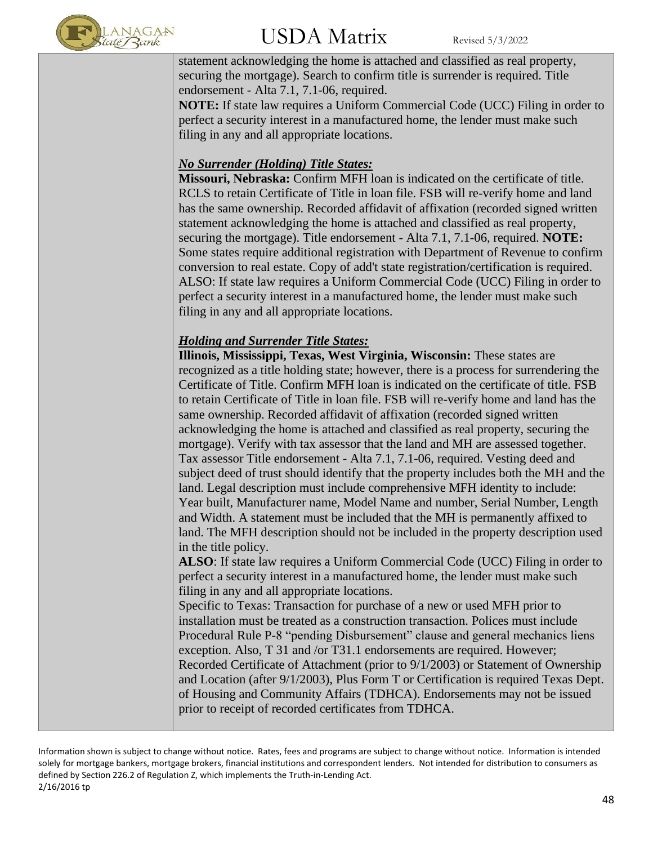

statement acknowledging the home is attached and classified as real property, securing the mortgage). Search to confirm title is surrender is required. Title endorsement - Alta 7.1, 7.1-06, required. **NOTE:** If state law requires a Uniform Commercial Code (UCC) Filing in order to

perfect a security interest in a manufactured home, the lender must make such filing in any and all appropriate locations.

### *No Surrender (Holding) Title States:*

**Missouri, Nebraska:** Confirm MFH loan is indicated on the certificate of title. RCLS to retain Certificate of Title in loan file. FSB will re-verify home and land has the same ownership. Recorded affidavit of affixation (recorded signed written statement acknowledging the home is attached and classified as real property, securing the mortgage). Title endorsement - Alta 7.1, 7.1-06, required. **NOTE:**  Some states require additional registration with Department of Revenue to confirm conversion to real estate. Copy of add't state registration/certification is required. ALSO: If state law requires a Uniform Commercial Code (UCC) Filing in order to perfect a security interest in a manufactured home, the lender must make such filing in any and all appropriate locations.

#### *Holding and Surrender Title States:*

**Illinois, Mississippi, Texas, West Virginia, Wisconsin:** These states are recognized as a title holding state; however, there is a process for surrendering the Certificate of Title. Confirm MFH loan is indicated on the certificate of title. FSB to retain Certificate of Title in loan file. FSB will re-verify home and land has the same ownership. Recorded affidavit of affixation (recorded signed written acknowledging the home is attached and classified as real property, securing the mortgage). Verify with tax assessor that the land and MH are assessed together. Tax assessor Title endorsement - Alta 7.1, 7.1-06, required. Vesting deed and subject deed of trust should identify that the property includes both the MH and the land. Legal description must include comprehensive MFH identity to include: Year built, Manufacturer name, Model Name and number, Serial Number, Length and Width. A statement must be included that the MH is permanently affixed to land. The MFH description should not be included in the property description used in the title policy.

**ALSO**: If state law requires a Uniform Commercial Code (UCC) Filing in order to perfect a security interest in a manufactured home, the lender must make such filing in any and all appropriate locations.

Specific to Texas: Transaction for purchase of a new or used MFH prior to installation must be treated as a construction transaction. Polices must include Procedural Rule P-8 "pending Disbursement" clause and general mechanics liens exception. Also, T 31 and /or T31.1 endorsements are required. However; Recorded Certificate of Attachment (prior to 9/1/2003) or Statement of Ownership and Location (after 9/1/2003), Plus Form T or Certification is required Texas Dept. of Housing and Community Affairs (TDHCA). Endorsements may not be issued prior to receipt of recorded certificates from TDHCA.